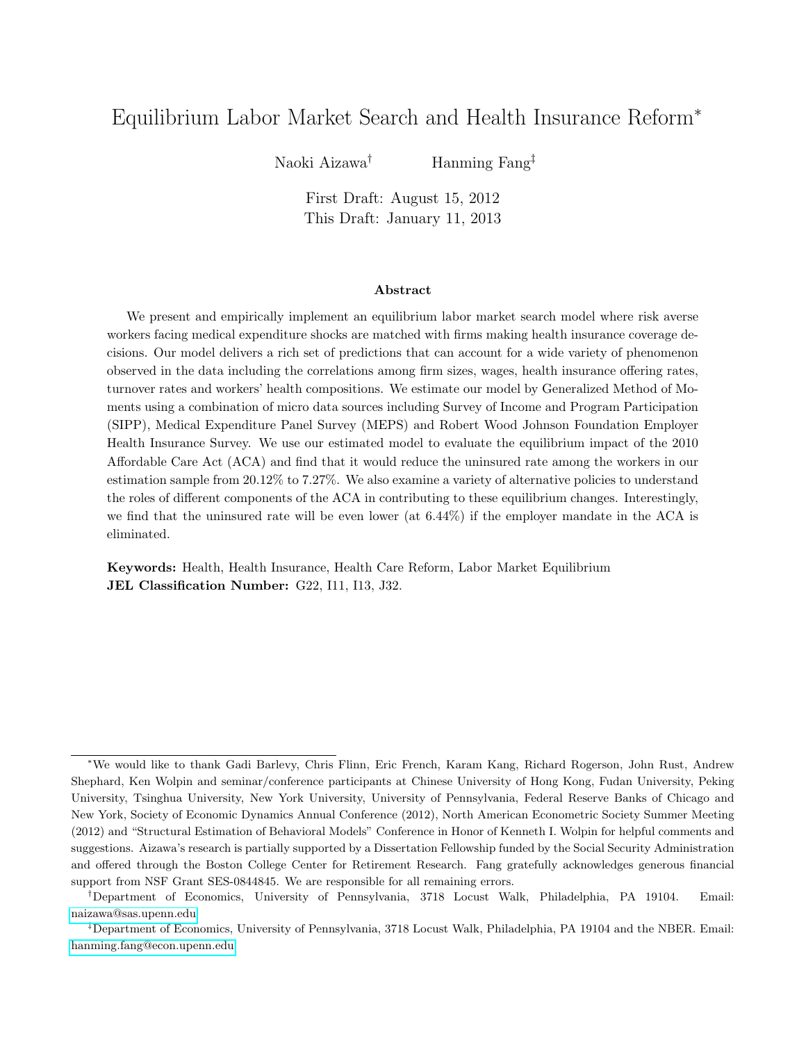# Equilibrium Labor Market Search and Health Insurance Reform<sup>∗</sup>

Naoki Aizawa† Hanming Fang‡

First Draft: August 15, 2012 This Draft: January 11, 2013

#### Abstract

We present and empirically implement an equilibrium labor market search model where risk averse workers facing medical expenditure shocks are matched with firms making health insurance coverage decisions. Our model delivers a rich set of predictions that can account for a wide variety of phenomenon observed in the data including the correlations among firm sizes, wages, health insurance offering rates, turnover rates and workers' health compositions. We estimate our model by Generalized Method of Moments using a combination of micro data sources including Survey of Income and Program Participation (SIPP), Medical Expenditure Panel Survey (MEPS) and Robert Wood Johnson Foundation Employer Health Insurance Survey. We use our estimated model to evaluate the equilibrium impact of the 2010 Affordable Care Act (ACA) and find that it would reduce the uninsured rate among the workers in our estimation sample from 20.12% to 7.27%. We also examine a variety of alternative policies to understand the roles of different components of the ACA in contributing to these equilibrium changes. Interestingly, we find that the uninsured rate will be even lower (at 6.44%) if the employer mandate in the ACA is eliminated.

Keywords: Health, Health Insurance, Health Care Reform, Labor Market Equilibrium JEL Classification Number: G22, I11, I13, J32.

<sup>∗</sup>We would like to thank Gadi Barlevy, Chris Flinn, Eric French, Karam Kang, Richard Rogerson, John Rust, Andrew Shephard, Ken Wolpin and seminar/conference participants at Chinese University of Hong Kong, Fudan University, Peking University, Tsinghua University, New York University, University of Pennsylvania, Federal Reserve Banks of Chicago and New York, Society of Economic Dynamics Annual Conference (2012), North American Econometric Society Summer Meeting (2012) and "Structural Estimation of Behavioral Models" Conference in Honor of Kenneth I. Wolpin for helpful comments and suggestions. Aizawa's research is partially supported by a Dissertation Fellowship funded by the Social Security Administration and offered through the Boston College Center for Retirement Research. Fang gratefully acknowledges generous financial support from NSF Grant SES-0844845. We are responsible for all remaining errors.

<sup>†</sup>Department of Economics, University of Pennsylvania, 3718 Locust Walk, Philadelphia, PA 19104. Email: [naizawa@sas.upenn.edu](mailto:naizawa@sas.upenn.edu)

<sup>‡</sup>Department of Economics, University of Pennsylvania, 3718 Locust Walk, Philadelphia, PA 19104 and the NBER. Email: [hanming.fang@econ.upenn.edu](mailto:hanming.fang@econ.upenn.edu)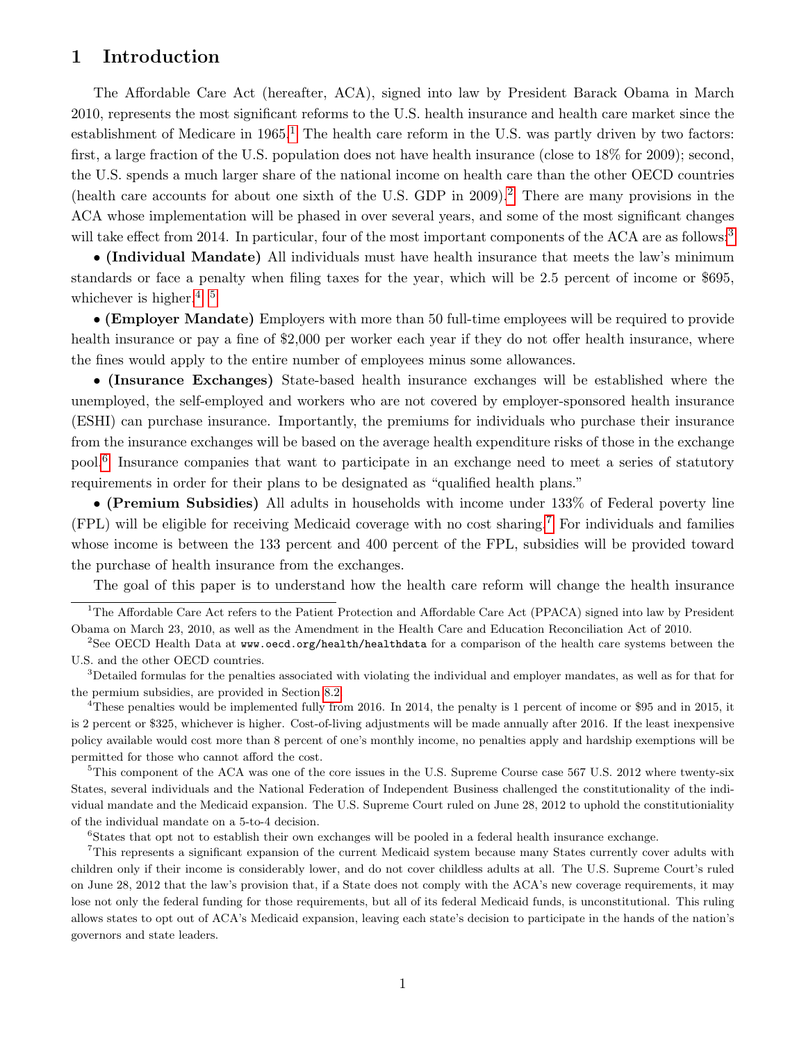# <span id="page-1-7"></span>1 Introduction

The Affordable Care Act (hereafter, ACA), signed into law by President Barack Obama in March 2010, represents the most significant reforms to the U.S. health insurance and health care market since the establishment of Medicare in  $1965<sup>1</sup>$  $1965<sup>1</sup>$ . The health care reform in the U.S. was partly driven by two factors: first, a large fraction of the U.S. population does not have health insurance (close to 18% for 2009); second, the U.S. spends a much larger share of the national income on health care than the other OECD countries (health care accounts for about one sixth of the U.S. GDP in 2009).[2](#page-1-1) There are many provisions in the ACA whose implementation will be phased in over several years, and some of the most significant changes will take effect from 2014. In particular, four of the most important components of the ACA are as follows:<sup>[3](#page-1-2)</sup>

• (Individual Mandate) All individuals must have health insurance that meets the law's minimum standards or face a penalty when filing taxes for the year, which will be 2.5 percent of income or \$695, whichever is higher.<sup>[4](#page-1-3), [5](#page-1-4)</sup>

• (Employer Mandate) Employers with more than 50 full-time employees will be required to provide health insurance or pay a fine of \$2,000 per worker each year if they do not offer health insurance, where the fines would apply to the entire number of employees minus some allowances.

• (Insurance Exchanges) State-based health insurance exchanges will be established where the unemployed, the self-employed and workers who are not covered by employer-sponsored health insurance (ESHI) can purchase insurance. Importantly, the premiums for individuals who purchase their insurance from the insurance exchanges will be based on the average health expenditure risks of those in the exchange pool.[6](#page-1-5) Insurance companies that want to participate in an exchange need to meet a series of statutory requirements in order for their plans to be designated as "qualified health plans."

• (Premium Subsidies) All adults in households with income under 133% of Federal poverty line (FPL) will be eligible for receiving Medicaid coverage with no cost sharing.[7](#page-1-6) For individuals and families whose income is between the 133 percent and 400 percent of the FPL, subsidies will be provided toward the purchase of health insurance from the exchanges.

<span id="page-1-0"></span>The goal of this paper is to understand how the health care reform will change the health insurance

<span id="page-1-3"></span><sup>4</sup>These penalties would be implemented fully from 2016. In 2014, the penalty is 1 percent of income or \$95 and in 2015, it is 2 percent or \$325, whichever is higher. Cost-of-living adjustments will be made annually after 2016. If the least inexpensive policy available would cost more than 8 percent of one's monthly income, no penalties apply and hardship exemptions will be permitted for those who cannot afford the cost.

<span id="page-1-4"></span><sup>5</sup>This component of the ACA was one of the core issues in the U.S. Supreme Course case 567 U.S. 2012 where twenty-six States, several individuals and the National Federation of Independent Business challenged the constitutionality of the individual mandate and the Medicaid expansion. The U.S. Supreme Court ruled on June 28, 2012 to uphold the constitutioniality of the individual mandate on a 5-to-4 decision.

<span id="page-1-6"></span><span id="page-1-5"></span><sup>6</sup>States that opt not to establish their own exchanges will be pooled in a federal health insurance exchange.

<sup>7</sup>This represents a significant expansion of the current Medicaid system because many States currently cover adults with children only if their income is considerably lower, and do not cover childless adults at all. The U.S. Supreme Court's ruled on June 28, 2012 that the law's provision that, if a State does not comply with the ACA's new coverage requirements, it may lose not only the federal funding for those requirements, but all of its federal Medicaid funds, is unconstitutional. This ruling allows states to opt out of ACA's Medicaid expansion, leaving each state's decision to participate in the hands of the nation's governors and state leaders.

<sup>&</sup>lt;sup>1</sup>The Affordable Care Act refers to the Patient Protection and Affordable Care Act (PPACA) signed into law by President Obama on March 23, 2010, as well as the Amendment in the Health Care and Education Reconciliation Act of 2010.

<span id="page-1-1"></span><sup>&</sup>lt;sup>2</sup>See OECD Health Data at www.oecd.org/health/healthdata for a comparison of the health care systems between the U.S. and the other OECD countries.

<span id="page-1-2"></span><sup>&</sup>lt;sup>3</sup>Detailed formulas for the penalties associated with violating the individual and employer mandates, as well as for that for the permium subsidies, are provided in Section [8.2.](#page-35-0)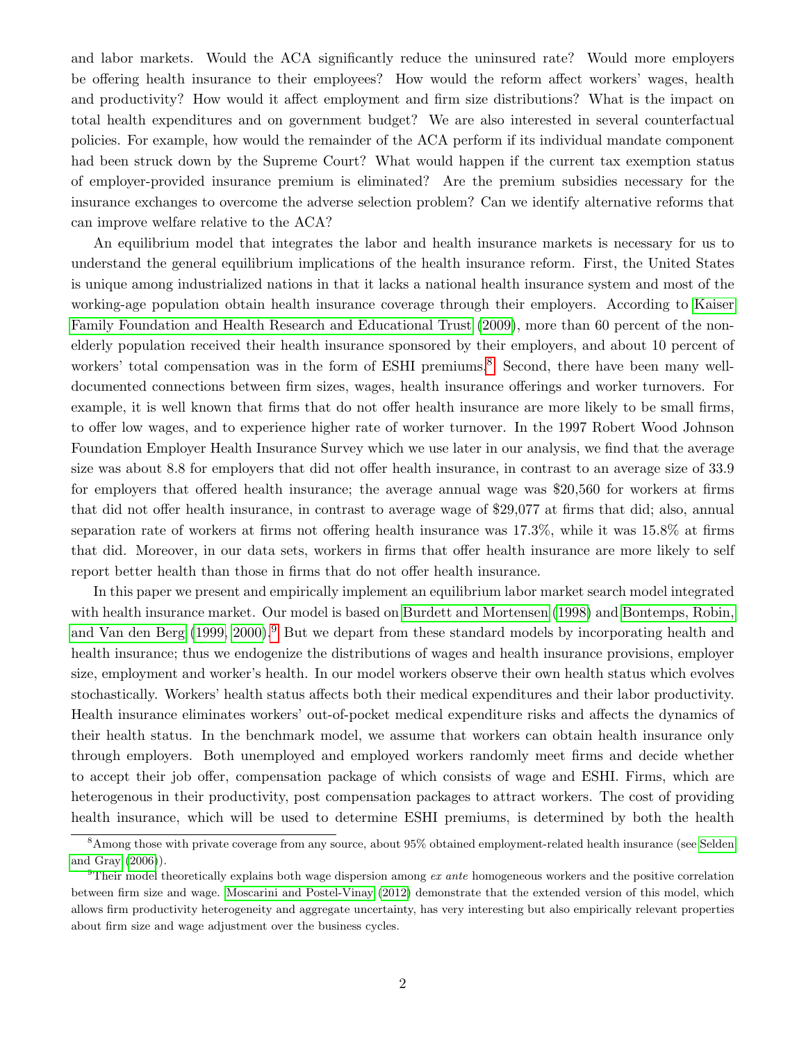and labor markets. Would the ACA significantly reduce the uninsured rate? Would more employers be offering health insurance to their employees? How would the reform affect workers' wages, health and productivity? How would it affect employment and firm size distributions? What is the impact on total health expenditures and on government budget? We are also interested in several counterfactual policies. For example, how would the remainder of the ACA perform if its individual mandate component had been struck down by the Supreme Court? What would happen if the current tax exemption status of employer-provided insurance premium is eliminated? Are the premium subsidies necessary for the insurance exchanges to overcome the adverse selection problem? Can we identify alternative reforms that can improve welfare relative to the ACA?

An equilibrium model that integrates the labor and health insurance markets is necessary for us to understand the general equilibrium implications of the health insurance reform. First, the United States is unique among industrialized nations in that it lacks a national health insurance system and most of the working-age population obtain health insurance coverage through their employers. According to [Kaiser](#page-50-0) [Family Foundation and Health Research and Educational Trust \(2009\)](#page-50-0), more than 60 percent of the nonelderly population received their health insurance sponsored by their employers, and about 10 percent of workers' total compensation was in the form of ESHI premiums.<sup>[8](#page-2-0)</sup> Second, there have been many welldocumented connections between firm sizes, wages, health insurance offerings and worker turnovers. For example, it is well known that firms that do not offer health insurance are more likely to be small firms, to offer low wages, and to experience higher rate of worker turnover. In the 1997 Robert Wood Johnson Foundation Employer Health Insurance Survey which we use later in our analysis, we find that the average size was about 8.8 for employers that did not offer health insurance, in contrast to an average size of 33.9 for employers that offered health insurance; the average annual wage was \$20,560 for workers at firms that did not offer health insurance, in contrast to average wage of \$29,077 at firms that did; also, annual separation rate of workers at firms not offering health insurance was 17.3%, while it was 15.8% at firms that did. Moreover, in our data sets, workers in firms that offer health insurance are more likely to self report better health than those in firms that do not offer health insurance.

In this paper we present and empirically implement an equilibrium labor market search model integrated with health insurance market. Our model is based on [Burdett and Mortensen \(1998\)](#page-49-0) and [Bontemps, Robin,](#page-49-1) [and Van den Berg \(1999,](#page-49-1) [2000\)](#page-49-2).<sup>[9](#page-2-1)</sup> But we depart from these standard models by incorporating health and health insurance; thus we endogenize the distributions of wages and health insurance provisions, employer size, employment and worker's health. In our model workers observe their own health status which evolves stochastically. Workers' health status affects both their medical expenditures and their labor productivity. Health insurance eliminates workers' out-of-pocket medical expenditure risks and affects the dynamics of their health status. In the benchmark model, we assume that workers can obtain health insurance only through employers. Both unemployed and employed workers randomly meet firms and decide whether to accept their job offer, compensation package of which consists of wage and ESHI. Firms, which are heterogenous in their productivity, post compensation packages to attract workers. The cost of providing health insurance, which will be used to determine ESHI premiums, is determined by both the health

<span id="page-2-0"></span><sup>8</sup>Among those with private coverage from any source, about 95% obtained employment-related health insurance (see [Selden](#page-51-0) [and Gray](#page-51-0) [\(2006\)](#page-51-0)).

<span id="page-2-1"></span><sup>&</sup>lt;sup>9</sup>Their model theoretically explains both wage dispersion among *ex ante* homogeneous workers and the positive correlation between firm size and wage. [Moscarini and Postel-Vinay](#page-50-1) [\(2012\)](#page-50-1) demonstrate that the extended version of this model, which allows firm productivity heterogeneity and aggregate uncertainty, has very interesting but also empirically relevant properties about firm size and wage adjustment over the business cycles.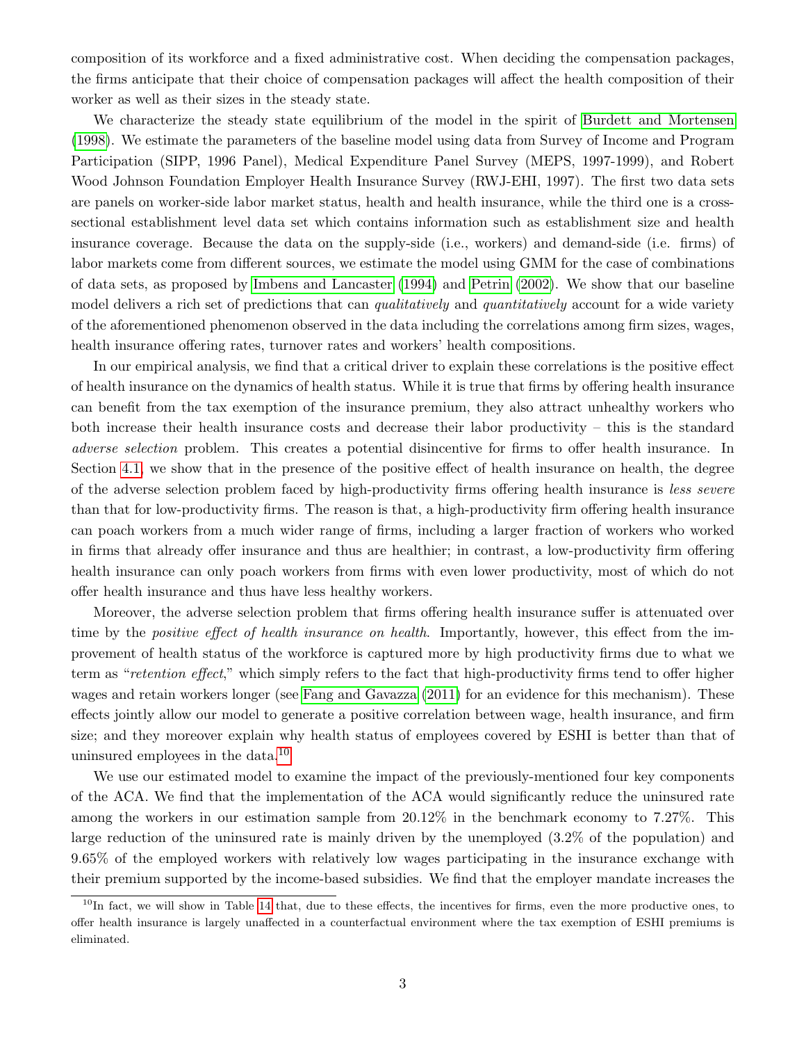composition of its workforce and a fixed administrative cost. When deciding the compensation packages, the firms anticipate that their choice of compensation packages will affect the health composition of their worker as well as their sizes in the steady state.

We characterize the steady state equilibrium of the model in the spirit of [Burdett and Mortensen](#page-49-0) [\(1998\)](#page-49-0). We estimate the parameters of the baseline model using data from Survey of Income and Program Participation (SIPP, 1996 Panel), Medical Expenditure Panel Survey (MEPS, 1997-1999), and Robert Wood Johnson Foundation Employer Health Insurance Survey (RWJ-EHI, 1997). The first two data sets are panels on worker-side labor market status, health and health insurance, while the third one is a crosssectional establishment level data set which contains information such as establishment size and health insurance coverage. Because the data on the supply-side (i.e., workers) and demand-side (i.e. firms) of labor markets come from different sources, we estimate the model using GMM for the case of combinations of data sets, as proposed by [Imbens and Lancaster \(1994\)](#page-50-2) and [Petrin \(2002\)](#page-51-1). We show that our baseline model delivers a rich set of predictions that can *qualitatively* and *quantitatively* account for a wide variety of the aforementioned phenomenon observed in the data including the correlations among firm sizes, wages, health insurance offering rates, turnover rates and workers' health compositions.

In our empirical analysis, we find that a critical driver to explain these correlations is the positive effect of health insurance on the dynamics of health status. While it is true that firms by offering health insurance can benefit from the tax exemption of the insurance premium, they also attract unhealthy workers who both increase their health insurance costs and decrease their labor productivity – this is the standard adverse selection problem. This creates a potential disincentive for firms to offer health insurance. In Section [4.1,](#page-16-0) we show that in the presence of the positive effect of health insurance on health, the degree of the adverse selection problem faced by high-productivity firms offering health insurance is less severe than that for low-productivity firms. The reason is that, a high-productivity firm offering health insurance can poach workers from a much wider range of firms, including a larger fraction of workers who worked in firms that already offer insurance and thus are healthier; in contrast, a low-productivity firm offering health insurance can only poach workers from firms with even lower productivity, most of which do not offer health insurance and thus have less healthy workers.

Moreover, the adverse selection problem that firms offering health insurance suffer is attenuated over time by the *positive effect of health insurance on health*. Importantly, however, this effect from the improvement of health status of the workforce is captured more by high productivity firms due to what we term as "retention effect," which simply refers to the fact that high-productivity firms tend to offer higher wages and retain workers longer (see [Fang and Gavazza \(2011\)](#page-50-3) for an evidence for this mechanism). These effects jointly allow our model to generate a positive correlation between wage, health insurance, and firm size; and they moreover explain why health status of employees covered by ESHI is better than that of uninsured employees in the data.[10](#page-3-0)

We use our estimated model to examine the impact of the previously-mentioned four key components of the ACA. We find that the implementation of the ACA would significantly reduce the uninsured rate among the workers in our estimation sample from 20.12% in the benchmark economy to 7.27%. This large reduction of the uninsured rate is mainly driven by the unemployed (3.2% of the population) and 9.65% of the employed workers with relatively low wages participating in the insurance exchange with their premium supported by the income-based subsidies. We find that the employer mandate increases the

<span id="page-3-0"></span> $10$ In fact, we will show in Table [14](#page-44-0) that, due to these effects, the incentives for firms, even the more productive ones, to offer health insurance is largely unaffected in a counterfactual environment where the tax exemption of ESHI premiums is eliminated.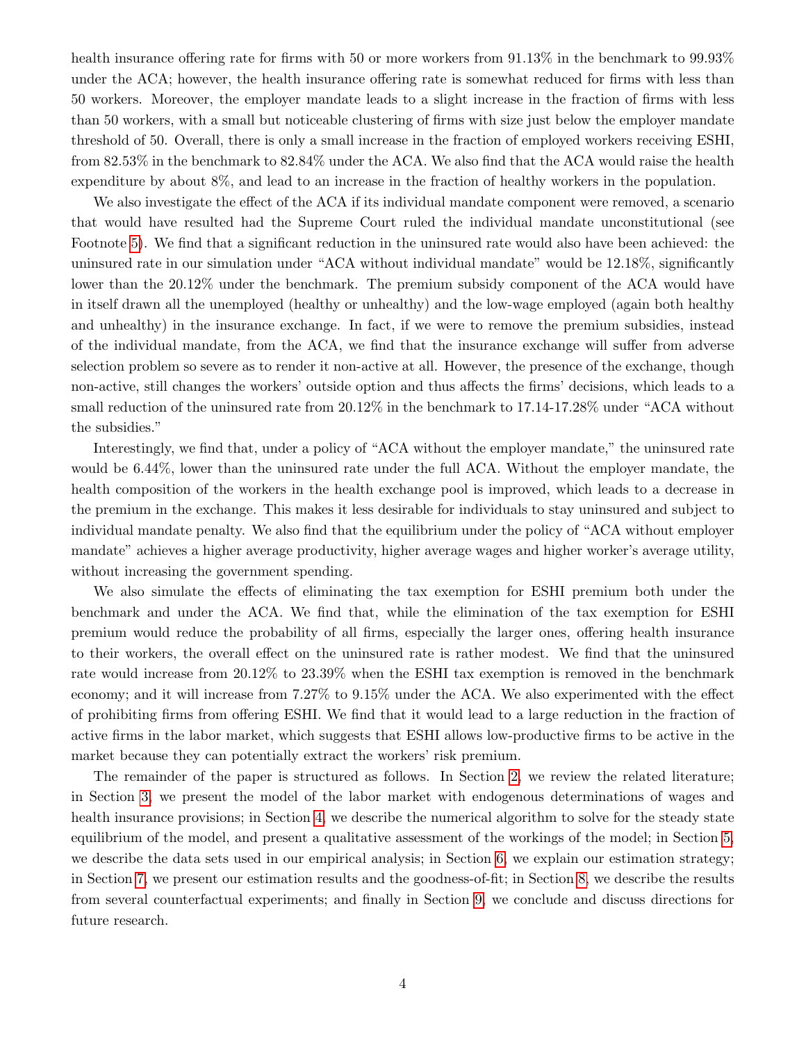health insurance offering rate for firms with 50 or more workers from  $91.13\%$  in the benchmark to  $99.93\%$ under the ACA; however, the health insurance offering rate is somewhat reduced for firms with less than 50 workers. Moreover, the employer mandate leads to a slight increase in the fraction of firms with less than 50 workers, with a small but noticeable clustering of firms with size just below the employer mandate threshold of 50. Overall, there is only a small increase in the fraction of employed workers receiving ESHI, from 82.53% in the benchmark to 82.84% under the ACA. We also find that the ACA would raise the health expenditure by about 8%, and lead to an increase in the fraction of healthy workers in the population.

We also investigate the effect of the ACA if its individual mandate component were removed, a scenario that would have resulted had the Supreme Court ruled the individual mandate unconstitutional (see Footnote [5\)](#page-1-4). We find that a significant reduction in the uninsured rate would also have been achieved: the uninsured rate in our simulation under "ACA without individual mandate" would be 12.18%, significantly lower than the 20.12% under the benchmark. The premium subsidy component of the ACA would have in itself drawn all the unemployed (healthy or unhealthy) and the low-wage employed (again both healthy and unhealthy) in the insurance exchange. In fact, if we were to remove the premium subsidies, instead of the individual mandate, from the ACA, we find that the insurance exchange will suffer from adverse selection problem so severe as to render it non-active at all. However, the presence of the exchange, though non-active, still changes the workers' outside option and thus affects the firms' decisions, which leads to a small reduction of the uninsured rate from 20.12% in the benchmark to 17.14-17.28% under "ACA without the subsidies."

Interestingly, we find that, under a policy of "ACA without the employer mandate," the uninsured rate would be  $6.44\%$ , lower than the uninsured rate under the full ACA. Without the employer mandate, the health composition of the workers in the health exchange pool is improved, which leads to a decrease in the premium in the exchange. This makes it less desirable for individuals to stay uninsured and subject to individual mandate penalty. We also find that the equilibrium under the policy of "ACA without employer mandate" achieves a higher average productivity, higher average wages and higher worker's average utility, without increasing the government spending.

We also simulate the effects of eliminating the tax exemption for ESHI premium both under the benchmark and under the ACA. We find that, while the elimination of the tax exemption for ESHI premium would reduce the probability of all firms, especially the larger ones, offering health insurance to their workers, the overall effect on the uninsured rate is rather modest. We find that the uninsured rate would increase from 20.12% to 23.39% when the ESHI tax exemption is removed in the benchmark economy; and it will increase from 7.27% to 9.15% under the ACA. We also experimented with the effect of prohibiting firms from offering ESHI. We find that it would lead to a large reduction in the fraction of active firms in the labor market, which suggests that ESHI allows low-productive firms to be active in the market because they can potentially extract the workers' risk premium.

The remainder of the paper is structured as follows. In Section [2,](#page-5-0) we review the related literature; in Section [3,](#page-6-0) we present the model of the labor market with endogenous determinations of wages and health insurance provisions; in Section [4,](#page-16-1) we describe the numerical algorithm to solve for the steady state equilibrium of the model, and present a qualitative assessment of the workings of the model; in Section [5,](#page-20-0) we describe the data sets used in our empirical analysis; in Section [6,](#page-22-0) we explain our estimation strategy; in Section [7,](#page-27-0) we present our estimation results and the goodness-of-fit; in Section [8,](#page-30-0) we describe the results from several counterfactual experiments; and finally in Section [9,](#page-48-0) we conclude and discuss directions for future research.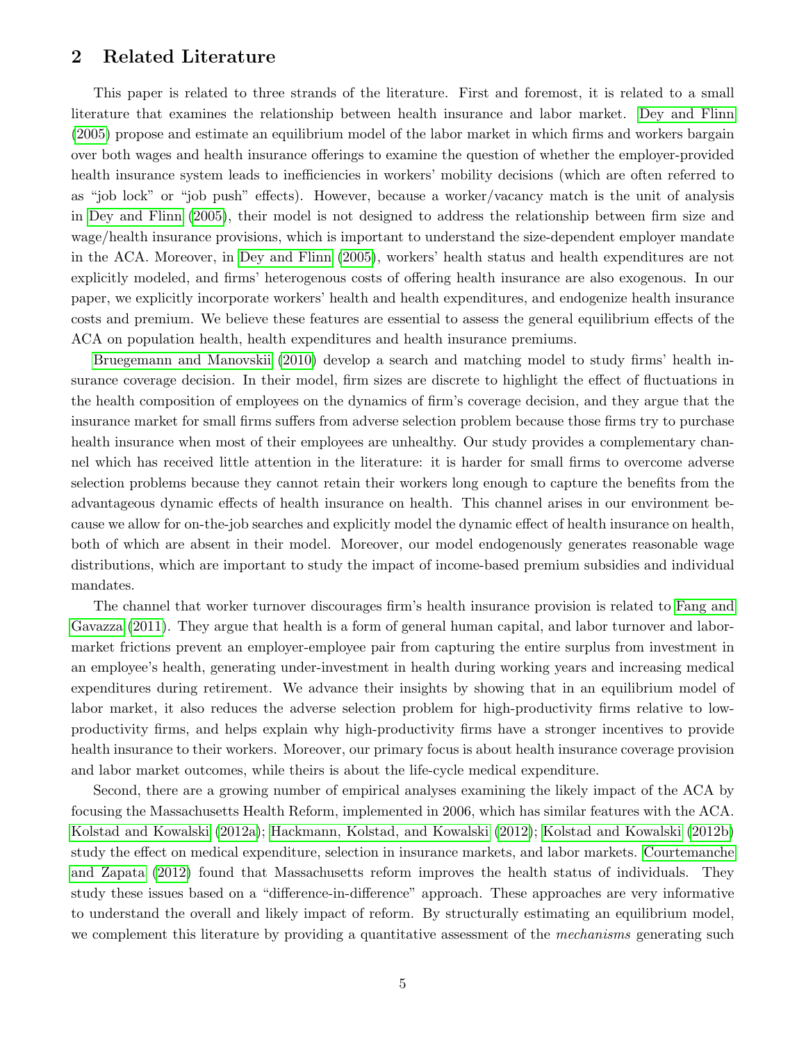# <span id="page-5-0"></span>2 Related Literature

This paper is related to three strands of the literature. First and foremost, it is related to a small literature that examines the relationship between health insurance and labor market. [Dey and Flinn](#page-50-4) [\(2005\)](#page-50-4) propose and estimate an equilibrium model of the labor market in which firms and workers bargain over both wages and health insurance offerings to examine the question of whether the employer-provided health insurance system leads to inefficiencies in workers' mobility decisions (which are often referred to as "job lock" or "job push" effects). However, because a worker/vacancy match is the unit of analysis in [Dey and Flinn \(2005\)](#page-50-4), their model is not designed to address the relationship between firm size and wage/health insurance provisions, which is important to understand the size-dependent employer mandate in the ACA. Moreover, in [Dey and Flinn \(2005\)](#page-50-4), workers' health status and health expenditures are not explicitly modeled, and firms' heterogenous costs of offering health insurance are also exogenous. In our paper, we explicitly incorporate workers' health and health expenditures, and endogenize health insurance costs and premium. We believe these features are essential to assess the general equilibrium effects of the ACA on population health, health expenditures and health insurance premiums.

[Bruegemann and Manovskii \(2010\)](#page-49-3) develop a search and matching model to study firms' health insurance coverage decision. In their model, firm sizes are discrete to highlight the effect of fluctuations in the health composition of employees on the dynamics of firm's coverage decision, and they argue that the insurance market for small firms suffers from adverse selection problem because those firms try to purchase health insurance when most of their employees are unhealthy. Our study provides a complementary channel which has received little attention in the literature: it is harder for small firms to overcome adverse selection problems because they cannot retain their workers long enough to capture the benefits from the advantageous dynamic effects of health insurance on health. This channel arises in our environment because we allow for on-the-job searches and explicitly model the dynamic effect of health insurance on health, both of which are absent in their model. Moreover, our model endogenously generates reasonable wage distributions, which are important to study the impact of income-based premium subsidies and individual mandates.

The channel that worker turnover discourages firm's health insurance provision is related to [Fang and](#page-50-3) [Gavazza \(2011\)](#page-50-3). They argue that health is a form of general human capital, and labor turnover and labormarket frictions prevent an employer-employee pair from capturing the entire surplus from investment in an employee's health, generating under-investment in health during working years and increasing medical expenditures during retirement. We advance their insights by showing that in an equilibrium model of labor market, it also reduces the adverse selection problem for high-productivity firms relative to lowproductivity firms, and helps explain why high-productivity firms have a stronger incentives to provide health insurance to their workers. Moreover, our primary focus is about health insurance coverage provision and labor market outcomes, while theirs is about the life-cycle medical expenditure.

Second, there are a growing number of empirical analyses examining the likely impact of the ACA by focusing the Massachusetts Health Reform, implemented in 2006, which has similar features with the ACA. [Kolstad and Kowalski \(2012a\)](#page-50-5); [Hackmann, Kolstad, and Kowalski \(2012\)](#page-50-6); [Kolstad and Kowalski \(2012b\)](#page-50-7) study the effect on medical expenditure, selection in insurance markets, and labor markets. [Courtemanche](#page-49-4) [and Zapata \(2012\)](#page-49-4) found that Massachusetts reform improves the health status of individuals. They study these issues based on a "difference-in-difference" approach. These approaches are very informative to understand the overall and likely impact of reform. By structurally estimating an equilibrium model, we complement this literature by providing a quantitative assessment of the *mechanisms* generating such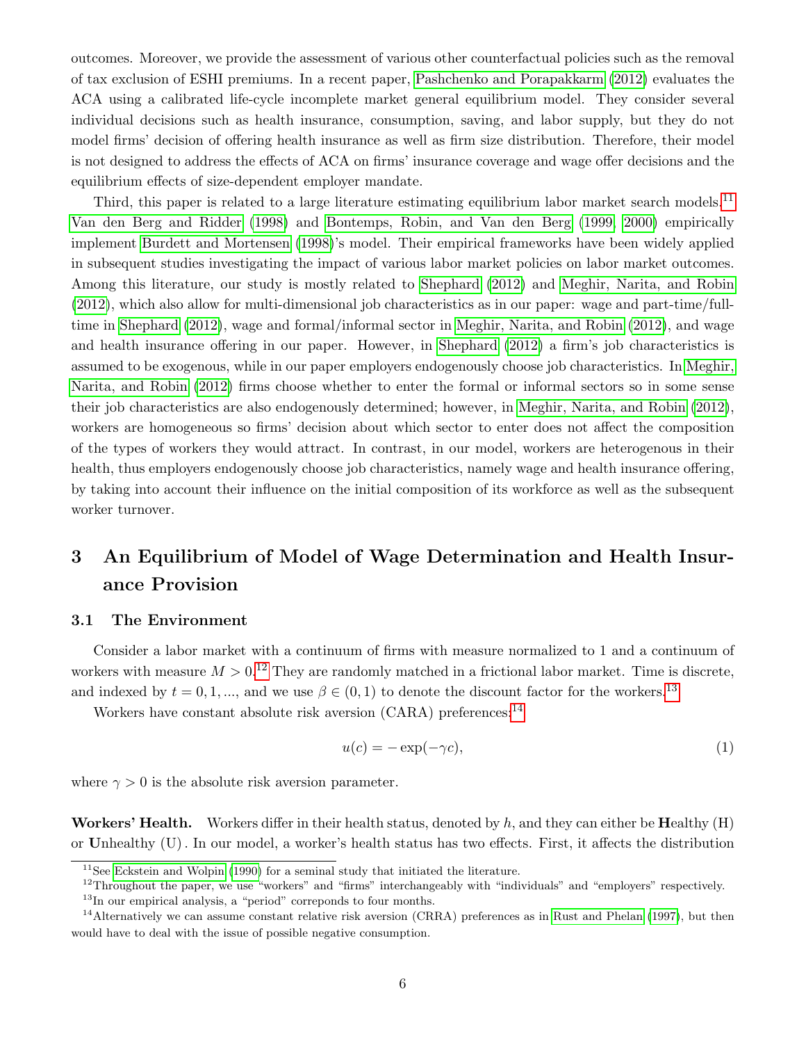outcomes. Moreover, we provide the assessment of various other counterfactual policies such as the removal of tax exclusion of ESHI premiums. In a recent paper, [Pashchenko and Porapakkarm \(2012\)](#page-51-2) evaluates the ACA using a calibrated life-cycle incomplete market general equilibrium model. They consider several individual decisions such as health insurance, consumption, saving, and labor supply, but they do not model firms' decision of offering health insurance as well as firm size distribution. Therefore, their model is not designed to address the effects of ACA on firms' insurance coverage and wage offer decisions and the equilibrium effects of size-dependent employer mandate.

Third, this paper is related to a large literature estimating equilibrium labor market search models.<sup>[11](#page-6-1)</sup> [Van den Berg and Ridder \(1998\)](#page-51-3) and [Bontemps, Robin, and Van den Berg \(1999,](#page-49-1) [2000\)](#page-49-2) empirically implement [Burdett and Mortensen \(1998\)](#page-49-0)'s model. Their empirical frameworks have been widely applied in subsequent studies investigating the impact of various labor market policies on labor market outcomes. Among this literature, our study is mostly related to [Shephard \(2012\)](#page-51-4) and [Meghir, Narita, and Robin](#page-50-8) [\(2012\)](#page-50-8), which also allow for multi-dimensional job characteristics as in our paper: wage and part-time/fulltime in [Shephard \(2012\)](#page-51-4), wage and formal/informal sector in [Meghir, Narita, and Robin \(2012\)](#page-50-8), and wage and health insurance offering in our paper. However, in [Shephard \(2012\)](#page-51-4) a firm's job characteristics is assumed to be exogenous, while in our paper employers endogenously choose job characteristics. In [Meghir,](#page-50-8) [Narita, and Robin \(2012\)](#page-50-8) firms choose whether to enter the formal or informal sectors so in some sense their job characteristics are also endogenously determined; however, in [Meghir, Narita, and Robin \(2012\)](#page-50-8), workers are homogeneous so firms' decision about which sector to enter does not affect the composition of the types of workers they would attract. In contrast, in our model, workers are heterogenous in their health, thus employers endogenously choose job characteristics, namely wage and health insurance offering, by taking into account their influence on the initial composition of its workforce as well as the subsequent worker turnover.

# <span id="page-6-0"></span>3 An Equilibrium of Model of Wage Determination and Health Insurance Provision

#### <span id="page-6-5"></span>3.1 The Environment

Consider a labor market with a continuum of firms with measure normalized to 1 and a continuum of workers with measure  $M > 0.12$  $M > 0.12$  They are randomly matched in a frictional labor market. Time is discrete, and indexed by  $t = 0, 1, \dots$ , and we use  $\beta \in (0, 1)$  to denote the discount factor for the workers.<sup>[13](#page-6-3)</sup>

Workers have constant absolute risk aversion  $(CARA)$  preferences:<sup>[14](#page-6-4)</sup>

$$
u(c) = -\exp(-\gamma c),\tag{1}
$$

where  $\gamma > 0$  is the absolute risk aversion parameter.

**Workers' Health.** Workers differ in their health status, denoted by h, and they can either be **Healthy**  $(H)$ or Unhealthy (U). In our model, a worker's health status has two effects. First, it affects the distribution

<span id="page-6-1"></span> $11$ See [Eckstein and Wolpin](#page-50-9) [\(1990\)](#page-50-9) for a seminal study that initiated the literature.

<span id="page-6-2"></span><sup>&</sup>lt;sup>12</sup>Throughout the paper, we use "workers" and "firms" interchangeably with "individuals" and "employers" respectively.

<span id="page-6-4"></span><span id="page-6-3"></span><sup>13</sup>In our empirical analysis, a "period" correponds to four months.

<sup>&</sup>lt;sup>14</sup>Alternatively we can assume constant relative risk aversion (CRRA) preferences as in [Rust and Phelan](#page-51-5) [\(1997\)](#page-51-5), but then would have to deal with the issue of possible negative consumption.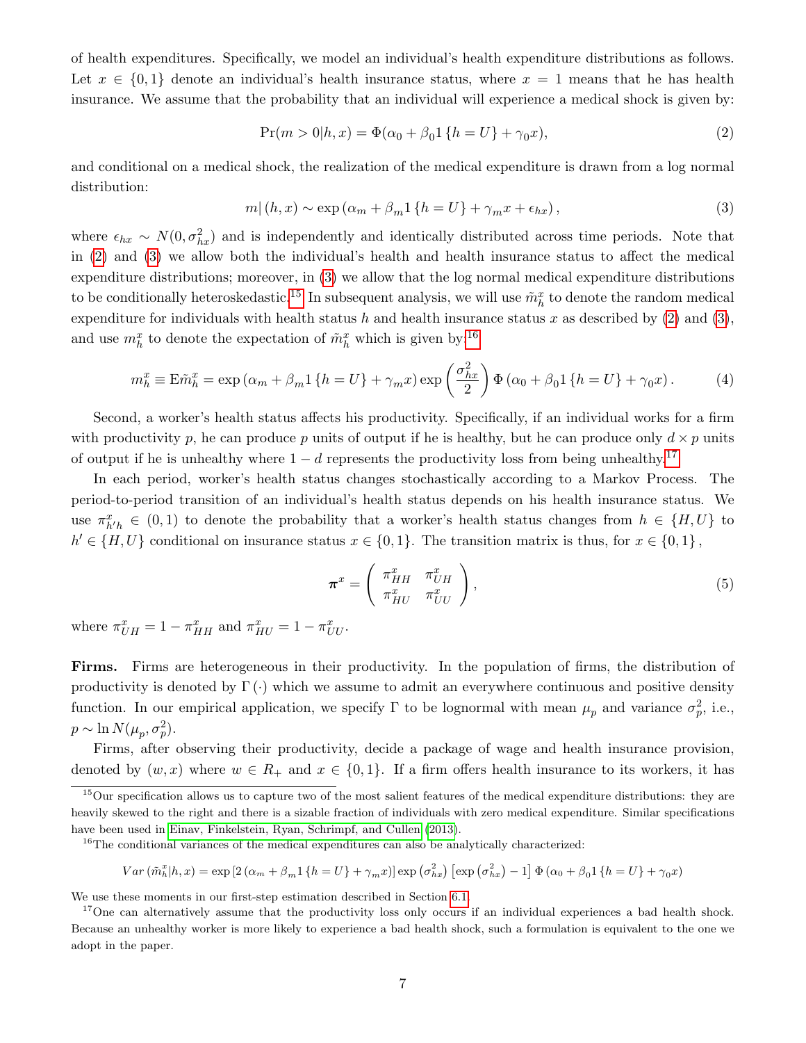of health expenditures. Specifically, we model an individual's health expenditure distributions as follows. Let  $x \in \{0,1\}$  denote an individual's health insurance status, where  $x = 1$  means that he has health insurance. We assume that the probability that an individual will experience a medical shock is given by:

<span id="page-7-0"></span>
$$
Pr(m > 0|h, x) = \Phi(\alpha_0 + \beta_0 1 \{h = U\} + \gamma_0 x),
$$
\n(2)

and conditional on a medical shock, the realization of the medical expenditure is drawn from a log normal distribution:

<span id="page-7-1"></span>
$$
m|(h,x) \sim \exp\left(\alpha_m + \beta_m 1\left\{h = U\right\} + \gamma_m x + \epsilon_{hx}\right),\tag{3}
$$

where  $\epsilon_{hx} \sim N(0, \sigma_{hx}^2)$  and is independently and identically distributed across time periods. Note that in [\(2\)](#page-7-0) and [\(3\)](#page-7-1) we allow both the individual's health and health insurance status to affect the medical expenditure distributions; moreover, in [\(3\)](#page-7-1) we allow that the log normal medical expenditure distributions to be conditionally heteroskedastic.<sup>[15](#page-7-2)</sup> In subsequent analysis, we will use  $\tilde{m}_h^x$  to denote the random medical expenditure for individuals with health status h and health insurance status x as described by  $(2)$  and  $(3)$ , and use  $m_h^x$  to denote the expectation of  $\tilde{m}_h^x$  which is given by:<sup>[16](#page-7-3)</sup>

<span id="page-7-6"></span>
$$
m_h^x \equiv \mathbf{E}\tilde{m}_h^x = \exp\left(\alpha_m + \beta_m 1\left\{h = U\right\} + \gamma_m x\right) \exp\left(\frac{\sigma_{hx}^2}{2}\right) \Phi\left(\alpha_0 + \beta_0 1\left\{h = U\right\} + \gamma_0 x\right). \tag{4}
$$

Second, a worker's health status affects his productivity. Specifically, if an individual works for a firm with productivity p, he can produce p units of output if he is healthy, but he can produce only  $d \times p$  units of output if he is unhealthy where  $1 - d$  represents the productivity loss from being unhealthy.<sup>[17](#page-7-4)</sup>

In each period, worker's health status changes stochastically according to a Markov Process. The period-to-period transition of an individual's health status depends on his health insurance status. We use  $\pi_{h'h}^x \in (0,1)$  to denote the probability that a worker's health status changes from  $h \in \{H, U\}$  to  $h' \in \{H, U\}$  conditional on insurance status  $x \in \{0, 1\}$ . The transition matrix is thus, for  $x \in \{0, 1\}$ ,

<span id="page-7-5"></span>
$$
\boldsymbol{\pi}^x = \left( \begin{array}{cc} \pi_{HH}^x & \pi_{UH}^x \\ \pi_{HU}^x & \pi_{UU}^x \end{array} \right), \tag{5}
$$

where  $\pi_{UH}^x = 1 - \pi_{HH}^x$  and  $\pi_{HU}^x = 1 - \pi_{UU}^x$ .

Firms. Firms are heterogeneous in their productivity. In the population of firms, the distribution of productivity is denoted by  $\Gamma(\cdot)$  which we assume to admit an everywhere continuous and positive density function. In our empirical application, we specify  $\Gamma$  to be lognormal with mean  $\mu_p$  and variance  $\sigma_p^2$ , i.e.,  $p \sim \ln N(\mu_p, \sigma_p^2)$ .

Firms, after observing their productivity, decide a package of wage and health insurance provision, denoted by  $(w, x)$  where  $w \in R_+$  and  $x \in \{0, 1\}$ . If a firm offers health insurance to its workers, it has

$$
Var\left(\tilde{m}_h^x | h, x\right) = \exp\left[2\left(\alpha_m + \beta_m 1\left\{h = U\right\} + \gamma_m x\right)\right] \exp\left(\sigma_{hx}^2\right) \left[\exp\left(\sigma_{hx}^2\right) - 1\right] \Phi\left(\alpha_0 + \beta_0 1\left\{h = U\right\} + \gamma_0 x\right)
$$

We use these moments in our first-step estimation described in Section [6.1.](#page-23-0)

<span id="page-7-2"></span><sup>&</sup>lt;sup>15</sup>Our specification allows us to capture two of the most salient features of the medical expenditure distributions: they are heavily skewed to the right and there is a sizable fraction of individuals with zero medical expenditure. Similar specifications have been used in [Einav, Finkelstein, Ryan, Schrimpf, and Cullen](#page-50-10) [\(2013\)](#page-50-10).

<span id="page-7-3"></span><sup>&</sup>lt;sup>16</sup>The conditional variances of the medical expenditures can also be analytically characterized:

<span id="page-7-4"></span><sup>&</sup>lt;sup>17</sup>One can alternatively assume that the productivity loss only occurs if an individual experiences a bad health shock. Because an unhealthy worker is more likely to experience a bad health shock, such a formulation is equivalent to the one we adopt in the paper.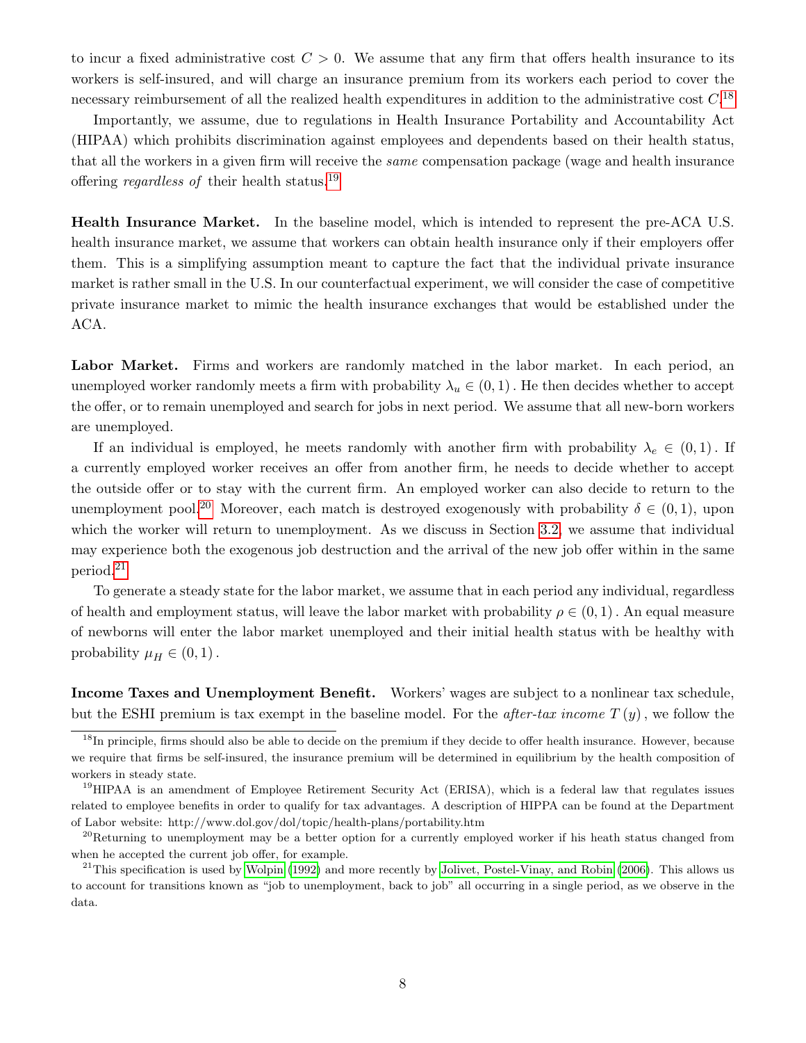to incur a fixed administrative cost  $C > 0$ . We assume that any firm that offers health insurance to its workers is self-insured, and will charge an insurance premium from its workers each period to cover the necessary reimbursement of all the realized health expenditures in addition to the administrative cost  $C<sup>18</sup>$  $C<sup>18</sup>$  $C<sup>18</sup>$ 

Importantly, we assume, due to regulations in Health Insurance Portability and Accountability Act (HIPAA) which prohibits discrimination against employees and dependents based on their health status, that all the workers in a given firm will receive the same compensation package (wage and health insurance offering *regardless of* their health status.<sup>[19](#page-8-1)</sup>

Health Insurance Market. In the baseline model, which is intended to represent the pre-ACA U.S. health insurance market, we assume that workers can obtain health insurance only if their employers offer them. This is a simplifying assumption meant to capture the fact that the individual private insurance market is rather small in the U.S. In our counterfactual experiment, we will consider the case of competitive private insurance market to mimic the health insurance exchanges that would be established under the ACA.

Labor Market. Firms and workers are randomly matched in the labor market. In each period, an unemployed worker randomly meets a firm with probability  $\lambda_u \in (0,1)$ . He then decides whether to accept the offer, or to remain unemployed and search for jobs in next period. We assume that all new-born workers are unemployed.

If an individual is employed, he meets randomly with another firm with probability  $\lambda_e \in (0,1)$ . If a currently employed worker receives an offer from another firm, he needs to decide whether to accept the outside offer or to stay with the current firm. An employed worker can also decide to return to the unemployment pool.<sup>[20](#page-8-2)</sup> Moreover, each match is destroyed exogenously with probability  $\delta \in (0,1)$ , upon which the worker will return to unemployment. As we discuss in Section [3.2,](#page-9-0) we assume that individual may experience both the exogenous job destruction and the arrival of the new job offer within in the same period.[21](#page-8-3)

To generate a steady state for the labor market, we assume that in each period any individual, regardless of health and employment status, will leave the labor market with probability  $\rho \in (0,1)$ . An equal measure of newborns will enter the labor market unemployed and their initial health status with be healthy with probability  $\mu_H \in (0,1)$ .

Income Taxes and Unemployment Benefit. Workers' wages are subject to a nonlinear tax schedule, but the ESHI premium is tax exempt in the baseline model. For the *after-tax income*  $T(y)$ , we follow the

<span id="page-8-0"></span><sup>&</sup>lt;sup>18</sup>In principle, firms should also be able to decide on the premium if they decide to offer health insurance. However, because we require that firms be self-insured, the insurance premium will be determined in equilibrium by the health composition of workers in steady state.

<span id="page-8-1"></span><sup>&</sup>lt;sup>19</sup>HIPAA is an amendment of Employee Retirement Security Act (ERISA), which is a federal law that regulates issues related to employee benefits in order to qualify for tax advantages. A description of HIPPA can be found at the Department of Labor website: http://www.dol.gov/dol/topic/health-plans/portability.htm

<span id="page-8-2"></span> $^{20}$ Returning to unemployment may be a better option for a currently employed worker if his heath status changed from when he accepted the current job offer, for example.

<span id="page-8-3"></span> $^{21}$ This specification is used by [Wolpin](#page-51-6) [\(1992\)](#page-51-6) and more recently by [Jolivet, Postel-Vinay, and Robin](#page-50-11) [\(2006\)](#page-50-11). This allows us to account for transitions known as "job to unemployment, back to job" all occurring in a single period, as we observe in the data.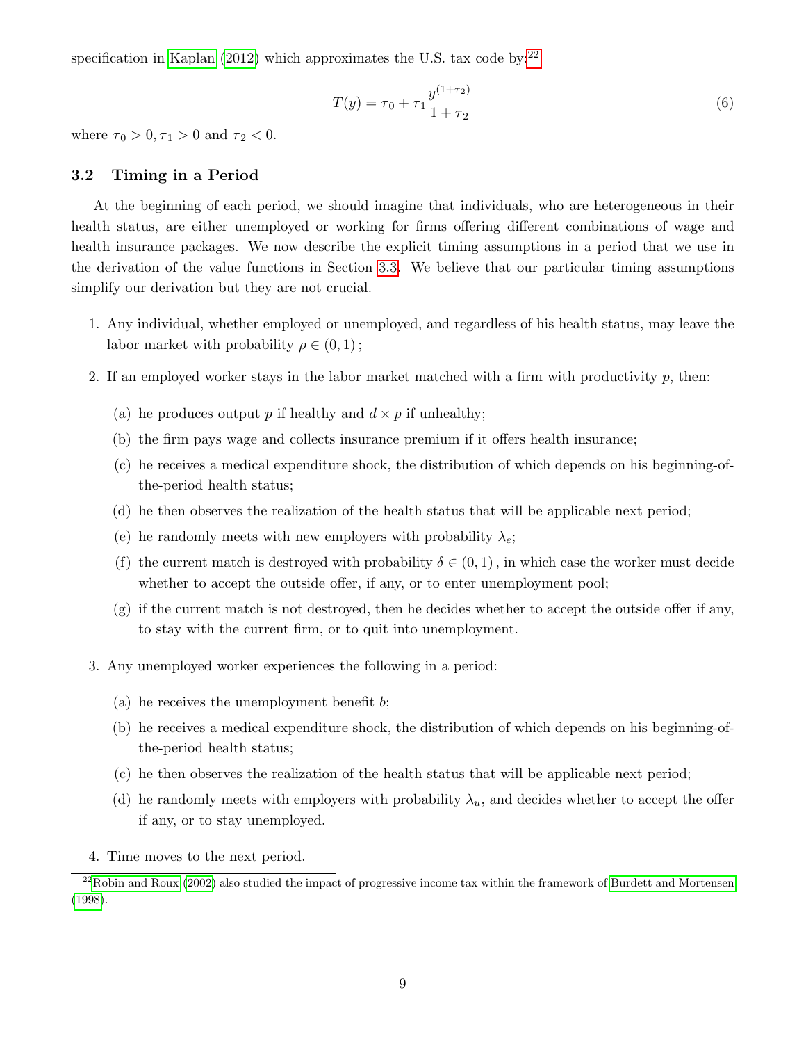specification in [Kaplan \(2012\)](#page-50-12) which approximates the U.S. tax code by: $^{22}$  $^{22}$  $^{22}$ 

<span id="page-9-2"></span>
$$
T(y) = \tau_0 + \tau_1 \frac{y^{(1+\tau_2)}}{1+\tau_2} \tag{6}
$$

where  $\tau_0 > 0, \tau_1 > 0$  and  $\tau_2 < 0$ .

### <span id="page-9-0"></span>3.2 Timing in a Period

At the beginning of each period, we should imagine that individuals, who are heterogeneous in their health status, are either unemployed or working for firms offering different combinations of wage and health insurance packages. We now describe the explicit timing assumptions in a period that we use in the derivation of the value functions in Section [3.3.](#page-10-0) We believe that our particular timing assumptions simplify our derivation but they are not crucial.

- 1. Any individual, whether employed or unemployed, and regardless of his health status, may leave the labor market with probability  $\rho \in (0,1)$ ;
- 2. If an employed worker stays in the labor market matched with a firm with productivity  $p$ , then:
	- (a) he produces output p if healthy and  $d \times p$  if unhealthy;
	- (b) the firm pays wage and collects insurance premium if it offers health insurance;
	- (c) he receives a medical expenditure shock, the distribution of which depends on his beginning-ofthe-period health status;
	- (d) he then observes the realization of the health status that will be applicable next period;
	- (e) he randomly meets with new employers with probability  $\lambda_e$ ;
	- (f) the current match is destroyed with probability  $\delta \in (0, 1)$ , in which case the worker must decide whether to accept the outside offer, if any, or to enter unemployment pool;
	- (g) if the current match is not destroyed, then he decides whether to accept the outside offer if any, to stay with the current firm, or to quit into unemployment.
- 3. Any unemployed worker experiences the following in a period:
	- (a) he receives the unemployment benefit  $b$ ;
	- (b) he receives a medical expenditure shock, the distribution of which depends on his beginning-ofthe-period health status;
	- (c) he then observes the realization of the health status that will be applicable next period;
	- (d) he randomly meets with employers with probability  $\lambda_u$ , and decides whether to accept the offer if any, or to stay unemployed.
- <span id="page-9-1"></span>4. Time moves to the next period.

 $^{22}$ [Robin and Roux](#page-51-7) [\(2002\)](#page-51-7) also studied the impact of progressive income tax within the framework of [Burdett and Mortensen](#page-49-0) [\(1998\)](#page-49-0).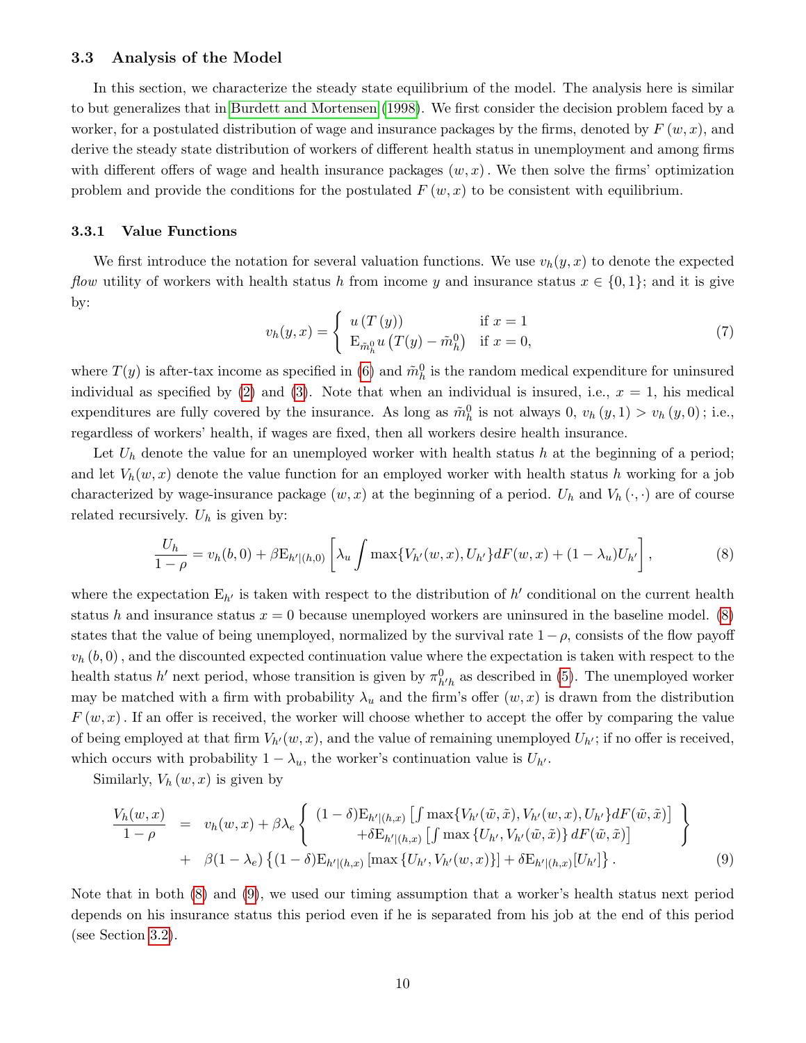### <span id="page-10-0"></span>3.3 Analysis of the Model

In this section, we characterize the steady state equilibrium of the model. The analysis here is similar to but generalizes that in [Burdett and Mortensen \(1998\)](#page-49-0). We first consider the decision problem faced by a worker, for a postulated distribution of wage and insurance packages by the firms, denoted by  $F(w, x)$ , and derive the steady state distribution of workers of different health status in unemployment and among firms with different offers of wage and health insurance packages  $(w, x)$ . We then solve the firms' optimization problem and provide the conditions for the postulated  $F(w, x)$  to be consistent with equilibrium.

#### 3.3.1 Value Functions

We first introduce the notation for several valuation functions. We use  $v_h(y, x)$  to denote the expected flow utility of workers with health status h from income y and insurance status  $x \in \{0,1\}$ ; and it is give by:

<span id="page-10-3"></span>
$$
v_h(y,x) = \begin{cases} u(T(y)) & \text{if } x = 1\\ \mathcal{E}_{\tilde{m}_h^0} u(T(y) - \tilde{m}_h^0) & \text{if } x = 0, \end{cases}
$$
 (7)

where  $T(y)$  is after-tax income as specified in [\(6\)](#page-9-2) and  $\tilde{m}_h^0$  is the random medical expenditure for uninsured individual as specified by [\(2\)](#page-7-0) and [\(3\)](#page-7-1). Note that when an individual is insured, i.e.,  $x = 1$ , his medical expenditures are fully covered by the insurance. As long as  $\tilde{m}_h^0$  is not always  $0, v_h(y, 1) > v_h(y, 0)$ ; i.e., regardless of workers' health, if wages are fixed, then all workers desire health insurance.

Let  $U_h$  denote the value for an unemployed worker with health status h at the beginning of a period; and let  $V_h(w, x)$  denote the value function for an employed worker with health status h working for a job characterized by wage-insurance package  $(w, x)$  at the beginning of a period.  $U_h$  and  $V_h(\cdot, \cdot)$  are of course related recursively.  $U_h$  is given by:

<span id="page-10-1"></span>
$$
\frac{U_h}{1-\rho} = v_h(b,0) + \beta \mathcal{E}_{h'|(h,0)} \left[ \lambda_u \int \max\{V_{h'}(w,x), U_{h'}\} dF(w,x) + (1-\lambda_u)U_{h'} \right],\tag{8}
$$

where the expectation  $E_{h'}$  is taken with respect to the distribution of  $h'$  conditional on the current health status h and insurance status  $x = 0$  because unemployed workers are uninsured in the baseline model. [\(8\)](#page-10-1) states that the value of being unemployed, normalized by the survival rate  $1 - \rho$ , consists of the flow payoff  $v<sub>h</sub>(b, 0)$ , and the discounted expected continuation value where the expectation is taken with respect to the health status h' next period, whose transition is given by  $\pi_{h'h}^0$  as described in [\(5\)](#page-7-5). The unemployed worker may be matched with a firm with probability  $\lambda_u$  and the firm's offer  $(w, x)$  is drawn from the distribution  $F(w, x)$ . If an offer is received, the worker will choose whether to accept the offer by comparing the value of being employed at that firm  $V_{h'}(w, x)$ , and the value of remaining unemployed  $U_{h'}$ ; if no offer is received, which occurs with probability  $1 - \lambda_u$ , the worker's continuation value is  $U_{h'}$ .

Similarly,  $V_h(w, x)$  is given by

<span id="page-10-2"></span>
$$
\frac{V_h(w,x)}{1-\rho} = v_h(w,x) + \beta \lambda_e \left\{ \begin{array}{l} (1-\delta) \mathcal{E}_{h'|(h,x)} \left[ \int \max \{ V_{h'}(\tilde{w}, \tilde{x}), V_{h'}(w,x), U_{h'} \} dF(\tilde{w}, \tilde{x}) \right] \\ + \delta \mathcal{E}_{h'|(h,x)} \left[ \int \max \{ U_{h'}, V_{h'}(\tilde{w}, \tilde{x}) \} dF(\tilde{w}, \tilde{x}) \right] \\ + \beta (1-\lambda_e) \left\{ (1-\delta) \mathcal{E}_{h'|(h,x)} \left[ \max \{ U_{h'}, V_{h'}(w,x) \} \right] + \delta \mathcal{E}_{h'|(h,x)} [U_{h'}] \right\}. \end{array} \right\} \tag{9}
$$

Note that in both [\(8\)](#page-10-1) and [\(9\)](#page-10-2), we used our timing assumption that a worker's health status next period depends on his insurance status this period even if he is separated from his job at the end of this period (see Section [3.2\)](#page-9-0).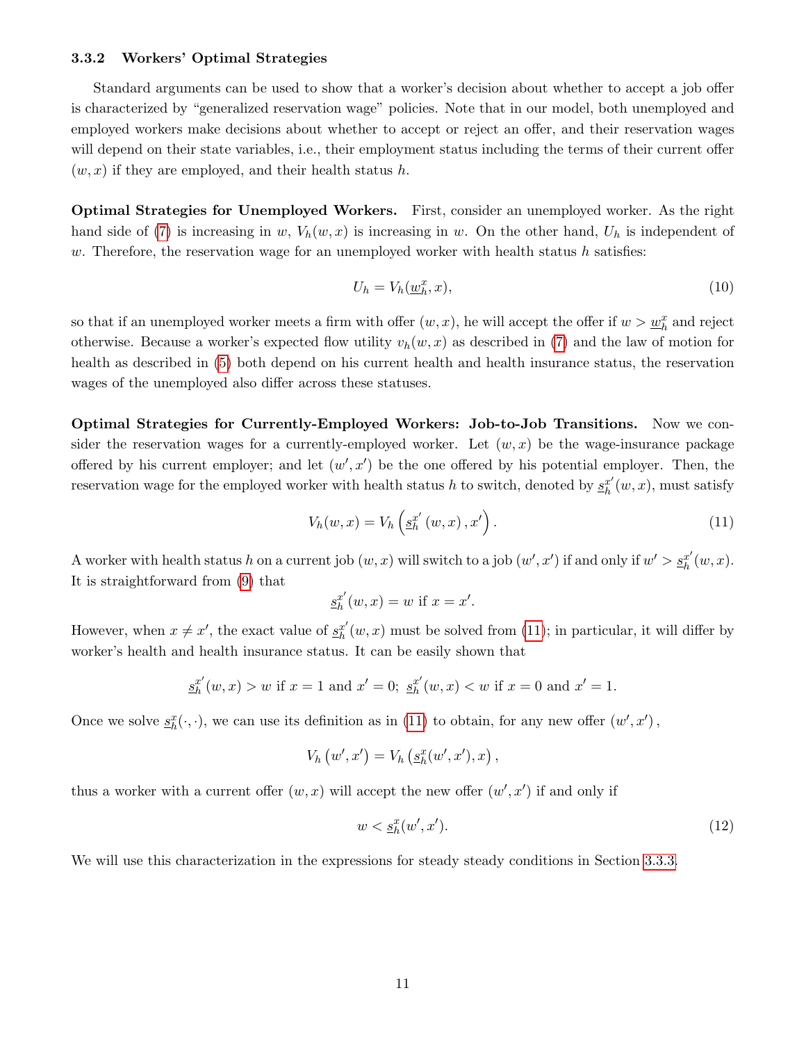### 3.3.2 Workers' Optimal Strategies

Standard arguments can be used to show that a worker's decision about whether to accept a job offer is characterized by "generalized reservation wage" policies. Note that in our model, both unemployed and employed workers make decisions about whether to accept or reject an offer, and their reservation wages will depend on their state variables, i.e., their employment status including the terms of their current offer  $(w, x)$  if they are employed, and their health status h.

Optimal Strategies for Unemployed Workers. First, consider an unemployed worker. As the right hand side of [\(7\)](#page-10-3) is increasing in w,  $V_h(w, x)$  is increasing in w. On the other hand,  $U_h$  is independent of  $w$ . Therefore, the reservation wage for an unemployed worker with health status  $h$  satisfies:

<span id="page-11-1"></span>
$$
U_h = V_h(\underline{w}_h^x, x),\tag{10}
$$

so that if an unemployed worker meets a firm with offer  $(w, x)$ , he will accept the offer if  $w > \underline{w}_h^x$  and reject otherwise. Because a worker's expected flow utility  $v_h(w, x)$  as described in [\(7\)](#page-10-3) and the law of motion for health as described in [\(5\)](#page-7-5) both depend on his current health and health insurance status, the reservation wages of the unemployed also differ across these statuses.

Optimal Strategies for Currently-Employed Workers: Job-to-Job Transitions. Now we consider the reservation wages for a currently-employed worker. Let  $(w, x)$  be the wage-insurance package offered by his current employer; and let  $(w', x')$  be the one offered by his potential employer. Then, the reservation wage for the employed worker with health status h to switch, denoted by  $\underline{s}_{h}^{x'}$  $h<sup>x'</sup>(w, x)$ , must satisfy

<span id="page-11-0"></span>
$$
V_h(w, x) = V_h\left(\underline{s}_h^{x'}\left(w, x\right), x'\right). \tag{11}
$$

A worker with health status h on a current job  $(w, x)$  will switch to a job  $(w', x')$  if and only if  $w' > \frac{g^{x'}}{h}$  $_{h}^{x^{\prime }}(w,x).$ It is straightforward from [\(9\)](#page-10-2) that

$$
\underline{s}_h^{x'}(w, x) = w \text{ if } x = x'.
$$

However, when  $x \neq x'$ , the exact value of  $\underline{s}^{x'}_h$  $h<sub>h</sub><sup>x'</sup>(w, x)$  must be solved from [\(11\)](#page-11-0); in particular, it will differ by worker's health and health insurance status. It can be easily shown that

$$
\underline{s}_h^{x'}(w,x) > w \text{ if } x = 1 \text{ and } x' = 0; \ \underline{s}_h^{x'}(w,x) < w \text{ if } x = 0 \text{ and } x' = 1.
$$

Once we solve  $\underline{s}_h^x(\cdot, \cdot)$ , we can use its definition as in [\(11\)](#page-11-0) to obtain, for any new offer  $(w', x')$ ,

$$
V_h(u',x') = V_h(g_h^x(w',x'),x),
$$

thus a worker with a current offer  $(w, x)$  will accept the new offer  $(w', x')$  if and only if

$$
w < \underline{s}_h^x(w', x').\tag{12}
$$

We will use this characterization in the expressions for steady steady conditions in Section [3.3.3.](#page-12-0)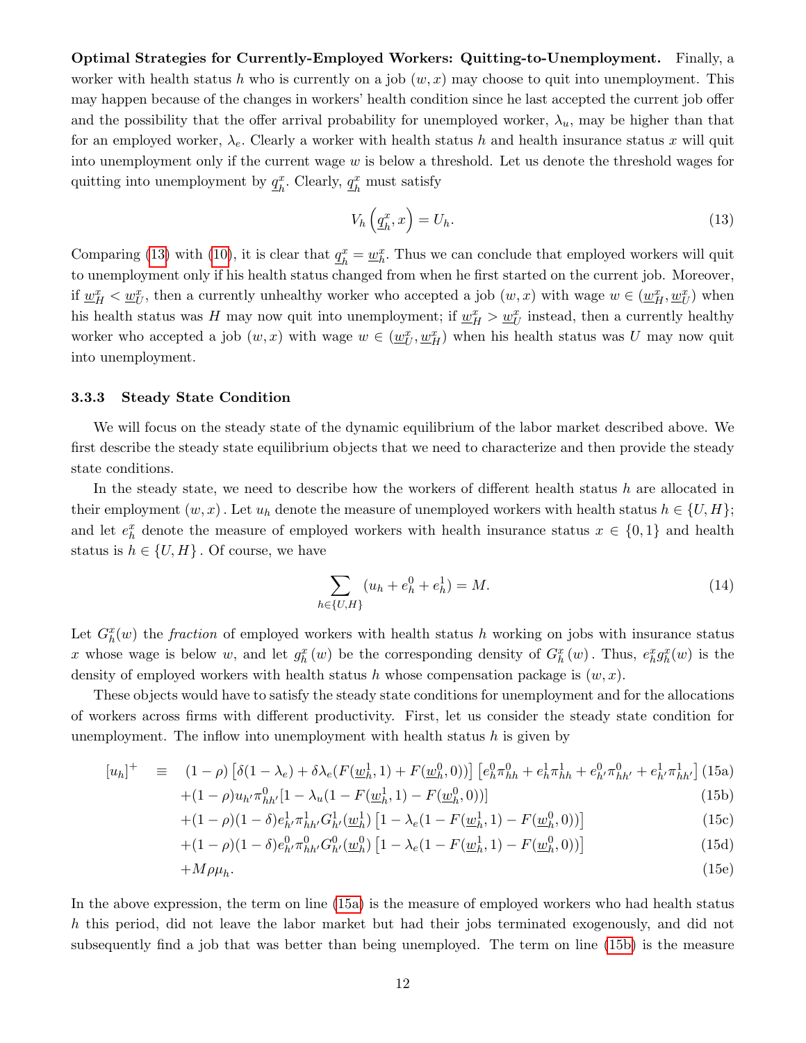Optimal Strategies for Currently-Employed Workers: Quitting-to-Unemployment. Finally, a worker with health status h who is currently on a job  $(w, x)$  may choose to quit into unemployment. This may happen because of the changes in workers' health condition since he last accepted the current job offer and the possibility that the offer arrival probability for unemployed worker,  $\lambda_u$ , may be higher than that for an employed worker,  $\lambda_e$ . Clearly a worker with health status h and health insurance status x will quit into unemployment only if the current wage  $w$  is below a threshold. Let us denote the threshold wages for quitting into unemployment by  $q_k^x$  $_{h}^{x}$ . Clearly,  $\underline{q}_{h}^{x}$  $\frac{x}{h}$  must satisfy

<span id="page-12-1"></span>
$$
V_h\left(\underline{q}_h^x, x\right) = U_h. \tag{13}
$$

Comparing [\(13\)](#page-12-1) with [\(10\)](#page-11-1), it is clear that  $q_k^x$  $\frac{x}{h} = \underline{w}_h^x$ . Thus we can conclude that employed workers will quit to unemployment only if his health status changed from when he first started on the current job. Moreover, if  $w_H^x < w_U^x$ , then a currently unhealthy worker who accepted a job  $(w, x)$  with wage  $w \in (\underline{w}_H^x, \underline{w}_U^x)$  when his health status was H may now quit into unemployment; if  $\underline{w}_{H}^{x} > \underline{w}_{U}^{x}$  instead, then a currently healthy worker who accepted a job  $(w, x)$  with wage  $w \in (\underline{w}_U^x, \underline{w}_H^x)$  when his health status was U may now quit into unemployment.

### <span id="page-12-0"></span>3.3.3 Steady State Condition

We will focus on the steady state of the dynamic equilibrium of the labor market described above. We first describe the steady state equilibrium objects that we need to characterize and then provide the steady state conditions.

In the steady state, we need to describe how the workers of different health status  $h$  are allocated in their employment  $(w, x)$ . Let  $u_h$  denote the measure of unemployed workers with health status  $h \in \{U, H\};$ and let  $e_h^x$  denote the measure of employed workers with health insurance status  $x \in \{0,1\}$  and health status is  $h \in \{U, H\}$ . Of course, we have

<span id="page-12-3"></span>
$$
\sum_{h \in \{U, H\}} (u_h + e_h^0 + e_h^1) = M. \tag{14}
$$

Let  $G_h^x(w)$  the fraction of employed workers with health status h working on jobs with insurance status x whose wage is below w, and let  $g_h^x(w)$  be the corresponding density of  $G_h^x(w)$ . Thus,  $e_h^x g_h^x(w)$  is the density of employed workers with health status h whose compensation package is  $(w, x)$ .

These objects would have to satisfy the steady state conditions for unemployment and for the allocations of workers across firms with different productivity. First, let us consider the steady state condition for unemployment. The inflow into unemployment with health status  $h$  is given by

<span id="page-12-2"></span>
$$
[u_h]^+ \equiv (1 - \rho) \left[ \delta(1 - \lambda_e) + \delta \lambda_e (F(\underline{w}_h^1, 1) + F(\underline{w}_h^0, 0)) \right] \left[ e_h^0 \pi_{hh}^0 + e_h^1 \pi_{hh}^1 + e_{h'}^0 \pi_{hh'}^0 + e_{h'}^1 \pi_{hh'}^1 \right] (15a) + (1 - \rho) u_{h'} \pi_{hh'}^0 [1 - \lambda_u (1 - F(\underline{w}_h^1, 1) - F(\underline{w}_h^0, 0))]
$$
(15b)

$$
+(1-\rho)(1-\delta)e_{h'}^1\pi_{hh'}^1G_{h'}^1(\underline{w}_h^1)[1-\lambda_e(1-F(\underline{w}_h^1,1)-F(\underline{w}_h^0,0))]
$$
\n(15c)

$$
+(1-\rho)(1-\delta)e_h^0 \pi_{hh'}^0 G_{h'}^0(\underline{w}_h^0) \left[1-\lambda_e(1-F(\underline{w}_h^1,1)-F(\underline{w}_h^0,0))\right]
$$
(15d)

$$
+M\rho\mu_h.\tag{15e}
$$

In the above expression, the term on line [\(15a\)](#page-12-2) is the measure of employed workers who had health status h this period, did not leave the labor market but had their jobs terminated exogenously, and did not subsequently find a job that was better than being unemployed. The term on line [\(15b\)](#page-12-2) is the measure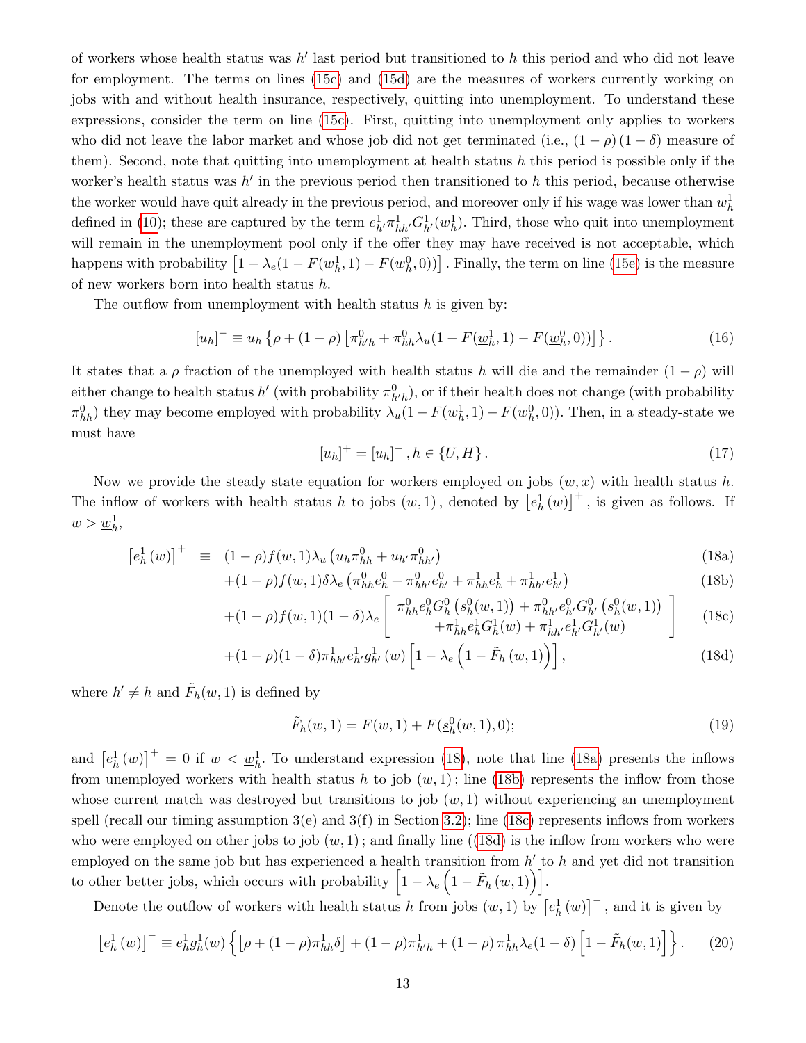of workers whose health status was  $h'$  last period but transitioned to h this period and who did not leave for employment. The terms on lines [\(15c\)](#page-12-2) and [\(15d\)](#page-12-2) are the measures of workers currently working on jobs with and without health insurance, respectively, quitting into unemployment. To understand these expressions, consider the term on line [\(15c\)](#page-12-2). First, quitting into unemployment only applies to workers who did not leave the labor market and whose job did not get terminated (i.e.,  $(1 - \rho) (1 - \delta)$ ) measure of them). Second, note that quitting into unemployment at health status  $h$  this period is possible only if the worker's health status was  $h'$  in the previous period then transitioned to h this period, because otherwise the worker would have quit already in the previous period, and moreover only if his wage was lower than  $\underline{w}_h^1$ defined in [\(10\)](#page-11-1); these are captured by the term  $e^1_{h'} \pi^1_{hh'} G^1_{h'} (\underline{w}_h^1)$ . Third, those who quit into unemployment will remain in the unemployment pool only if the offer they may have received is not acceptable, which happens with probability  $\left[1 - \lambda_e(1 - F(\underline{w}_h^1, 1) - F(\underline{w}_h^0, 0))\right]$ . Finally, the term on line [\(15e\)](#page-12-2) is the measure of new workers born into health status h.

The outflow from unemployment with health status  $h$  is given by:

$$
[u_h]^- \equiv u_h \left\{ \rho + (1 - \rho) \left[ \pi_{h'h}^0 + \pi_{hh}^0 \lambda_u (1 - F(\underline{w}_h^1, 1) - F(\underline{w}_h^0, 0)) \right] \right\}.
$$
 (16)

It states that a  $\rho$  fraction of the unemployed with health status h will die and the remainder  $(1 - \rho)$  will either change to health status  $h'$  (with probability  $\pi_{h'h}^0$ ), or if their health does not change (with probability  $\pi_{hh}^0$ ) they may become employed with probability  $\lambda_u(1 - F(\underline{w}_h^1, 1) - F(\underline{w}_h^0, 0))$ . Then, in a steady-state we must have

<span id="page-13-2"></span>
$$
[u_h]^{+} = [u_h]^{-}, h \in \{U, H\}.
$$
\n(17)

Now we provide the steady state equation for workers employed on jobs  $(w, x)$  with health status h. The inflow of workers with health status h to jobs  $(w, 1)$ , denoted by  $\left[e^1_h(w)\right]^+$ , is given as follows. If  $w > \underline{w}_h^1,$ 

<span id="page-13-1"></span><span id="page-13-0"></span>
$$
\left[e_h^1(w)\right]^+ \equiv (1-\rho)f(w,1)\lambda_u \left(u_h \pi_{hh}^0 + u_{h'} \pi_{hh'}^0\right) \tag{18a}
$$

$$
+(1-\rho)f(w,1)\delta\lambda_e\left(\pi_{hh}^0e_h^0+\pi_{hh'}^0e_{h'}^0+\pi_{hh}^1e_h^1+\pi_{hh'}^1e_{h'}^1\right)
$$
(18b)

$$
+(1-\rho)f(w,1)(1-\delta)\lambda_e \left[\begin{array}{c} \pi_{hh}^0 e_h^0 G_h^0 \left(\underline{s}_h^0(w,1)\right) + \pi_{hh'}^0 e_h^0 G_{h'}^0 \left(\underline{s}_h^0(w,1)\right) \\ + \pi_{hh}^1 e_h^1 G_h^1(w) + \pi_{hh'}^1 e_h^1 G_{h'}^1(w) \end{array}\right] \tag{18c}
$$

$$
+(1-\rho)(1-\delta)\pi_{hh'}^{1}e_{h'}^{1}g_{h'}^{1}(w)\left[1-\lambda_{e}\left(1-\tilde{F}_{h}\left(w,1\right)\right)\right],
$$
\n(18d)

where  $h' \neq h$  and  $\tilde{F}_h(w, 1)$  is defined by

$$
\tilde{F}_h(w,1) = F(w,1) + F(\underline{s}_h^0(w,1),0); \tag{19}
$$

and  $\left[e_h^1(w)\right]^+=0$  if  $w < \underline{w}_h^1$ . To understand expression [\(18\)](#page-13-0), note that line [\(18a\)](#page-13-1) presents the inflows from unemployed workers with health status h to job  $(w, 1)$ ; line [\(18b\)](#page-13-1) represents the inflow from those whose current match was destroyed but transitions to job  $(w, 1)$  without experiencing an unemployment spell (recall our timing assumption  $3(e)$  and  $3(f)$  in Section [3.2\)](#page-9-0); line [\(18c\)](#page-13-1) represents inflows from workers who were employed on other jobs to job  $(w, 1)$ ; and finally line  $((18d)$  $((18d)$  is the inflow from workers who were employed on the same job but has experienced a health transition from  $h'$  to h and yet did not transition to other better jobs, which occurs with probability  $\left[1 - \lambda_e \left(1 - \tilde{F}_h(w, 1)\right)\right]$ .

Denote the outflow of workers with health status h from jobs  $(w, 1)$  by  $\left[e^1_h(w)\right]^-$ , and it is given by

$$
\left[e_h^1(w)\right]^- \equiv e_h^1 g_h^1(w) \left\{ \left[\rho + (1 - \rho) \pi_{hh}^1 \delta\right] + (1 - \rho) \pi_{h'h}^1 + (1 - \rho) \pi_{hh}^1 \lambda_e (1 - \delta) \left[1 - \tilde{F}_h(w, 1)\right] \right\}.
$$
 (20)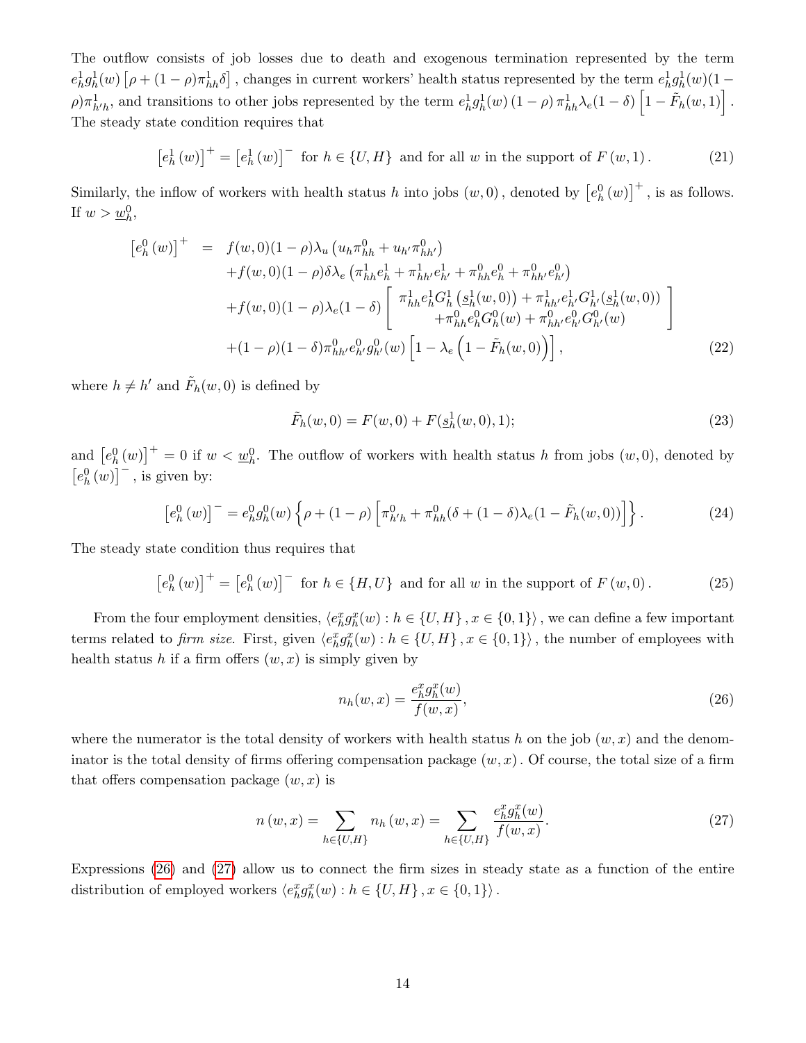The outflow consists of job losses due to death and exogenous termination represented by the term  $e_h^1 g_h^1(w) \left[ \rho + (1 - \rho) \pi_{hh}^1 \delta \right]$ , changes in current workers' health status represented by the term  $e_h^1 g_h^1(w) (1 (\rho) \pi_{h'h}^1$ , and transitions to other jobs represented by the term  $e_h^1 g_h^1(w) (1 - \rho) \pi_{hh}^1 \lambda_e (1 - \delta) \left[1 - \tilde{F}_h(w, 1)\right]$ . The steady state condition requires that

<span id="page-14-2"></span>
$$
\left[e_h^1(w)\right]^+ = \left[e_h^1(w)\right]^- \text{ for } h \in \{U, H\} \text{ and for all } w \text{ in the support of } F(w, 1). \tag{21}
$$

Similarly, the inflow of workers with health status h into jobs  $(w, 0)$ , denoted by  $\left[e_h^0(w)\right]^+$ , is as follows. If  $w > w_h^0$ ,

$$
[e_h^0(w)]^+ = f(w,0)(1-\rho)\lambda_u(u_h\pi_{hh}^0 + u_{h'}\pi_{hh'}^0) +f(w,0)(1-\rho)\delta\lambda_e(\pi_{hh}^1e_h^1 + \pi_{hh'}^1e_h^1 + \pi_{hh}^0e_h^0 + \pi_{hh'}^0e_{h'}^0) +f(w,0)(1-\rho)\lambda_e(1-\delta)\begin{bmatrix} \pi_{hh}^1e_h^1G_h^1(\underline{s}_h^1(w,0)) + \pi_{hh'}^1e_h^1G_h^1(\underline{s}_h^1(w,0)) \\ + \pi_{hh}^0e_h^0G_h^0(w) + \pi_{hh'}^0e_h^0G_h^0(w) \end{bmatrix} + (1-\rho)(1-\delta)\pi_{hh'}^0e_h^0g_h^0(w) \begin{bmatrix} 1-\lambda_e\left(1-\tilde{F}_h(w,0)\right) \end{bmatrix},
$$
(22)

where  $h \neq h'$  and  $\tilde{F}_h(w, 0)$  is defined by

$$
\tilde{F}_h(w,0) = F(w,0) + F(\underline{s}_h^1(w,0),1); \tag{23}
$$

and  $\left[e_h^0(w)\right]^+ = 0$  if  $w < \underline{w}_h^0$ . The outflow of workers with health status h from jobs  $(w, 0)$ , denoted by  $\left[e_{h}^{0}(w)\right]^{-}$ , is given by:

$$
\left[e_h^0(w)\right]^- = e_h^0 g_h^0(w) \left\{ \rho + (1 - \rho) \left[ \pi_{h'h}^0 + \pi_{hh}^0(\delta + (1 - \delta)\lambda_e(1 - \tilde{F}_h(w, 0)) \right] \right\}.
$$
 (24)

The steady state condition thus requires that

<span id="page-14-3"></span>
$$
[e_h^0(w)]^+ = [e_h^0(w)]^- \text{ for } h \in \{H, U\} \text{ and for all } w \text{ in the support of } F(w, 0). \tag{25}
$$

From the four employment densities,  $\langle e_h^x g_h^x(w) : h \in \{U, H\}$ ,  $x \in \{0, 1\} \rangle$ , we can define a few important terms related to *firm size*. First, given  $\langle e_h^x g_h^x(w) : h \in \{U, H\}, x \in \{0, 1\} \rangle$ , the number of employees with health status h if a firm offers  $(w, x)$  is simply given by

<span id="page-14-0"></span>
$$
n_h(w,x) = \frac{e_h^x g_h^x(w)}{f(w,x)},\tag{26}
$$

where the numerator is the total density of workers with health status h on the job  $(w, x)$  and the denominator is the total density of firms offering compensation package  $(w, x)$ . Of course, the total size of a firm that offers compensation package  $(w, x)$  is

<span id="page-14-1"></span>
$$
n(w,x) = \sum_{h \in \{U,H\}} n_h(w,x) = \sum_{h \in \{U,H\}} \frac{e_h^x g_h^x(w)}{f(w,x)}.
$$
 (27)

Expressions [\(26\)](#page-14-0) and [\(27\)](#page-14-1) allow us to connect the firm sizes in steady state as a function of the entire distribution of employed workers  $\langle e_h^x g_h^x(w) : h \in \{U, H\}, x \in \{0, 1\} \rangle$ .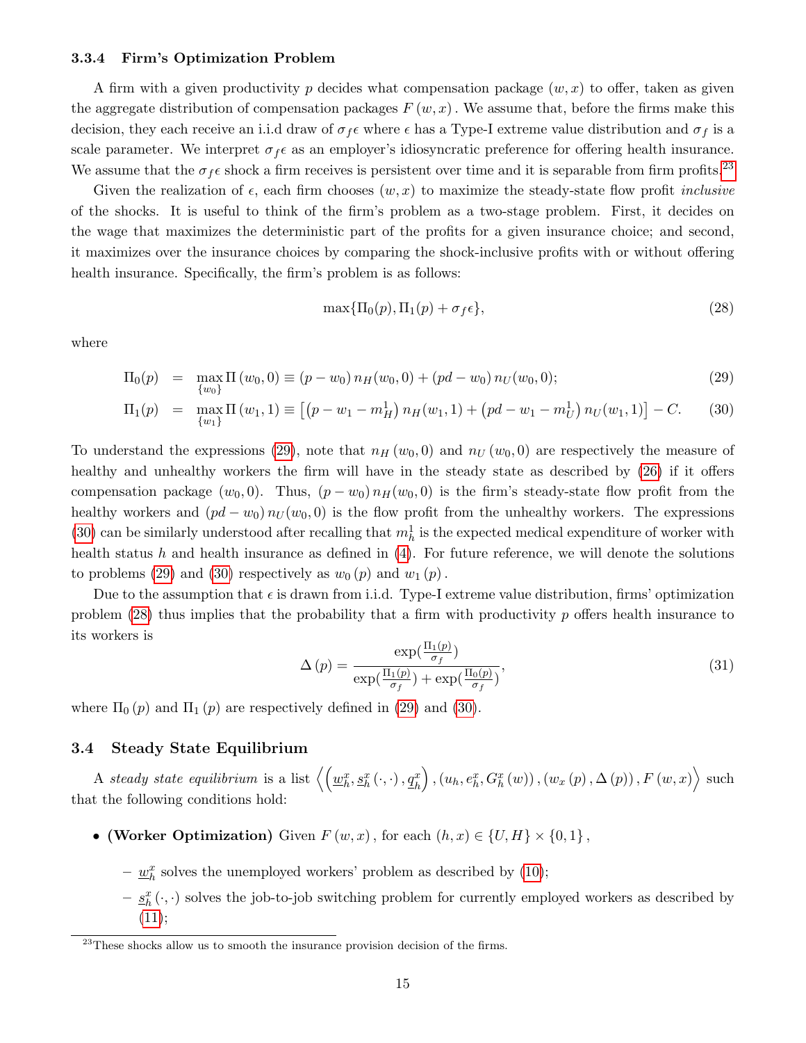#### 3.3.4 Firm's Optimization Problem

A firm with a given productivity p decides what compensation package  $(w, x)$  to offer, taken as given the aggregate distribution of compensation packages  $F(w, x)$ . We assume that, before the firms make this decision, they each receive an i.i.d draw of  $\sigma_f \epsilon$  where  $\epsilon$  has a Type-I extreme value distribution and  $\sigma_f$  is a scale parameter. We interpret  $\sigma_f \epsilon$  as an employer's idiosyncratic preference for offering health insurance. We assume that the  $\sigma_f \epsilon$  shock a firm receives is persistent over time and it is separable from firm profits.<sup>[23](#page-15-0)</sup>

Given the realization of  $\epsilon$ , each firm chooses  $(w, x)$  to maximize the steady-state flow profit *inclusive* of the shocks. It is useful to think of the firm's problem as a two-stage problem. First, it decides on the wage that maximizes the deterministic part of the profits for a given insurance choice; and second, it maximizes over the insurance choices by comparing the shock-inclusive profits with or without offering health insurance. Specifically, the firm's problem is as follows:

<span id="page-15-2"></span>
$$
\max\{\Pi_0(p), \Pi_1(p) + \sigma_f \epsilon\},\tag{28}
$$

where

<span id="page-15-1"></span>
$$
\Pi_0(p) = \max_{\{w_0\}} \Pi(w_0, 0) \equiv (p - w_0) n_H(w_0, 0) + (pd - w_0) n_U(w_0, 0); \tag{29}
$$

$$
\Pi_1(p) = \max_{\{w_1\}} \Pi(w_1, 1) \equiv \left[ \left( p - w_1 - m_H^1 \right) n_H(w_1, 1) + \left( pd - w_1 - m_U^1 \right) n_U(w_1, 1) \right] - C. \tag{30}
$$

To understand the expressions [\(29\)](#page-15-1), note that  $n_H(w_0, 0)$  and  $n_U(w_0, 0)$  are respectively the measure of healthy and unhealthy workers the firm will have in the steady state as described by  $(26)$  if it offers compensation package  $(w_0, 0)$ . Thus,  $(p - w_0) n_H(w_0, 0)$  is the firm's steady-state flow profit from the healthy workers and  $(pd - w_0) n_U(w_0, 0)$  is the flow profit from the unhealthy workers. The expressions [\(30\)](#page-15-1) can be similarly understood after recalling that  $m_h^1$  is the expected medical expenditure of worker with health status h and health insurance as defined in [\(4\)](#page-7-6). For future reference, we will denote the solutions to problems [\(29\)](#page-15-1) and [\(30\)](#page-15-1) respectively as  $w_0(p)$  and  $w_1(p)$ .

Due to the assumption that  $\epsilon$  is drawn from i.i.d. Type-I extreme value distribution, firms' optimization problem  $(28)$  thus implies that the probability that a firm with productivity p offers health insurance to its workers is

<span id="page-15-3"></span>
$$
\Delta(p) = \frac{\exp(\frac{\Pi_1(p)}{\sigma_f})}{\exp(\frac{\Pi_1(p)}{\sigma_f}) + \exp(\frac{\Pi_0(p)}{\sigma_f})},
$$
\n(31)

where  $\Pi_0(p)$  and  $\Pi_1(p)$  are respectively defined in [\(29\)](#page-15-1) and [\(30\)](#page-15-1).

### <span id="page-15-4"></span>3.4 Steady State Equilibrium

A steady state equilibrium is a list  $\left\langle \left( \underline{w}_h^x, \underline{s}_h^x\left( \cdot, \cdot \right), \underline{q}_h^x \right) \right\rangle$  $\Big),\left(u_h,e^{x}_{h},G^{x}_{h}\left(w\right)\right),\left(w_{x}\left(p\right),\Delta\left(p\right)\right),F\left(w,x\right)\Big\rangle\text{ such}$ that the following conditions hold:

- (Worker Optimization) Given  $F(w, x)$ , for each  $(h, x) \in \{U, H\} \times \{0, 1\}$ ,
	- $\underline{w}_h^x$  solves the unemployed workers' problem as described by [\(10\)](#page-11-1);
	- $-\underline{s}_h^x(\cdot, \cdot)$  solves the job-to-job switching problem for currently employed workers as described by  $(11);$  $(11);$

<span id="page-15-0"></span> $^{23}$ These shocks allow us to smooth the insurance provision decision of the firms.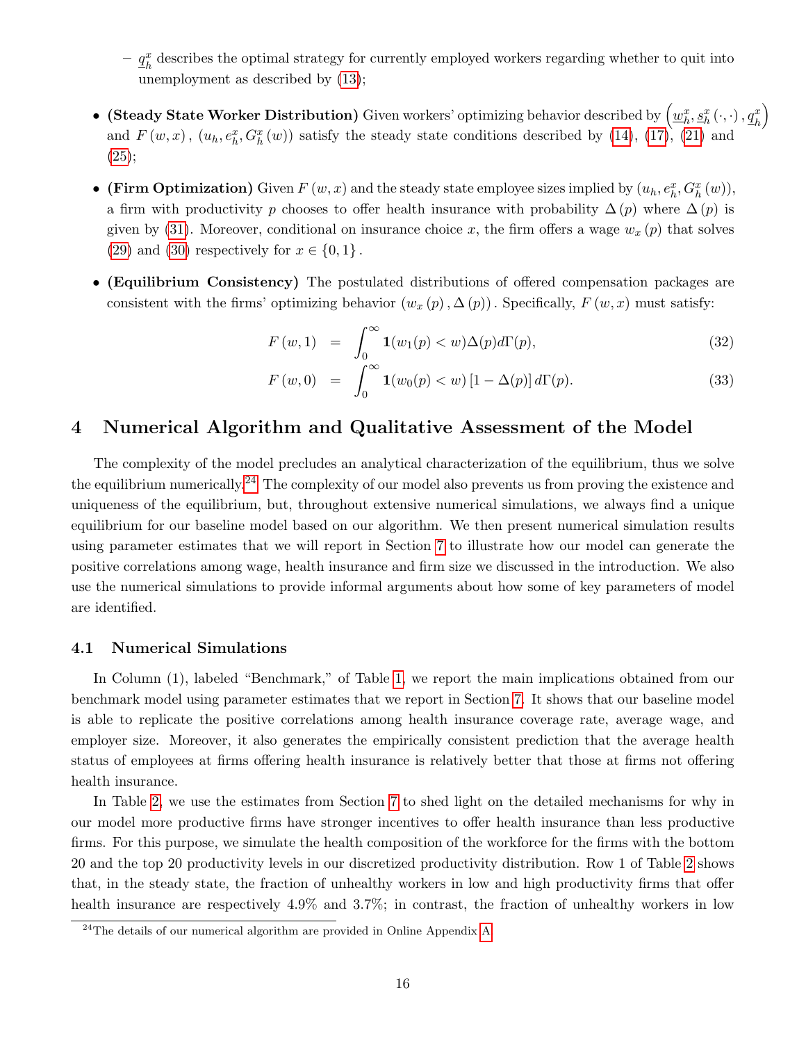$- q_k^x$  $\frac{x}{h}$  describes the optimal strategy for currently employed workers regarding whether to quit into unemployment as described by [\(13\)](#page-12-1);

- $\bullet\;$  (Steady State Worker Distribution) Given workers' optimizing behavior described by  $\left(\underline{w}_h^x, \underline{s}_h^x\left(\cdot,\cdot\right), \underline{q}_h^x\right)$  $\setminus$ and  $F(w, x)$ ,  $(u_h, e_h^x, G_h^x(w))$  satisfy the steady state conditions described by [\(14\)](#page-12-3), [\(17\)](#page-13-2), [\(21\)](#page-14-2) and  $(25);$  $(25);$
- (Firm Optimization) Given  $F(w, x)$  and the steady state employee sizes implied by  $(u_h, e_h^x, G_h^x(w))$ , a firm with productivity p chooses to offer health insurance with probability  $\Delta(p)$  where  $\Delta(p)$  is given by [\(31\)](#page-15-3). Moreover, conditional on insurance choice x, the firm offers a wage  $w_x(p)$  that solves [\(29\)](#page-15-1) and [\(30\)](#page-15-1) respectively for  $x \in \{0,1\}$ .
- (Equilibrium Consistency) The postulated distributions of offered compensation packages are consistent with the firms' optimizing behavior  $(w_x (p), \Delta (p))$ . Specifically,  $F(w, x)$  must satisfy:

$$
F(w,1) = \int_0^\infty \mathbf{1}(w_1(p) < w) \Delta(p) d\Gamma(p), \tag{32}
$$

<span id="page-16-3"></span>
$$
F(w,0) = \int_0^\infty \mathbf{1}(w_0(p) < w) \left[1 - \Delta(p)\right] d\Gamma(p). \tag{33}
$$

# <span id="page-16-1"></span>4 Numerical Algorithm and Qualitative Assessment of the Model

The complexity of the model precludes an analytical characterization of the equilibrium, thus we solve the equilibrium numerically.<sup>[24](#page-16-2)</sup> The complexity of our model also prevents us from proving the existence and uniqueness of the equilibrium, but, throughout extensive numerical simulations, we always find a unique equilibrium for our baseline model based on our algorithm. We then present numerical simulation results using parameter estimates that we will report in Section [7](#page-27-0) to illustrate how our model can generate the positive correlations among wage, health insurance and firm size we discussed in the introduction. We also use the numerical simulations to provide informal arguments about how some of key parameters of model are identified.

### <span id="page-16-0"></span>4.1 Numerical Simulations

In Column (1), labeled "Benchmark," of Table [1,](#page-17-0) we report the main implications obtained from our benchmark model using parameter estimates that we report in Section [7.](#page-27-0) It shows that our baseline model is able to replicate the positive correlations among health insurance coverage rate, average wage, and employer size. Moreover, it also generates the empirically consistent prediction that the average health status of employees at firms offering health insurance is relatively better that those at firms not offering health insurance.

In Table [2,](#page-18-0) we use the estimates from Section [7](#page-27-0) to shed light on the detailed mechanisms for why in our model more productive firms have stronger incentives to offer health insurance than less productive firms. For this purpose, we simulate the health composition of the workforce for the firms with the bottom 20 and the top 20 productivity levels in our discretized productivity distribution. Row 1 of Table [2](#page-18-0) shows that, in the steady state, the fraction of unhealthy workers in low and high productivity firms that offer health insurance are respectively 4.9% and 3.7%; in contrast, the fraction of unhealthy workers in low

<span id="page-16-2"></span> $^{24}$ The details of our numerical algorithm are provided in Online Appendix [A.](#page-1-7)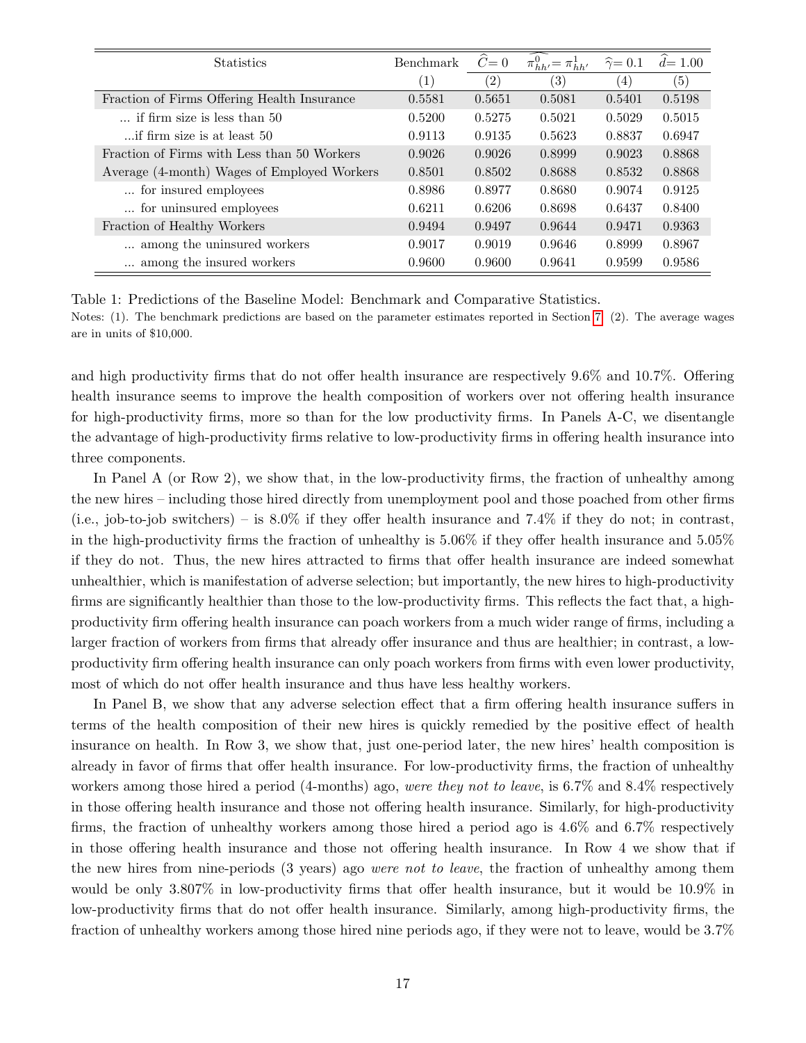| <b>Statistics</b>                           | Benchmark        | $\ddot{C}=0$      | $\widehat{\pi^0_{hh'}} = \pi^1_{hh'}$ | $\hat{\gamma} = 0.1$ | $d=1.00$          |
|---------------------------------------------|------------------|-------------------|---------------------------------------|----------------------|-------------------|
|                                             | $\left(1\right)$ | $\left( 2\right)$ | (3)                                   | (4)                  | $\left( 5\right)$ |
| Fraction of Firms Offering Health Insurance | 0.5581           | 0.5651            | 0.5081                                | 0.5401               | 0.5198            |
| $\ldots$ if firm size is less than 50       | 0.5200           | 0.5275            | 0.5021                                | 0.5029               | 0.5015            |
| if firm size is at least 50                 | 0.9113           | 0.9135            | 0.5623                                | 0.8837               | 0.6947            |
| Fraction of Firms with Less than 50 Workers | 0.9026           | 0.9026            | 0.8999                                | 0.9023               | 0.8868            |
| Average (4-month) Wages of Employed Workers | 0.8501           | 0.8502            | 0.8688                                | 0.8532               | 0.8868            |
| for insured employees                       | 0.8986           | 0.8977            | 0.8680                                | 0.9074               | 0.9125            |
| for uninsured employees                     | 0.6211           | 0.6206            | 0.8698                                | 0.6437               | 0.8400            |
| Fraction of Healthy Workers                 | 0.9494           | 0.9497            | 0.9644                                | 0.9471               | 0.9363            |
| among the uninsured workers                 | 0.9017           | 0.9019            | 0.9646                                | 0.8999               | 0.8967            |
| among the insured workers                   | 0.9600           | 0.9600            | 0.9641                                | 0.9599               | 0.9586            |

<span id="page-17-0"></span>Table 1: Predictions of the Baseline Model: Benchmark and Comparative Statistics.

Notes: (1). The benchmark predictions are based on the parameter estimates reported in Section [7.](#page-27-0) (2). The average wages are in units of \$10,000.

and high productivity firms that do not offer health insurance are respectively 9.6% and 10.7%. Offering health insurance seems to improve the health composition of workers over not offering health insurance for high-productivity firms, more so than for the low productivity firms. In Panels A-C, we disentangle the advantage of high-productivity firms relative to low-productivity firms in offering health insurance into three components.

In Panel A (or Row 2), we show that, in the low-productivity firms, the fraction of unhealthy among the new hires – including those hired directly from unemployment pool and those poached from other firms (i.e., job-to-job switchers) – is  $8.0\%$  if they offer health insurance and 7.4% if they do not; in contrast, in the high-productivity firms the fraction of unhealthy is 5.06% if they offer health insurance and 5.05% if they do not. Thus, the new hires attracted to firms that offer health insurance are indeed somewhat unhealthier, which is manifestation of adverse selection; but importantly, the new hires to high-productivity firms are significantly healthier than those to the low-productivity firms. This reflects the fact that, a highproductivity firm offering health insurance can poach workers from a much wider range of firms, including a larger fraction of workers from firms that already offer insurance and thus are healthier; in contrast, a lowproductivity firm offering health insurance can only poach workers from firms with even lower productivity, most of which do not offer health insurance and thus have less healthy workers.

In Panel B, we show that any adverse selection effect that a firm offering health insurance suffers in terms of the health composition of their new hires is quickly remedied by the positive effect of health insurance on health. In Row 3, we show that, just one-period later, the new hires' health composition is already in favor of firms that offer health insurance. For low-productivity firms, the fraction of unhealthy workers among those hired a period (4-months) ago, were they not to leave, is 6.7% and 8.4% respectively in those offering health insurance and those not offering health insurance. Similarly, for high-productivity firms, the fraction of unhealthy workers among those hired a period ago is 4.6% and 6.7% respectively in those offering health insurance and those not offering health insurance. In Row 4 we show that if the new hires from nine-periods (3 years) ago were not to leave, the fraction of unhealthy among them would be only 3.807% in low-productivity firms that offer health insurance, but it would be 10.9% in low-productivity firms that do not offer health insurance. Similarly, among high-productivity firms, the fraction of unhealthy workers among those hired nine periods ago, if they were not to leave, would be 3.7%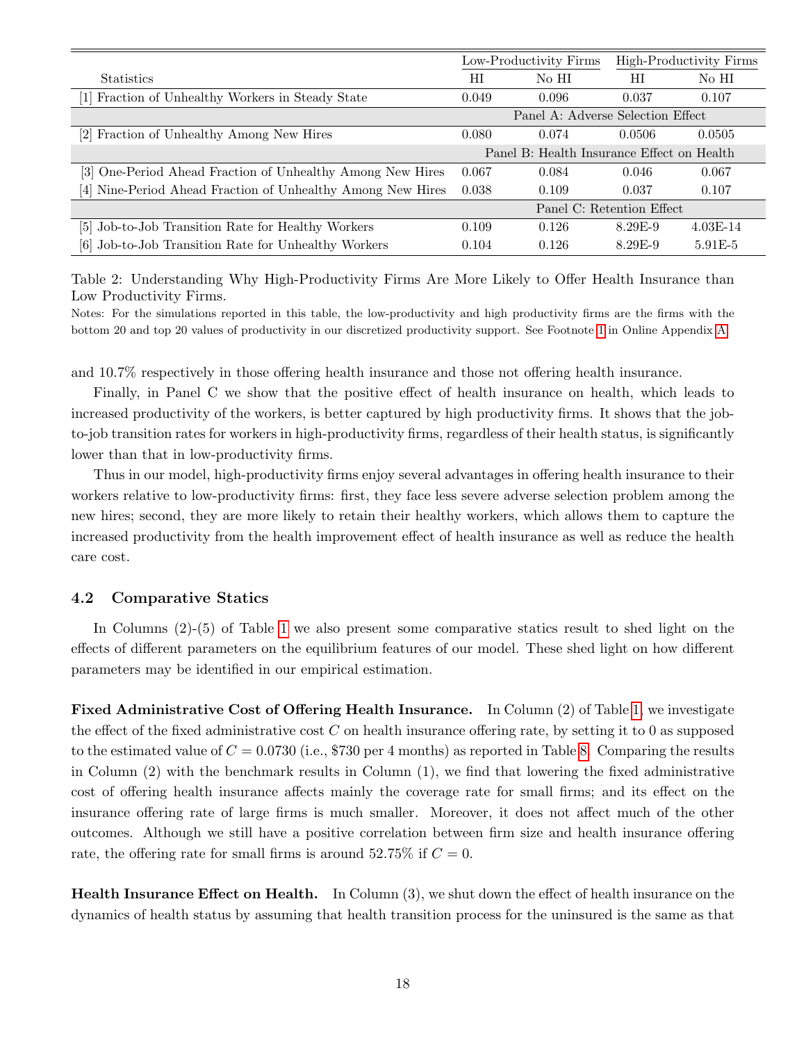|                                                             | Low-Productivity Firms            |                                            |           | High-Productivity Firms |
|-------------------------------------------------------------|-----------------------------------|--------------------------------------------|-----------|-------------------------|
| <b>Statistics</b>                                           | HI                                | No HI                                      | НI        | No HI                   |
| [1] Fraction of Unhealthy Workers in Steady State           | 0.049                             | 0.096                                      | 0.037     | 0.107                   |
|                                                             | Panel A: Adverse Selection Effect |                                            |           |                         |
| [2] Fraction of Unhealthy Among New Hires                   | 0.080                             | 0.074                                      | 0.0506    | 0.0505                  |
|                                                             |                                   | Panel B: Health Insurance Effect on Health |           |                         |
| [3] One-Period Ahead Fraction of Unhealthy Among New Hires  | 0.067                             | 0.084                                      | 0.046     | 0.067                   |
| [4] Nine-Period Ahead Fraction of Unhealthy Among New Hires | 0.038                             | 0.109                                      | 0.037     | 0.107                   |
|                                                             | Panel C: Retention Effect         |                                            |           |                         |
| [5] Job-to-Job Transition Rate for Healthy Workers          | 0.109                             | 0.126                                      | 8.29E-9   | $4.03E-14$              |
| [6] Job-to-Job Transition Rate for Unhealthy Workers        | 0.104                             | 0.126                                      | $8.29E-9$ | $5.91E-5$               |

<span id="page-18-0"></span>Table 2: Understanding Why High-Productivity Firms Are More Likely to Offer Health Insurance than Low Productivity Firms.

Notes: For the simulations reported in this table, the low-productivity and high productivity firms are the firms with the bottom 20 and top 20 values of productivity in our discretized productivity support. See Footnote [1](#page-52-0) in Online Appendix [A.](#page-1-7)

and 10.7% respectively in those offering health insurance and those not offering health insurance.

Finally, in Panel C we show that the positive effect of health insurance on health, which leads to increased productivity of the workers, is better captured by high productivity firms. It shows that the jobto-job transition rates for workers in high-productivity firms, regardless of their health status, is significantly lower than that in low-productivity firms.

Thus in our model, high-productivity firms enjoy several advantages in offering health insurance to their workers relative to low-productivity firms: first, they face less severe adverse selection problem among the new hires; second, they are more likely to retain their healthy workers, which allows them to capture the increased productivity from the health improvement effect of health insurance as well as reduce the health care cost.

### 4.2 Comparative Statics

In Columns (2)-(5) of Table [1](#page-17-0) we also present some comparative statics result to shed light on the effects of different parameters on the equilibrium features of our model. These shed light on how different parameters may be identified in our empirical estimation.

Fixed Administrative Cost of Offering Health Insurance. In Column (2) of Table [1,](#page-17-0) we investigate the effect of the fixed administrative cost  $C$  on health insurance offering rate, by setting it to 0 as supposed to the estimated value of  $C = 0.0730$  (i.e., \$730 per 4 months) as reported in Table [8.](#page-29-0) Comparing the results in Column (2) with the benchmark results in Column (1), we find that lowering the fixed administrative cost of offering health insurance affects mainly the coverage rate for small firms; and its effect on the insurance offering rate of large firms is much smaller. Moreover, it does not affect much of the other outcomes. Although we still have a positive correlation between firm size and health insurance offering rate, the offering rate for small firms is around 52.75% if  $C = 0$ .

Health Insurance Effect on Health. In Column (3), we shut down the effect of health insurance on the dynamics of health status by assuming that health transition process for the uninsured is the same as that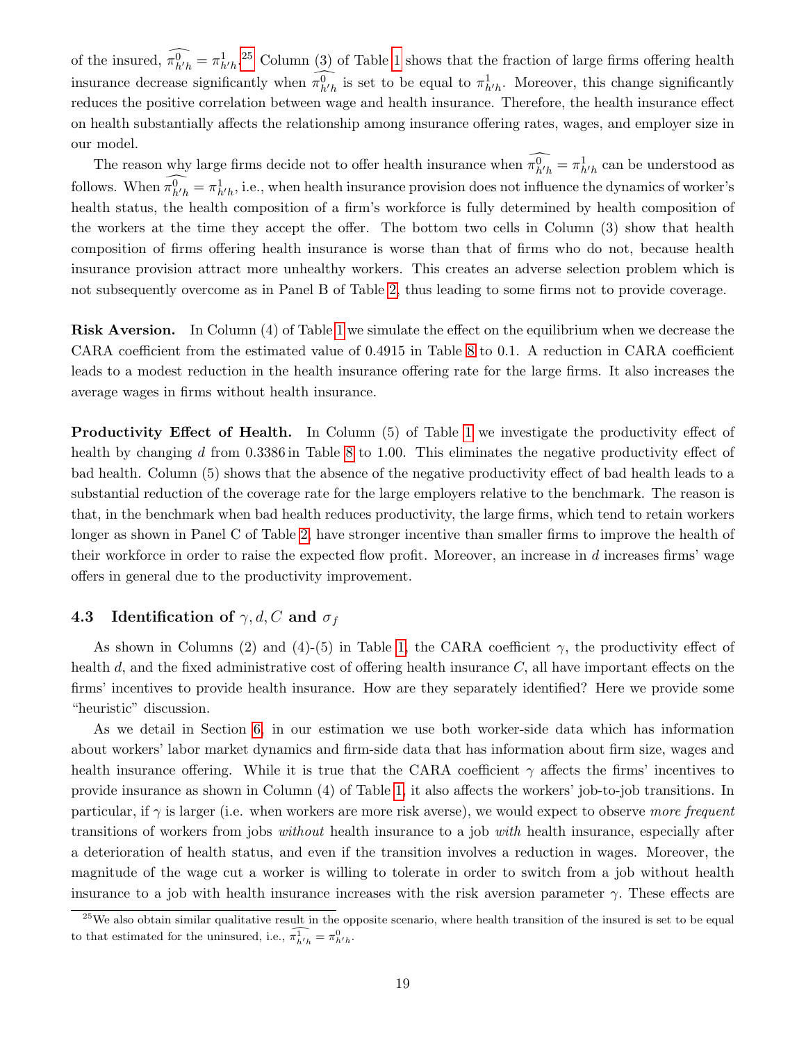of the insured,  $\pi_{h'h}^0 = \pi_{h'h}^1$ .<sup>[25](#page-19-0)</sup> Column (3) of Table [1](#page-17-0) shows that the fraction of large firms offering health insurance decrease significantly when  $\pi_{h'h}^0$  is set to be equal to  $\pi_{h'h}^1$ . Moreover, this change significantly reduces the positive correlation between wage and health insurance. Therefore, the health insurance effect on health substantially affects the relationship among insurance offering rates, wages, and employer size in our model.

The reason why large firms decide not to offer health insurance when  $\pi_{h'h}^0 = \pi_{h'h}^1$  can be understood as follows. When  $\pi_{h'h}^0 = \pi_{h'h}^1$ , i.e., when health insurance provision does not influence the dynamics of worker's health status, the health composition of a firm's workforce is fully determined by health composition of the workers at the time they accept the offer. The bottom two cells in Column (3) show that health composition of firms offering health insurance is worse than that of firms who do not, because health insurance provision attract more unhealthy workers. This creates an adverse selection problem which is not subsequently overcome as in Panel B of Table [2,](#page-18-0) thus leading to some firms not to provide coverage.

Risk Aversion. In Column (4) of Table [1](#page-17-0) we simulate the effect on the equilibrium when we decrease the CARA coefficient from the estimated value of 0.4915 in Table [8](#page-29-0) to 0.1. A reduction in CARA coefficient leads to a modest reduction in the health insurance offering rate for the large firms. It also increases the average wages in firms without health insurance.

Productivity Effect of Health. In Column (5) of Table [1](#page-17-0) we investigate the productivity effect of health by changing d from 0.3386 in Table [8](#page-29-0) to 1.00. This eliminates the negative productivity effect of bad health. Column (5) shows that the absence of the negative productivity effect of bad health leads to a substantial reduction of the coverage rate for the large employers relative to the benchmark. The reason is that, in the benchmark when bad health reduces productivity, the large firms, which tend to retain workers longer as shown in Panel C of Table [2,](#page-18-0) have stronger incentive than smaller firms to improve the health of their workforce in order to raise the expected flow profit. Moreover, an increase in d increases firms' wage offers in general due to the productivity improvement.

### **4.3** Identification of  $\gamma, d, C$  and  $\sigma_f$

As shown in Columns (2) and (4)-(5) in Table [1,](#page-17-0) the CARA coefficient  $\gamma$ , the productivity effect of health d, and the fixed administrative cost of offering health insurance C, all have important effects on the firms' incentives to provide health insurance. How are they separately identified? Here we provide some "heuristic" discussion.

As we detail in Section [6,](#page-22-0) in our estimation we use both worker-side data which has information about workers' labor market dynamics and firm-side data that has information about firm size, wages and health insurance offering. While it is true that the CARA coefficient  $\gamma$  affects the firms' incentives to provide insurance as shown in Column (4) of Table [1,](#page-17-0) it also affects the workers' job-to-job transitions. In particular, if  $\gamma$  is larger (i.e. when workers are more risk averse), we would expect to observe more frequent transitions of workers from jobs without health insurance to a job with health insurance, especially after a deterioration of health status, and even if the transition involves a reduction in wages. Moreover, the magnitude of the wage cut a worker is willing to tolerate in order to switch from a job without health insurance to a job with health insurance increases with the risk aversion parameter  $\gamma$ . These effects are

<span id="page-19-0"></span> $25$ We also obtain similar qualitative result in the opposite scenario, where health transition of the insured is set to be equal to that estimated for the uninsured, i.e.,  $\pi_{h'h}^1 = \pi_{h'h}^0$ .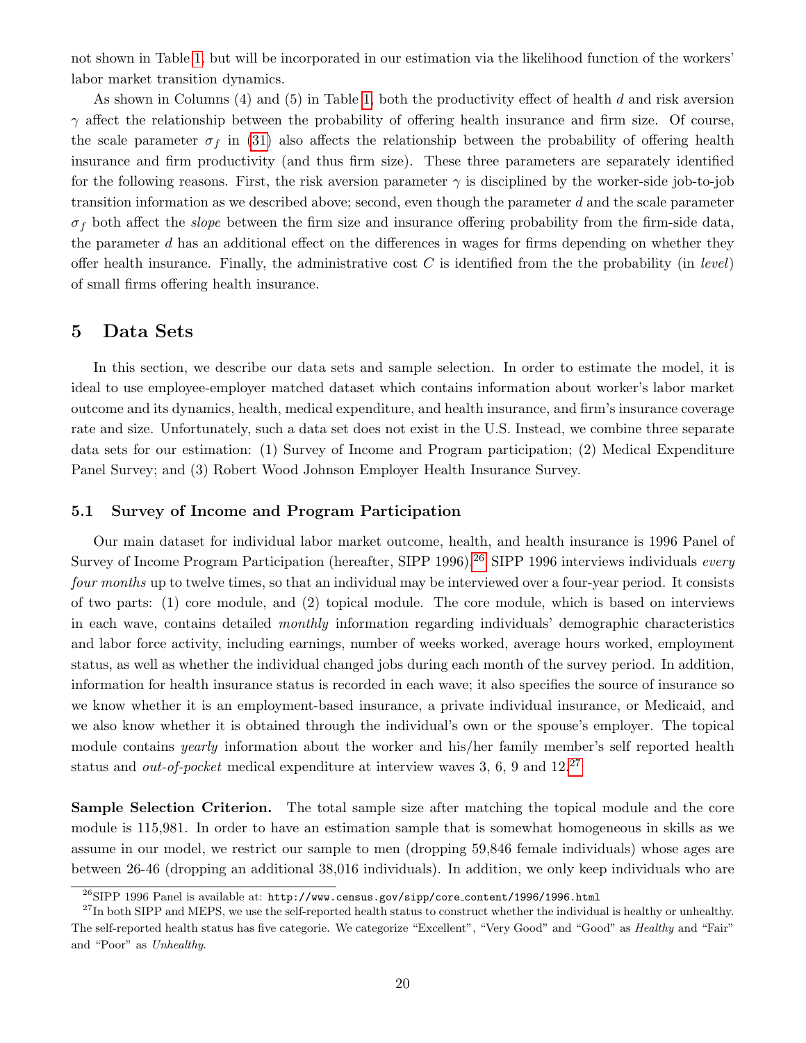not shown in Table [1,](#page-17-0) but will be incorporated in our estimation via the likelihood function of the workers' labor market transition dynamics.

As shown in Columns (4) and (5) in Table [1,](#page-17-0) both the productivity effect of health d and risk aversion  $\gamma$  affect the relationship between the probability of offering health insurance and firm size. Of course, the scale parameter  $\sigma_f$  in [\(31\)](#page-15-3) also affects the relationship between the probability of offering health insurance and firm productivity (and thus firm size). These three parameters are separately identified for the following reasons. First, the risk aversion parameter  $\gamma$  is disciplined by the worker-side job-to-job transition information as we described above; second, even though the parameter  $d$  and the scale parameter  $\sigma_f$  both affect the *slope* between the firm size and insurance offering probability from the firm-side data, the parameter d has an additional effect on the differences in wages for firms depending on whether they offer health insurance. Finally, the administrative cost  $C$  is identified from the the probability (in *level*) of small firms offering health insurance.

# <span id="page-20-0"></span>5 Data Sets

In this section, we describe our data sets and sample selection. In order to estimate the model, it is ideal to use employee-employer matched dataset which contains information about worker's labor market outcome and its dynamics, health, medical expenditure, and health insurance, and firm's insurance coverage rate and size. Unfortunately, such a data set does not exist in the U.S. Instead, we combine three separate data sets for our estimation: (1) Survey of Income and Program participation; (2) Medical Expenditure Panel Survey; and (3) Robert Wood Johnson Employer Health Insurance Survey.

### <span id="page-20-3"></span>5.1 Survey of Income and Program Participation

Our main dataset for individual labor market outcome, health, and health insurance is 1996 Panel of Survey of Income Program Participation (hereafter, SIPP 1996).<sup>[26](#page-20-1)</sup> SIPP 1996 interviews individuals every four months up to twelve times, so that an individual may be interviewed over a four-year period. It consists of two parts: (1) core module, and (2) topical module. The core module, which is based on interviews in each wave, contains detailed monthly information regarding individuals' demographic characteristics and labor force activity, including earnings, number of weeks worked, average hours worked, employment status, as well as whether the individual changed jobs during each month of the survey period. In addition, information for health insurance status is recorded in each wave; it also specifies the source of insurance so we know whether it is an employment-based insurance, a private individual insurance, or Medicaid, and we also know whether it is obtained through the individual's own or the spouse's employer. The topical module contains *yearly* information about the worker and his/her family member's self reported health status and *out-of-pocket* medical expenditure at interview waves 3, 6, 9 and  $12^{27}$  $12^{27}$  $12^{27}$ 

Sample Selection Criterion. The total sample size after matching the topical module and the core module is 115,981. In order to have an estimation sample that is somewhat homogeneous in skills as we assume in our model, we restrict our sample to men (dropping 59,846 female individuals) whose ages are between 26-46 (dropping an additional 38,016 individuals). In addition, we only keep individuals who are

<span id="page-20-2"></span><span id="page-20-1"></span> $^{26}$ SIPP 1996 Panel is available at: http://www.census.gov/sipp/core\_content/1996/1996.html

<sup>&</sup>lt;sup>27</sup>In both SIPP and MEPS, we use the self-reported health status to construct whether the individual is healthy or unhealthy. The self-reported health status has five categorie. We categorize "Excellent", "Very Good" and "Good" as Healthy and "Fair" and "Poor" as Unhealthy.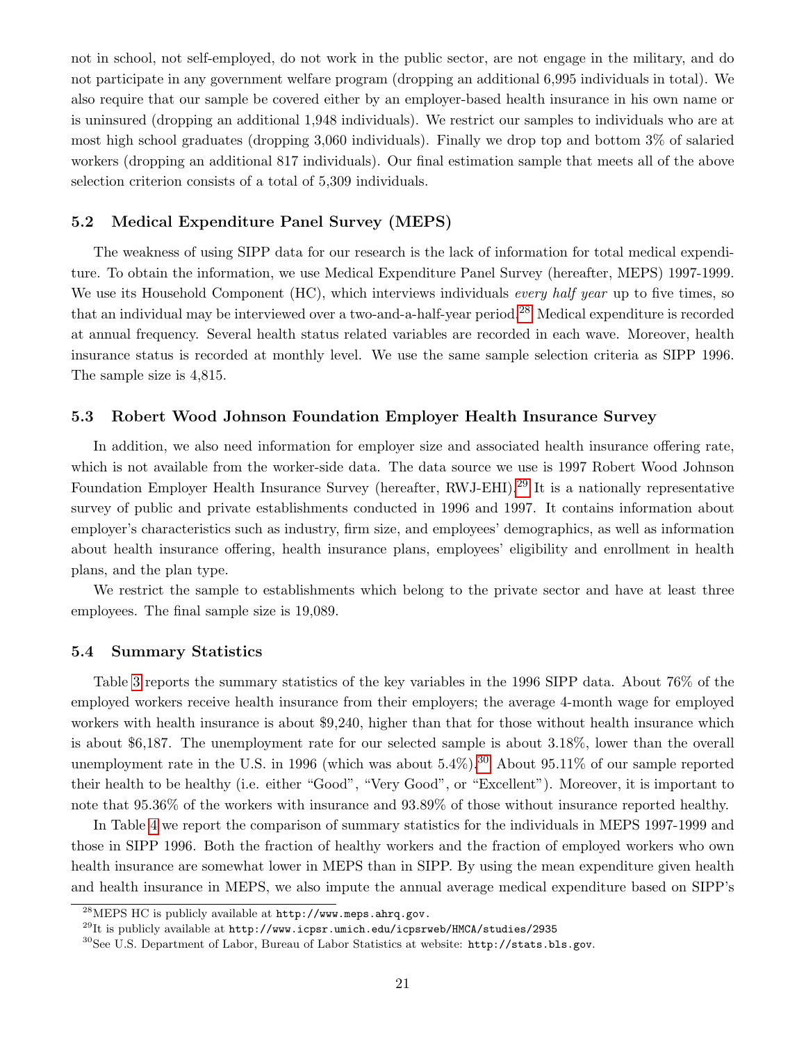not in school, not self-employed, do not work in the public sector, are not engage in the military, and do not participate in any government welfare program (dropping an additional 6,995 individuals in total). We also require that our sample be covered either by an employer-based health insurance in his own name or is uninsured (dropping an additional 1,948 individuals). We restrict our samples to individuals who are at most high school graduates (dropping 3,060 individuals). Finally we drop top and bottom 3% of salaried workers (dropping an additional 817 individuals). Our final estimation sample that meets all of the above selection criterion consists of a total of 5,309 individuals.

### <span id="page-21-4"></span>5.2 Medical Expenditure Panel Survey (MEPS)

The weakness of using SIPP data for our research is the lack of information for total medical expenditure. To obtain the information, we use Medical Expenditure Panel Survey (hereafter, MEPS) 1997-1999. We use its Household Component (HC), which interviews individuals *every half year* up to five times, so that an individual may be interviewed over a two-and-a-half-year period.[28](#page-21-0) Medical expenditure is recorded at annual frequency. Several health status related variables are recorded in each wave. Moreover, health insurance status is recorded at monthly level. We use the same sample selection criteria as SIPP 1996. The sample size is 4,815.

### <span id="page-21-3"></span>5.3 Robert Wood Johnson Foundation Employer Health Insurance Survey

In addition, we also need information for employer size and associated health insurance offering rate, which is not available from the worker-side data. The data source we use is 1997 Robert Wood Johnson Foundation Employer Health Insurance Survey (hereafter, RWJ-EHI).<sup>[29](#page-21-1)</sup> It is a nationally representative survey of public and private establishments conducted in 1996 and 1997. It contains information about employer's characteristics such as industry, firm size, and employees' demographics, as well as information about health insurance offering, health insurance plans, employees' eligibility and enrollment in health plans, and the plan type.

We restrict the sample to establishments which belong to the private sector and have at least three employees. The final sample size is 19,089.

### 5.4 Summary Statistics

Table [3](#page-22-1) reports the summary statistics of the key variables in the 1996 SIPP data. About 76% of the employed workers receive health insurance from their employers; the average 4-month wage for employed workers with health insurance is about \$9,240, higher than that for those without health insurance which is about \$6,187. The unemployment rate for our selected sample is about 3.18%, lower than the overall unemployment rate in the U.S. in 1996 (which was about  $5.4\%$ ).<sup>[30](#page-21-2)</sup> About 95.11% of our sample reported their health to be healthy (i.e. either "Good", "Very Good", or "Excellent"). Moreover, it is important to note that 95.36% of the workers with insurance and 93.89% of those without insurance reported healthy.

In Table [4](#page-22-2) we report the comparison of summary statistics for the individuals in MEPS 1997-1999 and those in SIPP 1996. Both the fraction of healthy workers and the fraction of employed workers who own health insurance are somewhat lower in MEPS than in SIPP. By using the mean expenditure given health and health insurance in MEPS, we also impute the annual average medical expenditure based on SIPP's

<span id="page-21-0"></span><sup>28</sup>MEPS HC is publicly available at http://www.meps.ahrq.gov.

<span id="page-21-1"></span> $^{29}$ It is publicly available at http://www.icpsr.umich.edu/icpsrweb/HMCA/studies/2935

<span id="page-21-2"></span><sup>30</sup>See U.S. Department of Labor, Bureau of Labor Statistics at website: http://stats.bls.gov.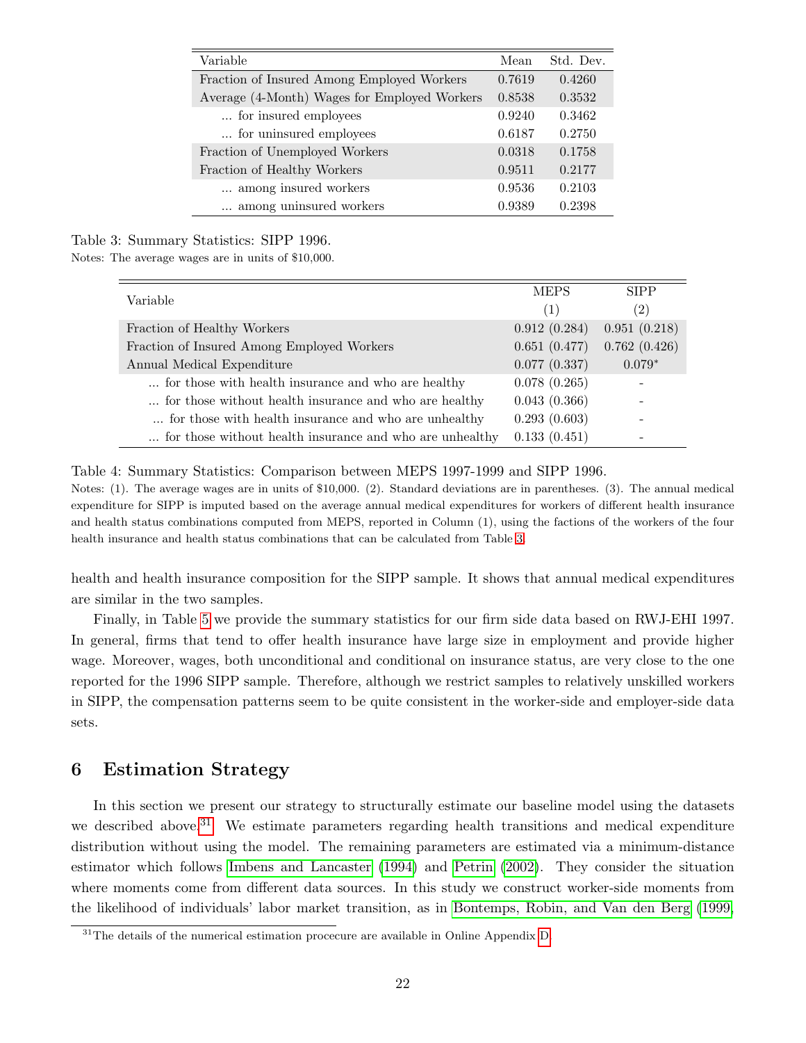| Variable                                     | Mean   | Std. Dev. |
|----------------------------------------------|--------|-----------|
| Fraction of Insured Among Employed Workers   | 0.7619 | 0.4260    |
| Average (4-Month) Wages for Employed Workers | 0.8538 | 0.3532    |
| for insured employees                        | 0.9240 | 0.3462    |
| for uninsured employees                      | 0.6187 | 0.2750    |
| Fraction of Unemployed Workers               | 0.0318 | 0.1758    |
| Fraction of Healthy Workers                  | 0.9511 | 0.2177    |
| among insured workers                        | 0.9536 | 0.2103    |
| among uninsured workers                      | 0.9389 | 0.2398    |

### Table 3: Summary Statistics: SIPP 1996.

Notes: The average wages are in units of \$10,000.

<span id="page-22-1"></span>

| Variable                                                 | <b>MEPS</b>  | <b>SIPP</b>  |
|----------------------------------------------------------|--------------|--------------|
|                                                          | (1)          | (2)          |
| Fraction of Healthy Workers                              | 0.912(0.284) | 0.951(0.218) |
| Fraction of Insured Among Employed Workers               | 0.651(0.477) | 0.762(0.426) |
| Annual Medical Expenditure                               | 0.077(0.337) | $0.079*$     |
| for those with health insurance and who are healthy      | 0.078(0.265) |              |
| for those without health insurance and who are healthy   | 0.043(0.366) |              |
| for those with health insurance and who are unhealthy    | 0.293(0.603) |              |
| for those without health insurance and who are unhealthy | 0.133(0.451) |              |

<span id="page-22-2"></span>Table 4: Summary Statistics: Comparison between MEPS 1997-1999 and SIPP 1996.

Notes: (1). The average wages are in units of \$10,000. (2). Standard deviations are in parentheses. (3). The annual medical expenditure for SIPP is imputed based on the average annual medical expenditures for workers of different health insurance and health status combinations computed from MEPS, reported in Column (1), using the factions of the workers of the four health insurance and health status combinations that can be calculated from Table [3.](#page-22-1)

health and health insurance composition for the SIPP sample. It shows that annual medical expenditures are similar in the two samples.

Finally, in Table [5](#page-23-1) we provide the summary statistics for our firm side data based on RWJ-EHI 1997. In general, firms that tend to offer health insurance have large size in employment and provide higher wage. Moreover, wages, both unconditional and conditional on insurance status, are very close to the one reported for the 1996 SIPP sample. Therefore, although we restrict samples to relatively unskilled workers in SIPP, the compensation patterns seem to be quite consistent in the worker-side and employer-side data sets.

# <span id="page-22-0"></span>6 Estimation Strategy

In this section we present our strategy to structurally estimate our baseline model using the datasets we described above.<sup>[31](#page-22-3)</sup> We estimate parameters regarding health transitions and medical expenditure distribution without using the model. The remaining parameters are estimated via a minimum-distance estimator which follows [Imbens and Lancaster \(1994\)](#page-50-2) and [Petrin \(2002\)](#page-51-1). They consider the situation where moments come from different data sources. In this study we construct worker-side moments from the likelihood of individuals' labor market transition, as in [Bontemps, Robin, and Van den Berg \(1999,](#page-49-1)

<span id="page-22-3"></span><sup>&</sup>lt;sup>31</sup>The details of the numerical estimation procecure are available in Online Appendix [D.](#page-16-1)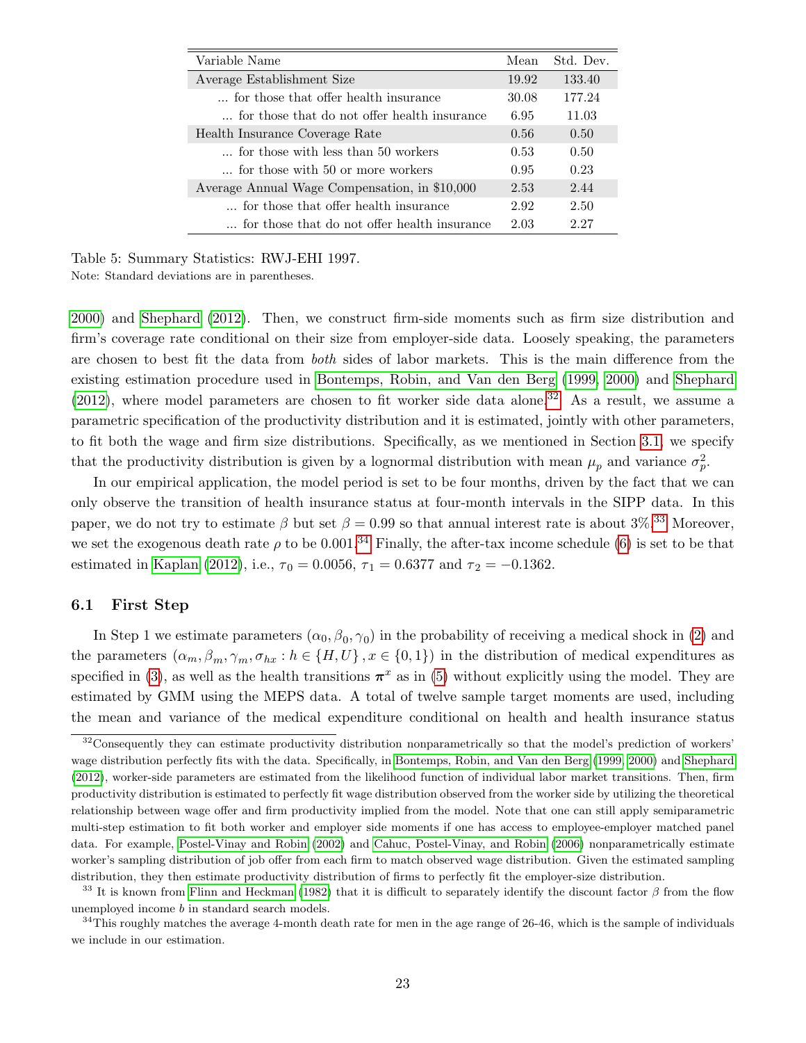| Variable Name                                 | Mean  | Std. Dev. |
|-----------------------------------------------|-------|-----------|
| Average Establishment Size                    | 19.92 | 133.40    |
| for those that offer health insurance         | 30.08 | 177.24    |
| for those that do not offer health insurance  | 6.95  | 11.03     |
| Health Insurance Coverage Rate                | 0.56  | 0.50      |
| for those with less than 50 workers           | 0.53  | 0.50      |
| for those with 50 or more workers             | 0.95  | 0.23      |
| Average Annual Wage Compensation, in \$10,000 | 2.53  | 2.44      |
| for those that offer health insurance         | 2.92  | 2.50      |
| for those that do not offer health insurance  | 2.03  | 2.27      |

<span id="page-23-1"></span>Table 5: Summary Statistics: RWJ-EHI 1997.

Note: Standard deviations are in parentheses.

[2000\)](#page-49-2) and [Shephard \(2012\)](#page-51-4). Then, we construct firm-side moments such as firm size distribution and firm's coverage rate conditional on their size from employer-side data. Loosely speaking, the parameters are chosen to best fit the data from both sides of labor markets. This is the main difference from the existing estimation procedure used in [Bontemps, Robin, and Van den Berg \(1999,](#page-49-1) [2000\)](#page-49-2) and [Shephard](#page-51-4) [\(2012\)](#page-51-4), where model parameters are chosen to fit worker side data alone.<sup>[32](#page-23-2)</sup> As a result, we assume a parametric specification of the productivity distribution and it is estimated, jointly with other parameters, to fit both the wage and firm size distributions. Specifically, as we mentioned in Section [3.1,](#page-6-5) we specify that the productivity distribution is given by a lognormal distribution with mean  $\mu_p$  and variance  $\sigma_p^2$ .

In our empirical application, the model period is set to be four months, driven by the fact that we can only observe the transition of health insurance status at four-month intervals in the SIPP data. In this paper, we do not try to estimate β but set  $\beta = 0.99$  so that annual interest rate is about 3\%, [33](#page-23-3) Moreover, we set the exogenous death rate  $\rho$  to be 0.001.<sup>[34](#page-23-4)</sup> Finally, the after-tax income schedule [\(6\)](#page-9-2) is set to be that estimated in [Kaplan \(2012\)](#page-50-12), i.e.,  $\tau_0 = 0.0056$ ,  $\tau_1 = 0.6377$  and  $\tau_2 = -0.1362$ .

### <span id="page-23-0"></span>6.1 First Step

In Step 1 we estimate parameters  $(\alpha_0, \beta_0, \gamma_0)$  in the probability of receiving a medical shock in [\(2\)](#page-7-0) and the parameters  $(\alpha_m, \beta_m, \gamma_m, \sigma_{hx} : h \in \{H, U\}, x \in \{0, 1\})$  in the distribution of medical expenditures as specified in [\(3\)](#page-7-1), as well as the health transitions  $\pi^x$  as in [\(5\)](#page-7-5) without explicitly using the model. They are estimated by GMM using the MEPS data. A total of twelve sample target moments are used, including the mean and variance of the medical expenditure conditional on health and health insurance status

<span id="page-23-2"></span><sup>&</sup>lt;sup>32</sup>Consequently they can estimate productivity distribution nonparametrically so that the model's prediction of workers' wage distribution perfectly fits with the data. Specifically, in [Bontemps, Robin, and Van den Berg](#page-49-1) [\(1999,](#page-49-1) [2000\)](#page-49-2) and [Shephard](#page-51-4) [\(2012\)](#page-51-4), worker-side parameters are estimated from the likelihood function of individual labor market transitions. Then, firm productivity distribution is estimated to perfectly fit wage distribution observed from the worker side by utilizing the theoretical relationship between wage offer and firm productivity implied from the model. Note that one can still apply semiparametric multi-step estimation to fit both worker and employer side moments if one has access to employee-employer matched panel data. For example, [Postel-Vinay and Robin](#page-51-8) [\(2002\)](#page-51-8) and [Cahuc, Postel-Vinay, and Robin](#page-49-5) [\(2006\)](#page-49-5) nonparametrically estimate worker's sampling distribution of job offer from each firm to match observed wage distribution. Given the estimated sampling distribution, they then estimate productivity distribution of firms to perfectly fit the employer-size distribution.

<span id="page-23-3"></span><sup>&</sup>lt;sup>33</sup> It is known from [Flinn and Heckman](#page-50-13) [\(1982\)](#page-50-13) that it is difficult to separately identify the discount factor  $\beta$  from the flow unemployed income b in standard search models.

<span id="page-23-4"></span> $34$ This roughly matches the average 4-month death rate for men in the age range of 26-46, which is the sample of individuals we include in our estimation.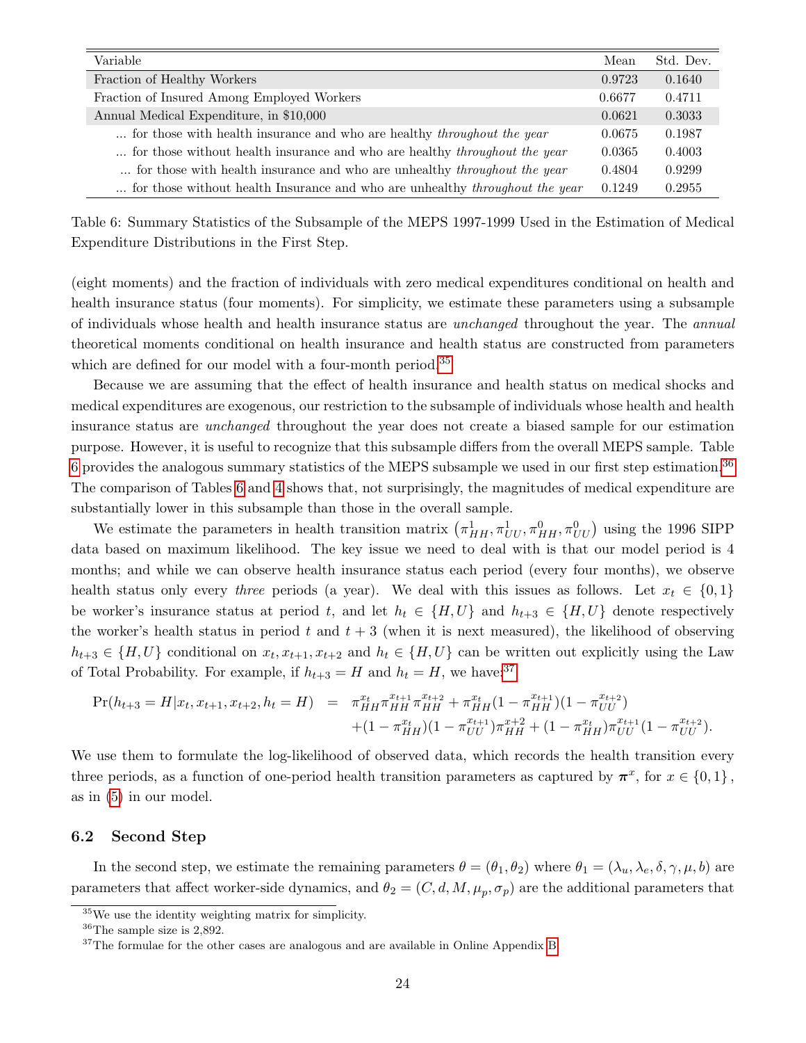| Variable                                                                            | Mean   | Std. Dev. |
|-------------------------------------------------------------------------------------|--------|-----------|
| Fraction of Healthy Workers                                                         | 0.9723 | 0.1640    |
| Fraction of Insured Among Employed Workers                                          | 0.6677 | 0.4711    |
| Annual Medical Expenditure, in \$10,000                                             | 0.0621 | 0.3033    |
| for those with health insurance and who are healthy <i>throughout the year</i>      | 0.0675 | 0.1987    |
| for those without health insurance and who are healthy <i>throughout the year</i>   | 0.0365 | 0.4003    |
| for those with health insurance and who are unhealthy <i>throughout the year</i>    | 0.4804 | 0.9299    |
| for those without health Insurance and who are unhealthy <i>throughout the year</i> | 0.1249 | 0.2955    |

<span id="page-24-1"></span>Table 6: Summary Statistics of the Subsample of the MEPS 1997-1999 Used in the Estimation of Medical Expenditure Distributions in the First Step.

(eight moments) and the fraction of individuals with zero medical expenditures conditional on health and health insurance status (four moments). For simplicity, we estimate these parameters using a subsample of individuals whose health and health insurance status are unchanged throughout the year. The annual theoretical moments conditional on health insurance and health status are constructed from parameters which are defined for our model with a four-month period.<sup>[35](#page-24-0)</sup>

Because we are assuming that the effect of health insurance and health status on medical shocks and medical expenditures are exogenous, our restriction to the subsample of individuals whose health and health insurance status are unchanged throughout the year does not create a biased sample for our estimation purpose. However, it is useful to recognize that this subsample differs from the overall MEPS sample. Table [6](#page-24-1) provides the analogous summary statistics of the MEPS subsample we used in our first step estimation.<sup>[36](#page-24-2)</sup> The comparison of Tables [6](#page-24-1) and [4](#page-22-2) shows that, not surprisingly, the magnitudes of medical expenditure are substantially lower in this subsample than those in the overall sample.

We estimate the parameters in health transition matrix  $(\pi_{HH}^1, \pi_{UU}^1, \pi_{HH}^0, \pi_{UU}^0)$  using the 1996 SIPP data based on maximum likelihood. The key issue we need to deal with is that our model period is 4 months; and while we can observe health insurance status each period (every four months), we observe health status only every three periods (a year). We deal with this issues as follows. Let  $x_t \in \{0,1\}$ be worker's insurance status at period t, and let  $h_t \in \{H, U\}$  and  $h_{t+3} \in \{H, U\}$  denote respectively the worker's health status in period t and  $t + 3$  (when it is next measured), the likelihood of observing  $h_{t+3} \in \{H, U\}$  conditional on  $x_t, x_{t+1}, x_{t+2}$  and  $h_t \in \{H, U\}$  can be written out explicitly using the Law of Total Probability. For example, if  $h_{t+3} = H$  and  $h_t = H$ , we have:<sup>[37](#page-24-3)</sup>

$$
\Pr(h_{t+3} = H | x_t, x_{t+1}, x_{t+2}, h_t = H) = \pi_{HH}^{x_t} \pi_{HH}^{x_{t+1}} \pi_{HH}^{x_{t+2}} + \pi_{HH}^{x_t} (1 - \pi_{HH}^{x_{t+1}}) (1 - \pi_{UU}^{x_{t+2}}) \n+ (1 - \pi_{HH}^{x_t}) (1 - \pi_{UU}^{x_{t+1}}) \pi_{HH}^{x+2} + (1 - \pi_{HH}^{x_t}) \pi_{UU}^{x_{t+1}} (1 - \pi_{UU}^{x_{t+2}}).
$$

We use them to formulate the log-likelihood of observed data, which records the health transition every three periods, as a function of one-period health transition parameters as captured by  $\pi^x$ , for  $x \in \{0,1\}$ , as in [\(5\)](#page-7-5) in our model.

### 6.2 Second Step

In the second step, we estimate the remaining parameters  $\theta = (\theta_1, \theta_2)$  where  $\theta_1 = (\lambda_u, \lambda_e, \delta, \gamma, \mu, b)$  are parameters that affect worker-side dynamics, and  $\theta_2 = (C, d, M, \mu_p, \sigma_p)$  are the additional parameters that

<span id="page-24-0"></span><sup>35</sup>We use the identity weighting matrix for simplicity.

<span id="page-24-2"></span><sup>36</sup>The sample size is 2,892.

<span id="page-24-3"></span><sup>&</sup>lt;sup>37</sup>The formulae for the other cases are analogous and are available in Online Appendix [B.](#page-5-0)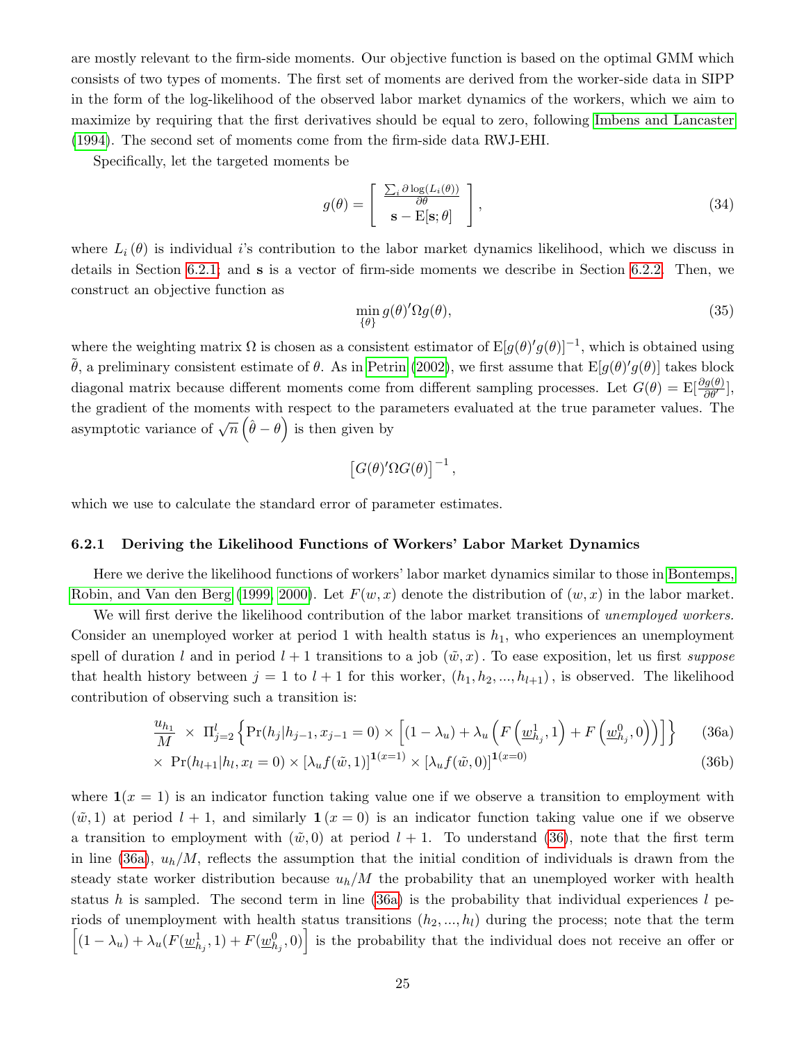are mostly relevant to the firm-side moments. Our objective function is based on the optimal GMM which consists of two types of moments. The first set of moments are derived from the worker-side data in SIPP in the form of the log-likelihood of the observed labor market dynamics of the workers, which we aim to maximize by requiring that the first derivatives should be equal to zero, following [Imbens and Lancaster](#page-50-2) [\(1994\)](#page-50-2). The second set of moments come from the firm-side data RWJ-EHI.

Specifically, let the targeted moments be

<span id="page-25-3"></span>
$$
g(\theta) = \begin{bmatrix} \frac{\sum_{i} \partial \log(L_{i}(\theta))}{\partial \theta} \\ \mathbf{s} - \mathbf{E}[\mathbf{s}; \theta] \end{bmatrix},
$$
\n(34)

where  $L_i(\theta)$  is individual i's contribution to the labor market dynamics likelihood, which we discuss in details in Section [6.2.1;](#page-25-0) and s is a vector of firm-side moments we describe in Section [6.2.2.](#page-27-1) Then, we construct an objective function as

<span id="page-25-4"></span>
$$
\min_{\{\theta\}} g(\theta)' \Omega g(\theta),\tag{35}
$$

where the weighting matrix  $\Omega$  is chosen as a consistent estimator of  $E[g(\theta)'g(\theta)]^{-1}$ , which is obtained using  $\tilde{\theta}$ , a preliminary consistent estimate of  $\theta$ . As in [Petrin \(2002\)](#page-51-1), we first assume that  $E[g(\theta)'g(\theta)]$  takes block diagonal matrix because different moments come from different sampling processes. Let  $G(\theta) = \mathbb{E}[\frac{\partial g(\theta)}{\partial \theta'}],$ the gradient of the moments with respect to the parameters evaluated at the true parameter values. The asymptotic variance of  $\sqrt{n}(\hat{\theta}-\theta)$  is then given by

$$
[G(\theta)'\Omega G(\theta)]^{-1},
$$

which we use to calculate the standard error of parameter estimates.

### <span id="page-25-0"></span>6.2.1 Deriving the Likelihood Functions of Workers' Labor Market Dynamics

Here we derive the likelihood functions of workers' labor market dynamics similar to those in [Bontemps,](#page-49-1) [Robin, and Van den Berg \(1999,](#page-49-1) [2000\)](#page-49-2). Let  $F(w, x)$  denote the distribution of  $(w, x)$  in the labor market.

We will first derive the likelihood contribution of the labor market transitions of unemployed workers. Consider an unemployed worker at period 1 with health status is  $h_1$ , who experiences an unemployment spell of duration l and in period  $l + 1$  transitions to a job  $(\tilde{w}, x)$ . To ease exposition, let us first suppose that health history between  $j = 1$  to  $l + 1$  for this worker,  $(h_1, h_2, ..., h_{l+1})$ , is observed. The likelihood contribution of observing such a transition is:

<span id="page-25-1"></span>
$$
\frac{u_{h_1}}{M} \times \Pi_{j=2}^l \left\{ \Pr(h_j | h_{j-1}, x_{j-1} = 0) \times \left[ (1 - \lambda_u) + \lambda_u \left( F\left(\underline{w}_{h_j}^1, 1\right) + F\left(\underline{w}_{h_j}^0, 0\right) \right) \right] \right\} \tag{36a}
$$

<span id="page-25-2"></span>
$$
\times \ \Pr(h_{l+1}|h_l, x_l=0) \times [\lambda_u f(\tilde{w}, 1)]^{1(x=1)} \times [\lambda_u f(\tilde{w}, 0)]^{1(x=0)}
$$
\n(36b)

where  $\mathbf{1}(x = 1)$  is an indicator function taking value one if we observe a transition to employment with  $(\tilde{w}, 1)$  at period  $l + 1$ , and similarly  $\mathbf{1}(x = 0)$  is an indicator function taking value one if we observe a transition to employment with  $(\tilde{w}, 0)$  at period  $l + 1$ . To understand [\(36\)](#page-25-1), note that the first term in line [\(36a\)](#page-25-2),  $u_h/M$ , reflects the assumption that the initial condition of individuals is drawn from the steady state worker distribution because  $u_h/M$  the probability that an unemployed worker with health status h is sampled. The second term in line [\(36a\)](#page-25-2) is the probability that individual experiences  $l$  pe- $\left[ (1 - \lambda_u) + \lambda_u (F(\underline{w}_{h_j}^1, 1) + F(\underline{w}_{h_j}^0, 0) \right]$  is the probability that the individual does not receive an offer or riods of unemployment with health status transitions  $(h_2, ..., h_l)$  during the process; note that the term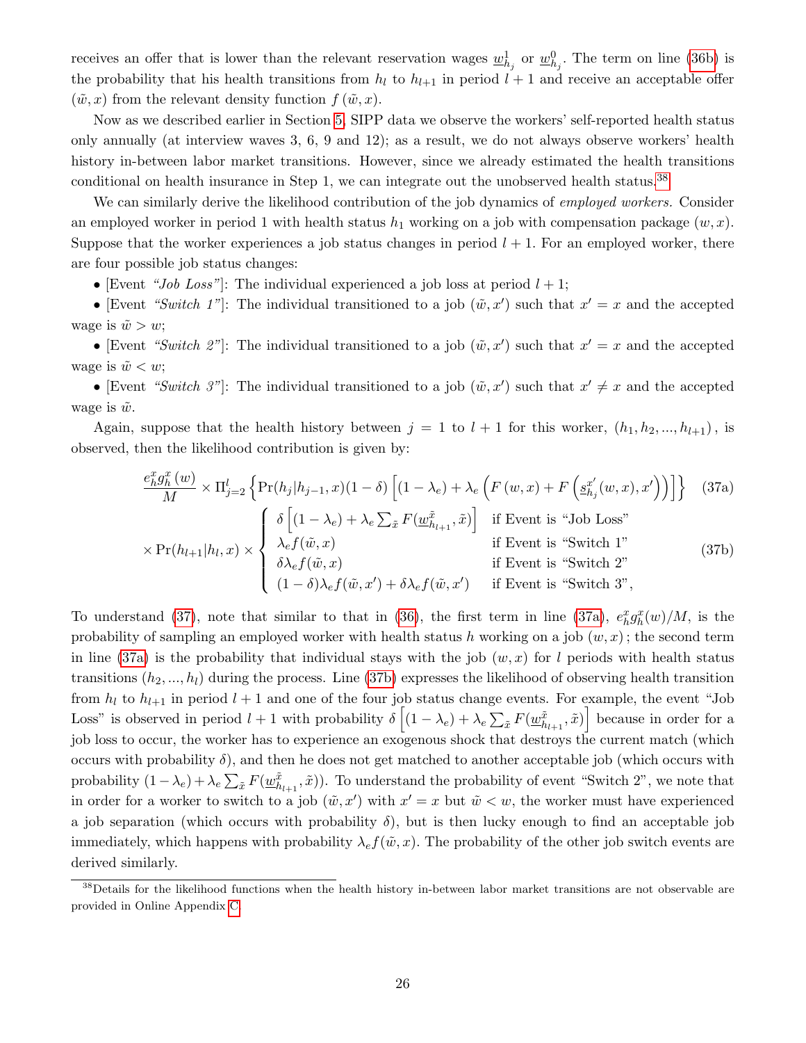receives an offer that is lower than the relevant reservation wages  $\underline{w}_{h_j}^1$  or  $\underline{w}_{h_j}^0$ . The term on line [\(36b\)](#page-25-2) is the probability that his health transitions from  $h_l$  to  $h_{l+1}$  in period  $l+1$  and receive an acceptable offer  $(\tilde{w}, x)$  from the relevant density function  $f(\tilde{w}, x)$ .

Now as we described earlier in Section [5,](#page-20-0) SIPP data we observe the workers' self-reported health status only annually (at interview waves 3, 6, 9 and 12); as a result, we do not always observe workers' health history in-between labor market transitions. However, since we already estimated the health transitions conditional on health insurance in Step 1, we can integrate out the unobserved health status.<sup>[38](#page-26-0)</sup>

We can similarly derive the likelihood contribution of the job dynamics of *employed workers*. Consider an employed worker in period 1 with health status  $h_1$  working on a job with compensation package  $(w, x)$ . Suppose that the worker experiences a job status changes in period  $l + 1$ . For an employed worker, there are four possible job status changes:

• [Event "Job Loss"]: The individual experienced a job loss at period  $l + 1$ ;

• [Event "Switch 1"]: The individual transitioned to a job  $(\tilde{w}, x')$  such that  $x' = x$  and the accepted wage is  $\tilde{w} > w$ ;

• [Event "Switch 2"]: The individual transitioned to a job  $(\tilde{w}, x')$  such that  $x' = x$  and the accepted wage is  $\tilde{w} < w$ ;

• [Event "Switch 3"]: The individual transitioned to a job  $(\tilde{w}, x')$  such that  $x' \neq x$  and the accepted wage is  $\tilde{w}$ .

Again, suppose that the health history between  $j = 1$  to  $l + 1$  for this worker,  $(h_1, h_2, ..., h_{l+1})$ , is observed, then the likelihood contribution is given by:

<span id="page-26-2"></span><span id="page-26-1"></span>
$$
\frac{e_{h}^{x}g_{h}^{x}(w)}{M} \times \Pi_{j=2}^{l} \left\{ \Pr(h_{j}|h_{j-1},x)(1-\delta) \left[ (1-\lambda_{e}) + \lambda_{e} \left( F(w,x) + F\left(g_{h_{j}}^{x'}(w,x),x'\right) \right) \right] \right\} \quad (37a)
$$
\n
$$
\times \Pr(h_{l+1}|h_{l},x) \times \begin{cases} \delta \left[ (1-\lambda_{e}) + \lambda_{e} \sum_{\tilde{x}} F(\underline{w}_{h_{l+1}}^{\tilde{x}},\tilde{x}) \right] & \text{if Event is "Job Loss"}\\ \lambda_{e}f(\tilde{w},x) & \text{if Event is "Switch 1"}\\ \delta \lambda_{e}f(\tilde{w},x) & \text{if Event is "Switch 2"}\\ (1-\delta)\lambda_{e}f(\tilde{w},x') + \delta \lambda_{e}f(\tilde{w},x') & \text{if Event is "Switch 3",} \end{cases} \tag{37b}
$$

To understand [\(37\)](#page-26-1), note that similar to that in [\(36\)](#page-25-1), the first term in line [\(37a\)](#page-26-2),  $e_h^x g_h^x(w)/M$ , is the probability of sampling an employed worker with health status h working on a job  $(w, x)$ ; the second term in line [\(37a\)](#page-26-2) is the probability that individual stays with the job  $(w, x)$  for l periods with health status transitions  $(h_2, ..., h_l)$  during the process. Line [\(37b\)](#page-26-2) expresses the likelihood of observing health transition from  $h_l$  to  $h_{l+1}$  in period  $l+1$  and one of the four job status change events. For example, the event "Job Loss" is observed in period  $l + 1$  with probability  $\delta \left[ (1 - \lambda_e) + \lambda_e \sum_{\tilde{x}} F(\underline{w}_{h_{l+1}}^{\tilde{x}}, \tilde{x}) \right]$  because in order for a job loss to occur, the worker has to experience an exogenous shock that destroys the current match (which occurs with probability  $\delta$ ), and then he does not get matched to another acceptable job (which occurs with probability  $(1-\lambda_e) + \lambda_e \sum_{\tilde{x}} F(\underline{w}_{h_{l+1}}^{\tilde{x}}, \tilde{x})$ ). To understand the probability of event "Switch 2", we note that in order for a worker to switch to a job  $(\tilde{w}, x')$  with  $x' = x$  but  $\tilde{w} < w$ , the worker must have experienced a job separation (which occurs with probability  $\delta$ ), but is then lucky enough to find an acceptable job immediately, which happens with probability  $\lambda<sub>e</sub> f(\tilde{w}, x)$ . The probability of the other job switch events are derived similarly.

<span id="page-26-0"></span><sup>&</sup>lt;sup>38</sup>Details for the likelihood functions when the health history in-between labor market transitions are not observable are provided in Online Appendix [C.](#page-6-0)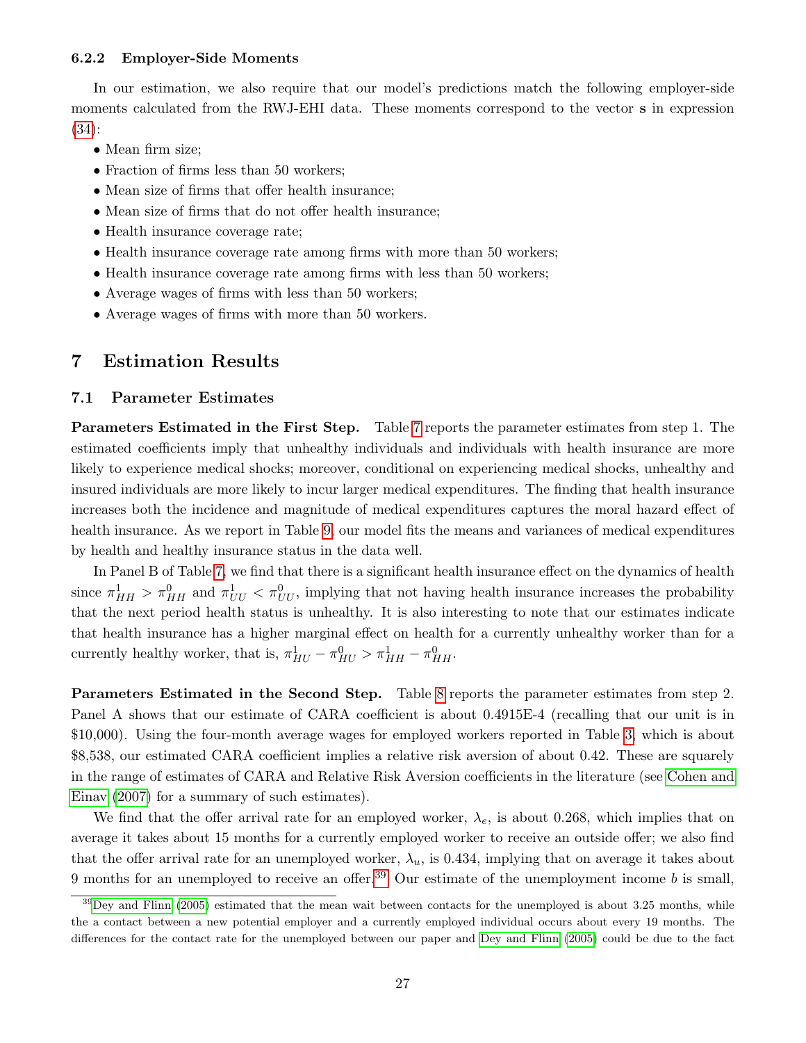### <span id="page-27-1"></span>6.2.2 Employer-Side Moments

In our estimation, we also require that our model's predictions match the following employer-side moments calculated from the RWJ-EHI data. These moments correspond to the vector s in expression [\(34\)](#page-25-3):

- Mean firm size;
- Fraction of firms less than 50 workers;
- Mean size of firms that offer health insurance;
- Mean size of firms that do not offer health insurance;
- Health insurance coverage rate;
- Health insurance coverage rate among firms with more than 50 workers;
- Health insurance coverage rate among firms with less than 50 workers;
- Average wages of firms with less than 50 workers;
- Average wages of firms with more than 50 workers.

# <span id="page-27-0"></span>7 Estimation Results

### 7.1 Parameter Estimates

Parameters Estimated in the First Step. Table [7](#page-28-0) reports the parameter estimates from step 1. The estimated coefficients imply that unhealthy individuals and individuals with health insurance are more likely to experience medical shocks; moreover, conditional on experiencing medical shocks, unhealthy and insured individuals are more likely to incur larger medical expenditures. The finding that health insurance increases both the incidence and magnitude of medical expenditures captures the moral hazard effect of health insurance. As we report in Table [9,](#page-30-1) our model fits the means and variances of medical expenditures by health and healthy insurance status in the data well.

In Panel B of Table [7,](#page-28-0) we find that there is a significant health insurance effect on the dynamics of health since  $\pi^1_{HH} > \pi^0_{HH}$  and  $\pi^1_{UU} < \pi^0_{UU}$ , implying that not having health insurance increases the probability that the next period health status is unhealthy. It is also interesting to note that our estimates indicate that health insurance has a higher marginal effect on health for a currently unhealthy worker than for a currently healthy worker, that is,  $\pi_{HU}^1 - \pi_{HU}^0 > \pi_{HH}^1 - \pi_{HH}^0$ .

Parameters Estimated in the Second Step. Table [8](#page-29-0) reports the parameter estimates from step 2. Panel A shows that our estimate of CARA coefficient is about 0.4915E-4 (recalling that our unit is in \$10,000). Using the four-month average wages for employed workers reported in Table [3,](#page-22-1) which is about \$8,538, our estimated CARA coefficient implies a relative risk aversion of about 0.42. These are squarely in the range of estimates of CARA and Relative Risk Aversion coefficients in the literature (see [Cohen and](#page-49-6) [Einav \(2007\)](#page-49-6) for a summary of such estimates).

We find that the offer arrival rate for an employed worker,  $\lambda_e$ , is about 0.268, which implies that on average it takes about 15 months for a currently employed worker to receive an outside offer; we also find that the offer arrival rate for an unemployed worker,  $\lambda_u$ , is 0.434, implying that on average it takes about 9 months for an unemployed to receive an offer.<sup>[39](#page-27-2)</sup> Our estimate of the unemployment income b is small,

<span id="page-27-2"></span> $39$ [Dey and Flinn](#page-50-4) [\(2005\)](#page-50-4) estimated that the mean wait between contacts for the unemployed is about 3.25 months, while the a contact between a new potential employer and a currently employed individual occurs about every 19 months. The differences for the contact rate for the unemployed between our paper and [Dey and Flinn](#page-50-4) [\(2005\)](#page-50-4) could be due to the fact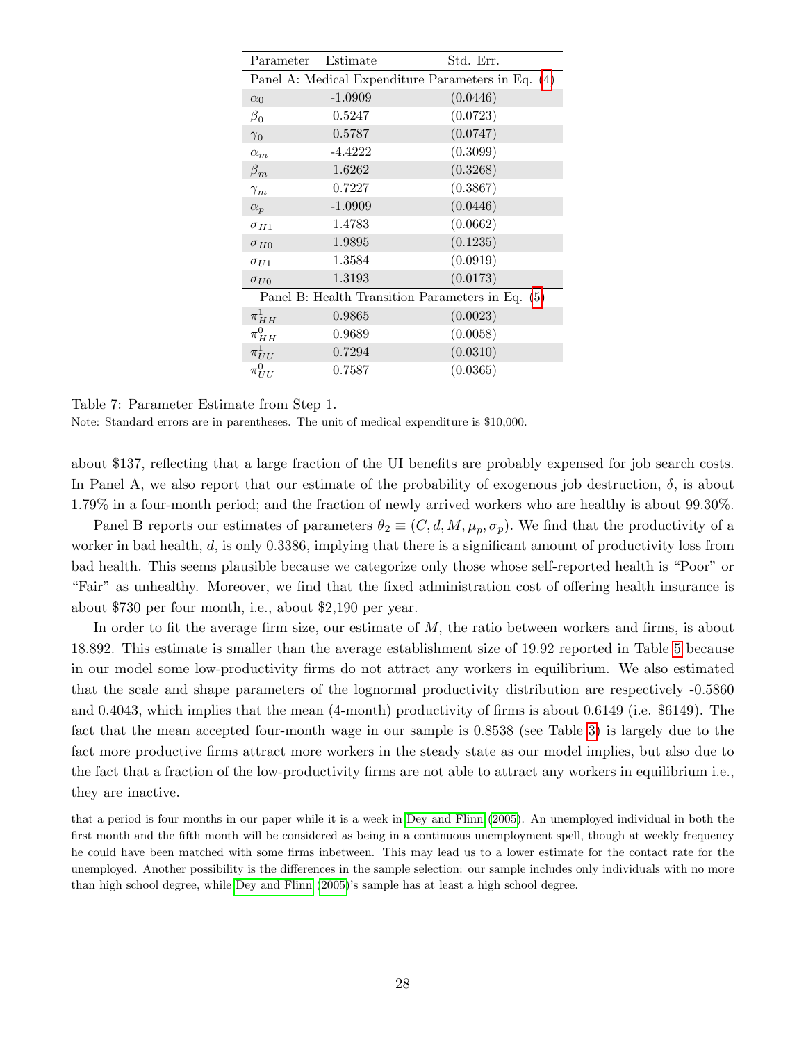| Parameter Estimate |           | Std. Err.                                          |
|--------------------|-----------|----------------------------------------------------|
|                    |           | Panel A: Medical Expenditure Parameters in Eq. (4) |
| $\alpha_0$         | $-1.0909$ | (0.0446)                                           |
| $\beta_0$          | 0.5247    | (0.0723)                                           |
| $\gamma_0$         | 0.5787    | (0.0747)                                           |
| $\alpha_m$         | $-4.4222$ | (0.3099)                                           |
| $\beta_m$          | 1.6262    | (0.3268)                                           |
| $\gamma_m$         | 0.7227    | (0.3867)                                           |
| $\alpha_p$         | $-1.0909$ | (0.0446)                                           |
| $\sigma_{H1}$      | 1.4783    | (0.0662)                                           |
| $\sigma_{H0}$      | 1.9895    | (0.1235)                                           |
| $\sigma_{U1}$      | 1.3584    | (0.0919)                                           |
| $\sigma_{U0}$      | 1.3193    | (0.0173)                                           |
|                    |           | Panel B: Health Transition Parameters in Eq. (5)   |
| $\pi^1_{HH}$       | 0.9865    | (0.0023)                                           |
| $\pi^0_{HH}$       | 0.9689    | (0.0058)                                           |
| $\pi^1_{UU}$       | 0.7294    | (0.0310)                                           |
| $\pi^0_{UU}$       | 0.7587    | (0.0365)                                           |

<span id="page-28-0"></span>Table 7: Parameter Estimate from Step 1. Note: Standard errors are in parentheses. The unit of medical expenditure is \$10,000.

about \$137, reflecting that a large fraction of the UI benefits are probably expensed for job search costs. In Panel A, we also report that our estimate of the probability of exogenous job destruction,  $\delta$ , is about 1.79% in a four-month period; and the fraction of newly arrived workers who are healthy is about 99.30%.

Panel B reports our estimates of parameters  $\theta_2 \equiv (C, d, M, \mu_p, \sigma_p)$ . We find that the productivity of a worker in bad health, d, is only 0.3386, implying that there is a significant amount of productivity loss from bad health. This seems plausible because we categorize only those whose self-reported health is "Poor" or "Fair" as unhealthy. Moreover, we find that the fixed administration cost of offering health insurance is about \$730 per four month, i.e., about \$2,190 per year.

In order to fit the average firm size, our estimate of M, the ratio between workers and firms, is about 18.892. This estimate is smaller than the average establishment size of 19.92 reported in Table [5](#page-23-1) because in our model some low-productivity firms do not attract any workers in equilibrium. We also estimated that the scale and shape parameters of the lognormal productivity distribution are respectively -0.5860 and 0.4043, which implies that the mean (4-month) productivity of firms is about 0.6149 (i.e. \$6149). The fact that the mean accepted four-month wage in our sample is 0.8538 (see Table [3\)](#page-22-1) is largely due to the fact more productive firms attract more workers in the steady state as our model implies, but also due to the fact that a fraction of the low-productivity firms are not able to attract any workers in equilibrium i.e., they are inactive.

that a period is four months in our paper while it is a week in [Dey and Flinn](#page-50-4) [\(2005\)](#page-50-4). An unemployed individual in both the first month and the fifth month will be considered as being in a continuous unemployment spell, though at weekly frequency he could have been matched with some firms inbetween. This may lead us to a lower estimate for the contact rate for the unemployed. Another possibility is the differences in the sample selection: our sample includes only individuals with no more than high school degree, while [Dey and Flinn](#page-50-4) [\(2005\)](#page-50-4)'s sample has at least a high school degree.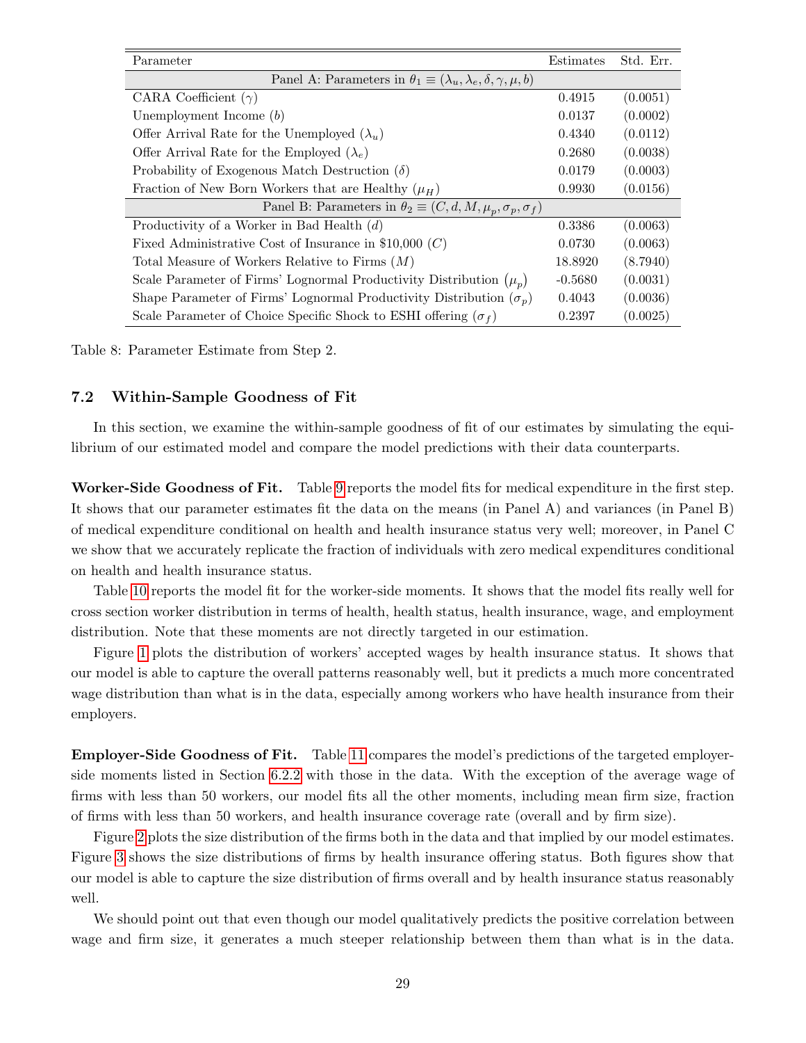| Parameter                                                                               | Estimates | Std. Err. |  |
|-----------------------------------------------------------------------------------------|-----------|-----------|--|
| Panel A: Parameters in $\theta_1 \equiv (\lambda_u, \lambda_e, \delta, \gamma, \mu, b)$ |           |           |  |
| CARA Coefficient $(\gamma)$                                                             | 0.4915    | (0.0051)  |  |
| Unemployment Income $(b)$                                                               | 0.0137    | (0.0002)  |  |
| Offer Arrival Rate for the Unemployed $(\lambda_u)$                                     | 0.4340    | (0.0112)  |  |
| Offer Arrival Rate for the Employed $(\lambda_e)$                                       | 0.2680    | (0.0038)  |  |
| Probability of Exogenous Match Destruction $(\delta)$                                   | 0.0179    | (0.0003)  |  |
| Fraction of New Born Workers that are Healthy $(\mu_H)$                                 | 0.9930    | (0.0156)  |  |
| Panel B: Parameters in $\theta_2 \equiv (C, d, M, \mu_n, \sigma_p, \sigma_f)$           |           |           |  |
| Productivity of a Worker in Bad Health $(d)$                                            | 0.3386    | (0.0063)  |  |
| Fixed Administrative Cost of Insurance in \$10,000 $(C)$                                | 0.0730    | (0.0063)  |  |
| Total Measure of Workers Relative to Firms $(M)$                                        | 18.8920   | (8.7940)  |  |
| Scale Parameter of Firms' Lognormal Productivity Distribution $(\mu_n)$                 | $-0.5680$ | (0.0031)  |  |
| Shape Parameter of Firms' Lognormal Productivity Distribution $(\sigma_p)$              | 0.4043    | (0.0036)  |  |
| Scale Parameter of Choice Specific Shock to ESHI offering $(\sigma_f)$                  | 0.2397    | (0.0025)  |  |

<span id="page-29-0"></span>Table 8: Parameter Estimate from Step 2.

### 7.2 Within-Sample Goodness of Fit

In this section, we examine the within-sample goodness of fit of our estimates by simulating the equilibrium of our estimated model and compare the model predictions with their data counterparts.

Worker-Side Goodness of Fit. Table [9](#page-30-1) reports the model fits for medical expenditure in the first step. It shows that our parameter estimates fit the data on the means (in Panel A) and variances (in Panel B) of medical expenditure conditional on health and health insurance status very well; moreover, in Panel C we show that we accurately replicate the fraction of individuals with zero medical expenditures conditional on health and health insurance status.

Table [10](#page-31-0) reports the model fit for the worker-side moments. It shows that the model fits really well for cross section worker distribution in terms of health, health status, health insurance, wage, and employment distribution. Note that these moments are not directly targeted in our estimation.

Figure [1](#page-31-1) plots the distribution of workers' accepted wages by health insurance status. It shows that our model is able to capture the overall patterns reasonably well, but it predicts a much more concentrated wage distribution than what is in the data, especially among workers who have health insurance from their employers.

Employer-Side Goodness of Fit. Table [11](#page-33-0) compares the model's predictions of the targeted employerside moments listed in Section [6.2.2](#page-27-1) with those in the data. With the exception of the average wage of firms with less than 50 workers, our model fits all the other moments, including mean firm size, fraction of firms with less than 50 workers, and health insurance coverage rate (overall and by firm size).

Figure [2](#page-32-0) plots the size distribution of the firms both in the data and that implied by our model estimates. Figure [3](#page-32-1) shows the size distributions of firms by health insurance offering status. Both figures show that our model is able to capture the size distribution of firms overall and by health insurance status reasonably well.

We should point out that even though our model qualitatively predicts the positive correlation between wage and firm size, it generates a much steeper relationship between them than what is in the data.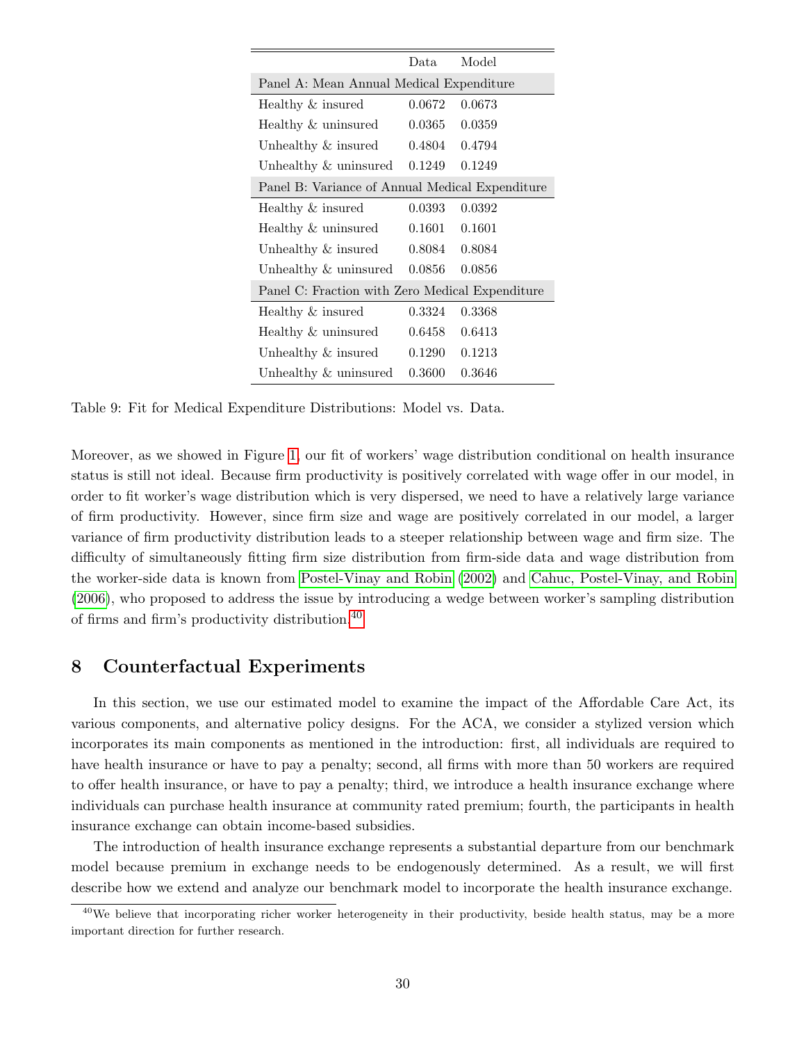|                                                 | Data.  | Model  |  |  |
|-------------------------------------------------|--------|--------|--|--|
| Panel A: Mean Annual Medical Expenditure        |        |        |  |  |
| Healthy & insured                               | 0.0672 | 0.0673 |  |  |
| Healthy & uninsured                             | 0.0365 | 0.0359 |  |  |
| Unhealthy & insured                             | 0.4804 | 0.4794 |  |  |
| Unhealthy & uninsured                           | 0.1249 | 0.1249 |  |  |
| Panel B: Variance of Annual Medical Expenditure |        |        |  |  |
| Healthy & insured                               | 0.0393 | 0.0392 |  |  |
| Healthy & uninsured                             | 0.1601 | 0.1601 |  |  |
| Unhealthy & insured                             | 0.8084 | 0.8084 |  |  |
| Unhealthy & uninsured                           | 0.0856 | 0.0856 |  |  |
| Panel C: Fraction with Zero Medical Expenditure |        |        |  |  |
| Healthy & insured                               | 0.3324 | 0.3368 |  |  |
| Healthy & uninsured                             | 0.6458 | 0.6413 |  |  |
| Unhealthy $\&$ insured                          | 0.1290 | 0.1213 |  |  |
| Unhealthy & uninsured                           | 0.3600 | 0.3646 |  |  |

<span id="page-30-1"></span>Table 9: Fit for Medical Expenditure Distributions: Model vs. Data.

Moreover, as we showed in Figure [1,](#page-31-1) our fit of workers' wage distribution conditional on health insurance status is still not ideal. Because firm productivity is positively correlated with wage offer in our model, in order to fit worker's wage distribution which is very dispersed, we need to have a relatively large variance of firm productivity. However, since firm size and wage are positively correlated in our model, a larger variance of firm productivity distribution leads to a steeper relationship between wage and firm size. The difficulty of simultaneously fitting firm size distribution from firm-side data and wage distribution from the worker-side data is known from [Postel-Vinay and Robin \(2002\)](#page-51-8) and [Cahuc, Postel-Vinay, and Robin](#page-49-5) [\(2006\)](#page-49-5), who proposed to address the issue by introducing a wedge between worker's sampling distribution of firms and firm's productivity distribution.[40](#page-30-2)

# <span id="page-30-0"></span>8 Counterfactual Experiments

In this section, we use our estimated model to examine the impact of the Affordable Care Act, its various components, and alternative policy designs. For the ACA, we consider a stylized version which incorporates its main components as mentioned in the introduction: first, all individuals are required to have health insurance or have to pay a penalty; second, all firms with more than 50 workers are required to offer health insurance, or have to pay a penalty; third, we introduce a health insurance exchange where individuals can purchase health insurance at community rated premium; fourth, the participants in health insurance exchange can obtain income-based subsidies.

The introduction of health insurance exchange represents a substantial departure from our benchmark model because premium in exchange needs to be endogenously determined. As a result, we will first describe how we extend and analyze our benchmark model to incorporate the health insurance exchange.

<span id="page-30-2"></span><sup>&</sup>lt;sup>40</sup>We believe that incorporating richer worker heterogeneity in their productivity, beside health status, may be a more important direction for further research.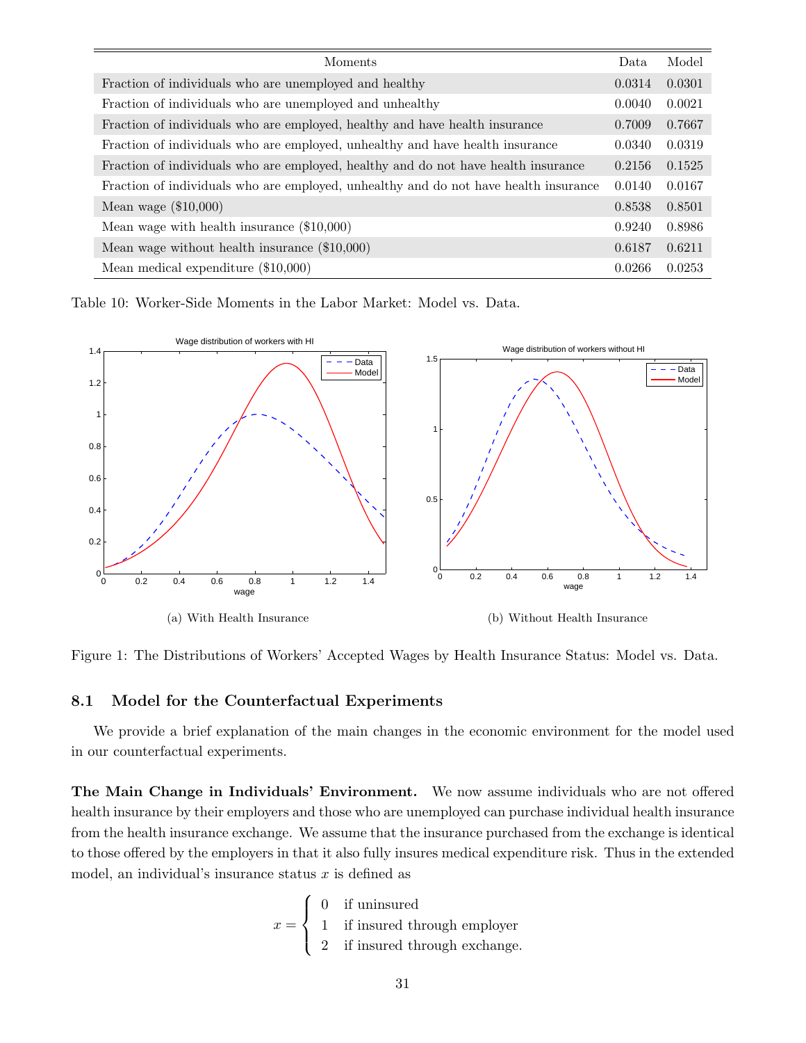| Moments                                                                              | Data   | Model  |
|--------------------------------------------------------------------------------------|--------|--------|
| Fraction of individuals who are unemployed and healthy                               | 0.0314 | 0.0301 |
| Fraction of individuals who are unemployed and unhealthy                             | 0.0040 | 0.0021 |
| Fraction of individuals who are employed, healthy and have health insurance          | 0.7009 | 0.7667 |
| Fraction of individuals who are employed, unhealthy and have health insurance        | 0.0340 | 0.0319 |
| Fraction of individuals who are employed, healthy and do not have health insurance   | 0.2156 | 0.1525 |
| Fraction of individuals who are employed, unhealthy and do not have health insurance | 0.0140 | 0.0167 |
| Mean wage $(\$10,000)$                                                               | 0.8538 | 0.8501 |
| Mean wage with health insurance $(\$10,000)$                                         | 0.9240 | 0.8986 |
| Mean wage without health insurance (\$10,000)                                        | 0.6187 | 0.6211 |
| Mean medical expenditure $(\$10,000)$                                                | 0.0266 | 0.0253 |

<span id="page-31-0"></span>Table 10: Worker-Side Moments in the Labor Market: Model vs. Data.



<span id="page-31-1"></span>Figure 1: The Distributions of Workers' Accepted Wages by Health Insurance Status: Model vs. Data.

### 8.1 Model for the Counterfactual Experiments

We provide a brief explanation of the main changes in the economic environment for the model used in our counterfactual experiments.

The Main Change in Individuals' Environment. We now assume individuals who are not offered health insurance by their employers and those who are unemployed can purchase individual health insurance from the health insurance exchange. We assume that the insurance purchased from the exchange is identical to those offered by the employers in that it also fully insures medical expenditure risk. Thus in the extended model, an individual's insurance status  $x$  is defined as

$$
x = \begin{cases} 0 & \text{if uninsured} \\ 1 & \text{if insured through employer} \\ 2 & \text{if insured through exchange.} \end{cases}
$$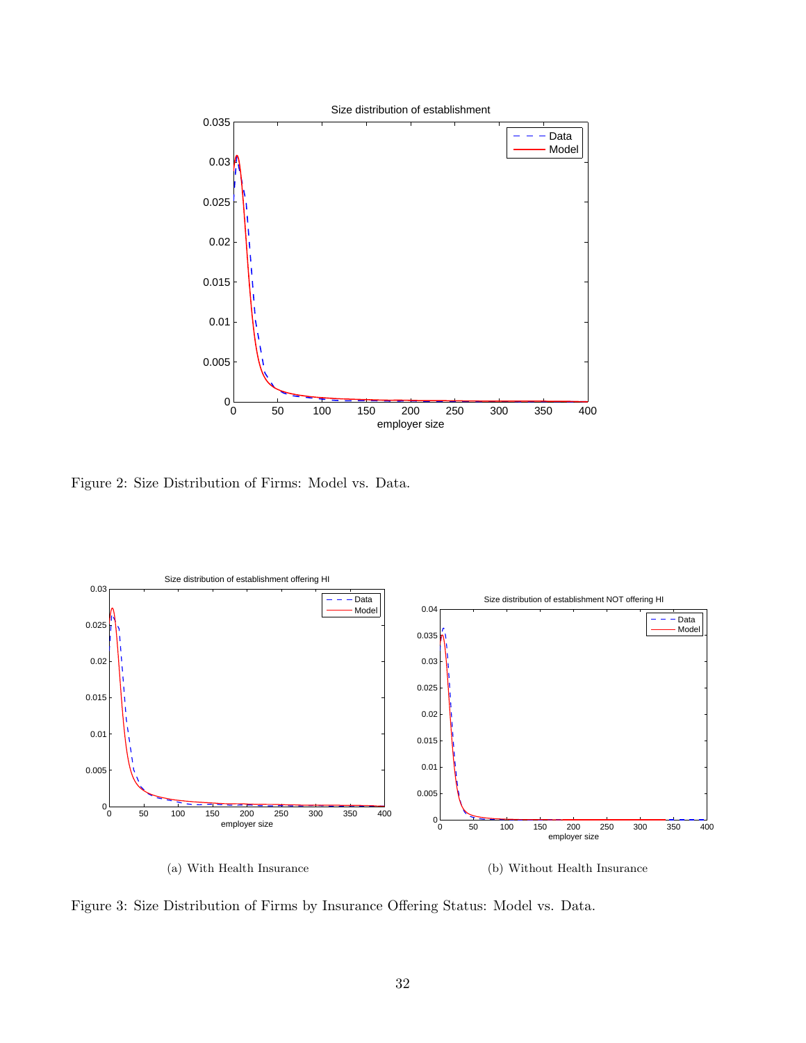

<span id="page-32-0"></span>Figure 2: Size Distribution of Firms: Model vs. Data.



<span id="page-32-1"></span>Figure 3: Size Distribution of Firms by Insurance Offering Status: Model vs. Data.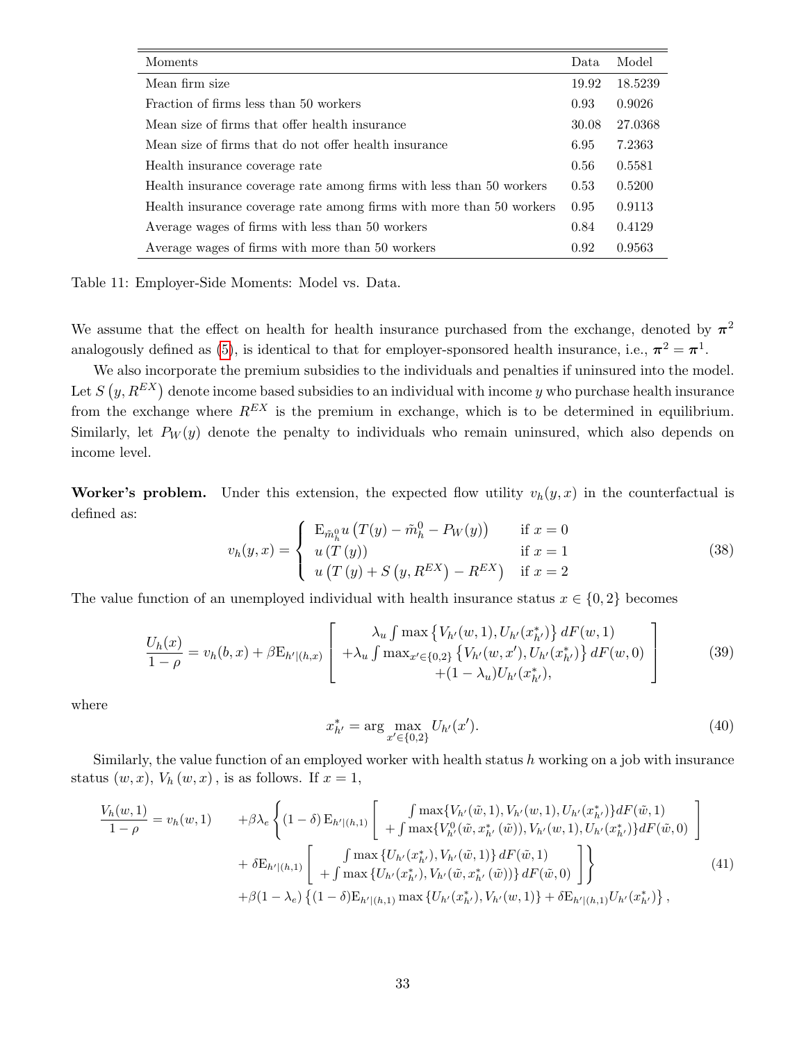| Moments                                                              | Data  | Model   |
|----------------------------------------------------------------------|-------|---------|
| Mean firm size                                                       | 19.92 | 18.5239 |
| Fraction of firms less than 50 workers                               | 0.93  | 0.9026  |
| Mean size of firms that offer health insurance                       | 30.08 | 27.0368 |
| Mean size of firms that do not offer health insurance                | 6.95  | 7.2363  |
| Health insurance coverage rate                                       | 0.56  | 0.5581  |
| Health insurance coverage rate among firms with less than 50 workers | 0.53  | 0.5200  |
| Health insurance coverage rate among firms with more than 50 workers | 0.95  | 0.9113  |
| Average wages of firms with less than 50 workers                     | 0.84  | 0.4129  |
| Average wages of firms with more than 50 workers                     | 0.92  | 0.9563  |

<span id="page-33-0"></span>Table 11: Employer-Side Moments: Model vs. Data.

We assume that the effect on health for health insurance purchased from the exchange, denoted by  $\pi^2$ analogously defined as [\(5\)](#page-7-5), is identical to that for employer-sponsored health insurance, i.e.,  $\pi^2 = \pi^1$ .

We also incorporate the premium subsidies to the individuals and penalties if uninsured into the model. Let  $S(y, R^{EX})$  denote income based subsidies to an individual with income y who purchase health insurance from the exchange where  $R^{EX}$  is the premium in exchange, which is to be determined in equilibrium. Similarly, let  $P_W(y)$  denote the penalty to individuals who remain uninsured, which also depends on income level.

Worker's problem. Under this extension, the expected flow utility  $v_h(y, x)$  in the counterfactual is defined as:

$$
v_h(y,x) = \begin{cases} \nE_{\tilde{m}_h^0} u (T(y) - \tilde{m}_h^0 - P_W(y)) & \text{if } x = 0 \\
u (T(y)) & \text{if } x = 1 \\
u (T(y) + S(y, R^{EX}) - R^{EX}) & \text{if } x = 2\n\end{cases}
$$
\n(38)

The value function of an unemployed individual with health insurance status  $x \in \{0, 2\}$  becomes

$$
\frac{U_h(x)}{1-\rho} = v_h(b,x) + \beta \mathcal{E}_{h'|(h,x)} \left[ \begin{array}{c} \lambda_u \int \max \left\{ V_{h'}(w,1), U_{h'}(x_{h'}^*) \right\} dF(w,1) \\ + \lambda_u \int \max_{x' \in \{0,2\}} \left\{ V_{h'}(w,x'), U_{h'}(x_{h'}^*) \right\} dF(w,0) \\ + (1-\lambda_u) U_{h'}(x_{h'}^*), \end{array} \right] \tag{39}
$$

where

<span id="page-33-2"></span>
$$
x_{h'}^* = \arg\max_{x' \in \{0,2\}} U_{h'}(x'). \tag{40}
$$

Similarly, the value function of an employed worker with health status  $h$  working on a job with insurance status  $(w, x)$ ,  $V_h(w, x)$ , is as follows. If  $x = 1$ ,

<span id="page-33-1"></span>
$$
\frac{V_h(w,1)}{1-\rho} = v_h(w,1) \qquad + \beta \lambda_e \left\{ (1-\delta) E_{h'|(h,1)} \left[ \int \max\{V_{h'}(\tilde{w},1), V_{h'}(w,1), U_{h'}(x_{h'}^*)\} dF(\tilde{w},1) \right] \right. \\ \left. + \delta E_{h'|(h,1)} \left[ \int \max\{U_{h'}(x_{h'}^*)\} V_{h'}(\tilde{w},x_{h'}^*) (\tilde{w},1), U_{h'}(x_{h'}^*) \} dF(\tilde{w},0) \right] \right. \\ \left. + \delta E_{h'|(h,1)} \left[ \int \max\{U_{h'}(x_{h'}^*), V_{h'}(\tilde{w},x_{h'}^*) (\tilde{w},1) \} dF(\tilde{w},0) \right] \right\} \\ \left. + \beta (1-\lambda_e) \left\{ (1-\delta) E_{h'|(h,1)} \max\{U_{h'}(x_{h'}^*), V_{h'}(w,1) \} + \delta E_{h'|(h,1)} U_{h'}(x_{h'}^*) \right\}, \qquad (41)
$$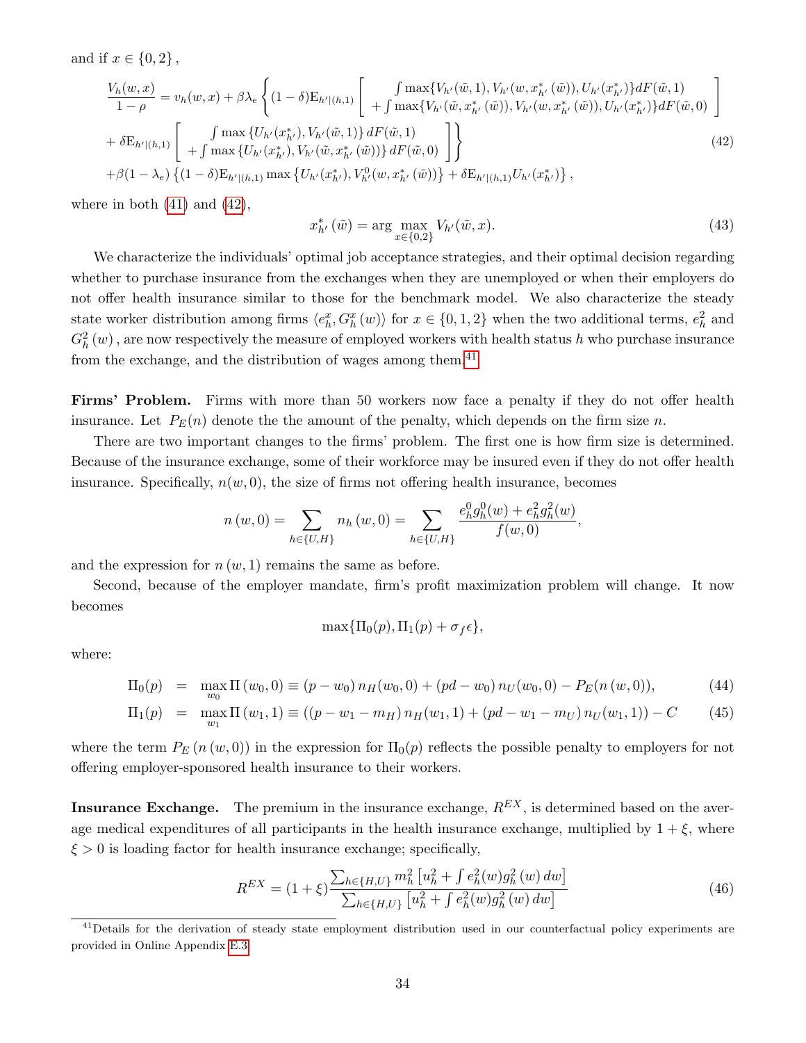and if  $x \in \{0, 2\}$ ,

<span id="page-34-0"></span>
$$
\frac{V_h(w,x)}{1-\rho} = v_h(w,x) + \beta \lambda_e \left\{ (1-\delta) \mathcal{E}_{h'|(h,1)} \left[ \begin{array}{c} \int \max \{ V_{h'}(\tilde{w},1), V_{h'}(w,x_{h'}^*(\tilde{w})), U_{h'}(x_{h'}^*) \} dF(\tilde{w},1) \\ + \int \max \{ V_{h'}(\tilde{w},x_{h'}^*(\tilde{w})), V_{h'}(w,x_{h'}^*(\tilde{w})), U_{h'}(x_{h'}^*) \} dF(\tilde{w},0) \end{array} \right] \right\} + \delta \mathcal{E}_{h'|(h,1)} \left[ \begin{array}{c} \int \max \{ U_{h'}(x_{h'}^*), V_{h'}(\tilde{w},1) \} dF(\tilde{w},1) \\ + \int \max \{ U_{h'}(x_{h'}^*), V_{h'}(\tilde{w},x_{h'}^*(\tilde{w})) \} dF(\tilde{w},0) \end{array} \right] \right\} + \beta (1-\lambda_e) \left\{ (1-\delta) \mathcal{E}_{h'|(h,1)} \max \{ U_{h'}(x_{h'}^*), V_{h'}^0(w,x_{h'}^*(\tilde{w})) \} + \delta \mathcal{E}_{h'|(h,1)} U_{h'}(x_{h'}^*) \right\},
$$
\n(42)

where in both  $(41)$  and  $(42)$ ,

<span id="page-34-3"></span>
$$
x_{h'}^* (\tilde{w}) = \arg \max_{x \in \{0,2\}} V_{h'}(\tilde{w}, x). \tag{43}
$$

We characterize the individuals' optimal job acceptance strategies, and their optimal decision regarding whether to purchase insurance from the exchanges when they are unemployed or when their employers do not offer health insurance similar to those for the benchmark model. We also characterize the steady state worker distribution among firms  $\langle e_h^x, G_h^x(w) \rangle$  for  $x \in \{0, 1, 2\}$  when the two additional terms,  $e_h^2$  and  $G_h^2(w)$  , are now respectively the measure of employed workers with health status  $h$  who purchase insurance from the exchange, and the distribution of wages among them.<sup>[41](#page-34-1)</sup>

Firms' Problem. Firms with more than 50 workers now face a penalty if they do not offer health insurance. Let  $P_E(n)$  denote the the amount of the penalty, which depends on the firm size n.

There are two important changes to the firms' problem. The first one is how firm size is determined. Because of the insurance exchange, some of their workforce may be insured even if they do not offer health insurance. Specifically,  $n(w, 0)$ , the size of firms not offering health insurance, becomes

$$
n(w,0) = \sum_{h \in \{U,H\}} n_h(w,0) = \sum_{h \in \{U,H\}} \frac{e_h^0 g_h^0(w) + e_h^2 g_h^2(w)}{f(w,0)},
$$

and the expression for  $n(w, 1)$  remains the same as before.

Second, because of the employer mandate, firm's profit maximization problem will change. It now becomes

$$
\max\{\Pi_0(p), \Pi_1(p)+\sigma_f\epsilon\},\
$$

where:

<span id="page-34-4"></span>
$$
\Pi_0(p) = \max_{w_0} \Pi(w_0, 0) \equiv (p - w_0) n_H(w_0, 0) + (pd - w_0) n_U(w_0, 0) - P_E(n(w, 0)), \tag{44}
$$

$$
\Pi_1(p) = \max_{w_1} \Pi(w_1, 1) \equiv ((p - w_1 - m_H) n_H(w_1, 1) + (pd - w_1 - m_U) n_U(w_1, 1)) - C \tag{45}
$$

where the term  $P_E(n(w, 0))$  in the expression for  $\Pi_0(p)$  reflects the possible penalty to employers for not offering employer-sponsored health insurance to their workers.

**Insurance Exchange.** The premium in the insurance exchange,  $R^{EX}$ , is determined based on the average medical expenditures of all participants in the health insurance exchange, multiplied by  $1 + \xi$ , where  $\xi > 0$  is loading factor for health insurance exchange; specifically,

<span id="page-34-2"></span>
$$
R^{EX} = (1+\xi) \frac{\sum_{h \in \{H,U\}} m_h^2 \left[ u_h^2 + \int e_h^2(w) g_h^2(w) \, dw \right]}{\sum_{h \in \{H,U\}} \left[ u_h^2 + \int e_h^2(w) g_h^2(w) \, dw \right]}
$$
\n(46)

<span id="page-34-1"></span><sup>&</sup>lt;sup>41</sup>Details for the derivation of steady state employment distribution used in our counterfactual policy experiments are provided in Online Appendix [E.3.](#page-21-3)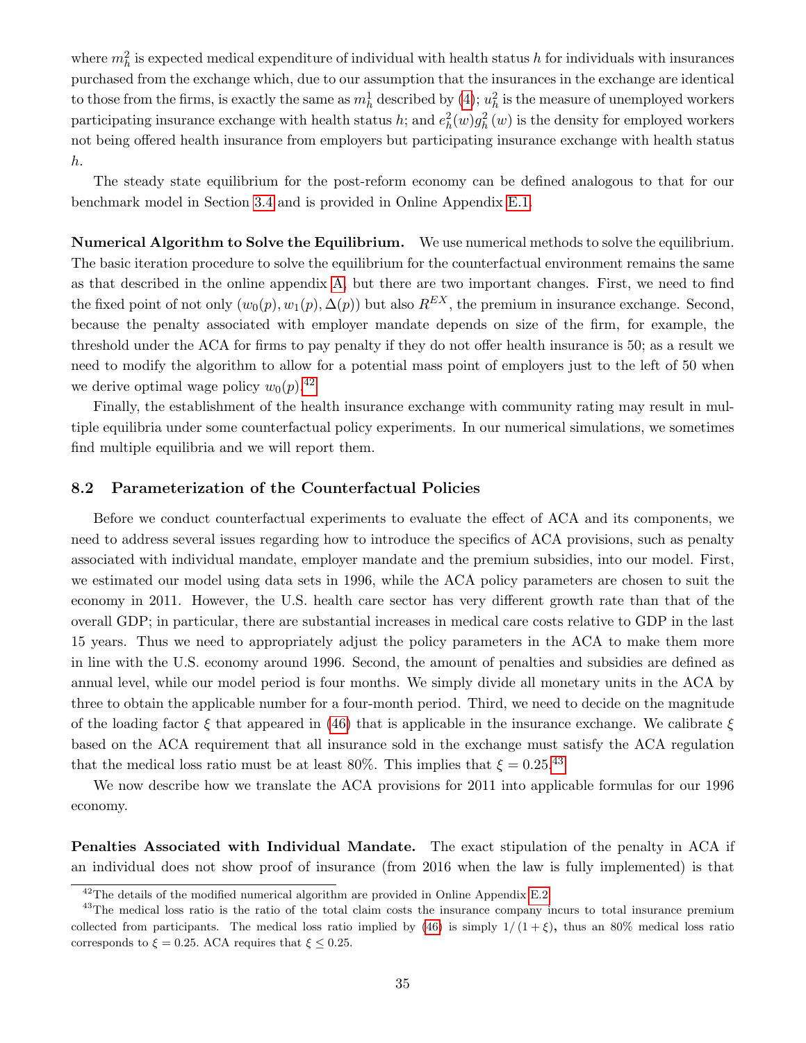where  $m_h^2$  is expected medical expenditure of individual with health status h for individuals with insurances purchased from the exchange which, due to our assumption that the insurances in the exchange are identical to those from the firms, is exactly the same as  $m_h^1$  described by [\(4\)](#page-7-6);  $u_h^2$  is the measure of unemployed workers participating insurance exchange with health status h; and  $e_h^2(w)g_h^2(w)$  is the density for employed workers not being offered health insurance from employers but participating insurance exchange with health status h.

The steady state equilibrium for the post-reform economy can be defined analogous to that for our benchmark model in Section [3.4](#page-15-4) and is provided in Online Appendix [E.1.](#page-20-3)

Numerical Algorithm to Solve the Equilibrium. We use numerical methods to solve the equilibrium. The basic iteration procedure to solve the equilibrium for the counterfactual environment remains the same as that described in the online appendix [A,](#page-1-7) but there are two important changes. First, we need to find the fixed point of not only  $(w_0(p), w_1(p), \Delta(p))$  but also  $R^{EX}$ , the premium in insurance exchange. Second, because the penalty associated with employer mandate depends on size of the firm, for example, the threshold under the ACA for firms to pay penalty if they do not offer health insurance is 50; as a result we need to modify the algorithm to allow for a potential mass point of employers just to the left of 50 when we derive optimal wage policy  $w_0(p)$ .<sup>[42](#page-35-1)</sup>

Finally, the establishment of the health insurance exchange with community rating may result in multiple equilibria under some counterfactual policy experiments. In our numerical simulations, we sometimes find multiple equilibria and we will report them.

### <span id="page-35-0"></span>8.2 Parameterization of the Counterfactual Policies

Before we conduct counterfactual experiments to evaluate the effect of ACA and its components, we need to address several issues regarding how to introduce the specifics of ACA provisions, such as penalty associated with individual mandate, employer mandate and the premium subsidies, into our model. First, we estimated our model using data sets in 1996, while the ACA policy parameters are chosen to suit the economy in 2011. However, the U.S. health care sector has very different growth rate than that of the overall GDP; in particular, there are substantial increases in medical care costs relative to GDP in the last 15 years. Thus we need to appropriately adjust the policy parameters in the ACA to make them more in line with the U.S. economy around 1996. Second, the amount of penalties and subsidies are defined as annual level, while our model period is four months. We simply divide all monetary units in the ACA by three to obtain the applicable number for a four-month period. Third, we need to decide on the magnitude of the loading factor  $\xi$  that appeared in [\(46\)](#page-34-2) that is applicable in the insurance exchange. We calibrate  $\xi$ based on the ACA requirement that all insurance sold in the exchange must satisfy the ACA regulation that the medical loss ratio must be at least 80%. This implies that  $\xi = 0.25$ .<sup>[43](#page-35-2)</sup>

We now describe how we translate the ACA provisions for 2011 into applicable formulas for our 1996 economy.

Penalties Associated with Individual Mandate. The exact stipulation of the penalty in ACA if an individual does not show proof of insurance (from 2016 when the law is fully implemented) is that

<span id="page-35-2"></span><span id="page-35-1"></span> $42$ The details of the modified numerical algorithm are provided in Online Appendix [E.2.](#page-21-4)

<sup>&</sup>lt;sup>43</sup>The medical loss ratio is the ratio of the total claim costs the insurance company incurs to total insurance premium collected from participants. The medical loss ratio implied by [\(46\)](#page-34-2) is simply  $1/(1+\xi)$ , thus an 80% medical loss ratio corresponds to  $\xi = 0.25$ . ACA requires that  $\xi \leq 0.25$ .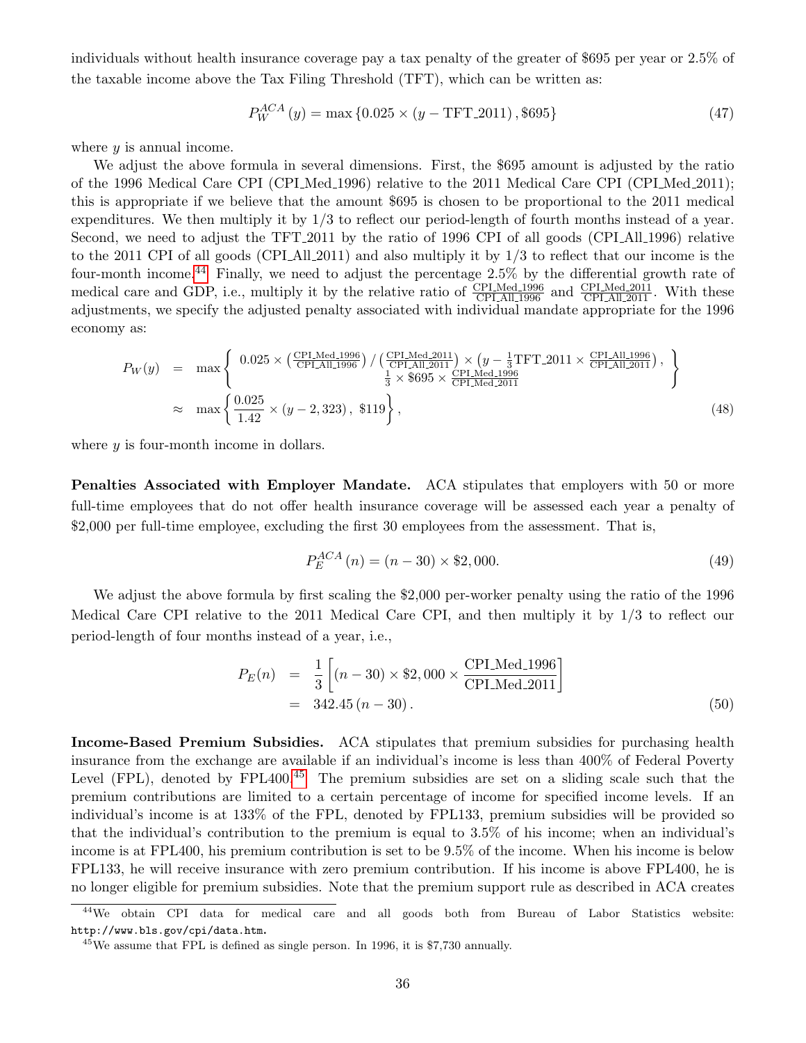individuals without health insurance coverage pay a tax penalty of the greater of \$695 per year or 2.5% of the taxable income above the Tax Filing Threshold (TFT), which can be written as:

$$
P_W^{ACA}(y) = \max\{0.025 \times (y - TFT_2011), \$695\}
$$
\n(47)

where  $y$  is annual income.

We adjust the above formula in several dimensions. First, the \$695 amount is adjusted by the ratio of the 1996 Medical Care CPI (CPI Med 1996) relative to the 2011 Medical Care CPI (CPI Med 2011); this is appropriate if we believe that the amount \$695 is chosen to be proportional to the 2011 medical expenditures. We then multiply it by 1/3 to reflect our period-length of fourth months instead of a year. Second, we need to adjust the TFT-2011 by the ratio of 1996 CPI of all goods (CPI All 1996) relative to the 2011 CPI of all goods (CPI All 2011) and also multiply it by  $1/3$  to reflect that our income is the four-month income.[44](#page-36-0) Finally, we need to adjust the percentage 2.5% by the differential growth rate of medical care and GDP, i.e., multiply it by the relative ratio of  $\frac{\text{CPI\_Med}.1996}{\text{CPI\_All}.1996}$  and  $\frac{\text{CPI\_Med}.2011}{\text{CPI\_All}.2011}$ . With these adjustments, we specify the adjusted penalty associated with individual mandate appropriate for the 1996 economy as:

$$
P_W(y) = \max \left\{ \frac{0.025 \times (\frac{CPI_{\text{Med}}.1996}{CPI_{\text{All}}.1996}) / (\frac{CPI_{\text{Med}}.2011}{CPI_{\text{All}}.2011}) \times (y - \frac{1}{3}TFT_{\text{2011}} \times \frac{CPI_{\text{All}}.1996}{CPI_{\text{All}}.2011}), \frac{1}{3} \times \$695 \times \frac{CPI_{\text{Med}}.1996}{CPI_{\text{Med}}.2011} \right\},\newline \approx \max \left\{ \frac{0.025}{1.42} \times (y - 2,323), \$119 \right\},
$$
\n(48)

where  $y$  is four-month income in dollars.

Penalties Associated with Employer Mandate. ACA stipulates that employers with 50 or more full-time employees that do not offer health insurance coverage will be assessed each year a penalty of \$2,000 per full-time employee, excluding the first 30 employees from the assessment. That is,

$$
P_E^{ACA}(n) = (n - 30) \times \$2,000.
$$
\n(49)

We adjust the above formula by first scaling the \$2,000 per-worker penalty using the ratio of the 1996 Medical Care CPI relative to the 2011 Medical Care CPI, and then multiply it by 1/3 to reflect our period-length of four months instead of a year, i.e.,

$$
P_E(n) = \frac{1}{3} \left[ (n - 30) \times $2,000 \times \frac{\text{CPLMed}.1996}{\text{CPLMed}.2011} \right]
$$
  
= 342.45 (n - 30). (50)

Income-Based Premium Subsidies. ACA stipulates that premium subsidies for purchasing health insurance from the exchange are available if an individual's income is less than 400% of Federal Poverty Level (FPL), denoted by  $FPL400.<sup>45</sup>$  $FPL400.<sup>45</sup>$  $FPL400.<sup>45</sup>$  The premium subsidies are set on a sliding scale such that the premium contributions are limited to a certain percentage of income for specified income levels. If an individual's income is at 133% of the FPL, denoted by FPL133, premium subsidies will be provided so that the individual's contribution to the premium is equal to 3.5% of his income; when an individual's income is at FPL400, his premium contribution is set to be 9.5% of the income. When his income is below FPL133, he will receive insurance with zero premium contribution. If his income is above FPL400, he is no longer eligible for premium subsidies. Note that the premium support rule as described in ACA creates

<span id="page-36-0"></span><sup>44</sup>We obtain CPI data for medical care and all goods both from Bureau of Labor Statistics website: http://www.bls.gov/cpi/data.htm.

<span id="page-36-1"></span><sup>45</sup>We assume that FPL is defined as single person. In 1996, it is \$7,730 annually.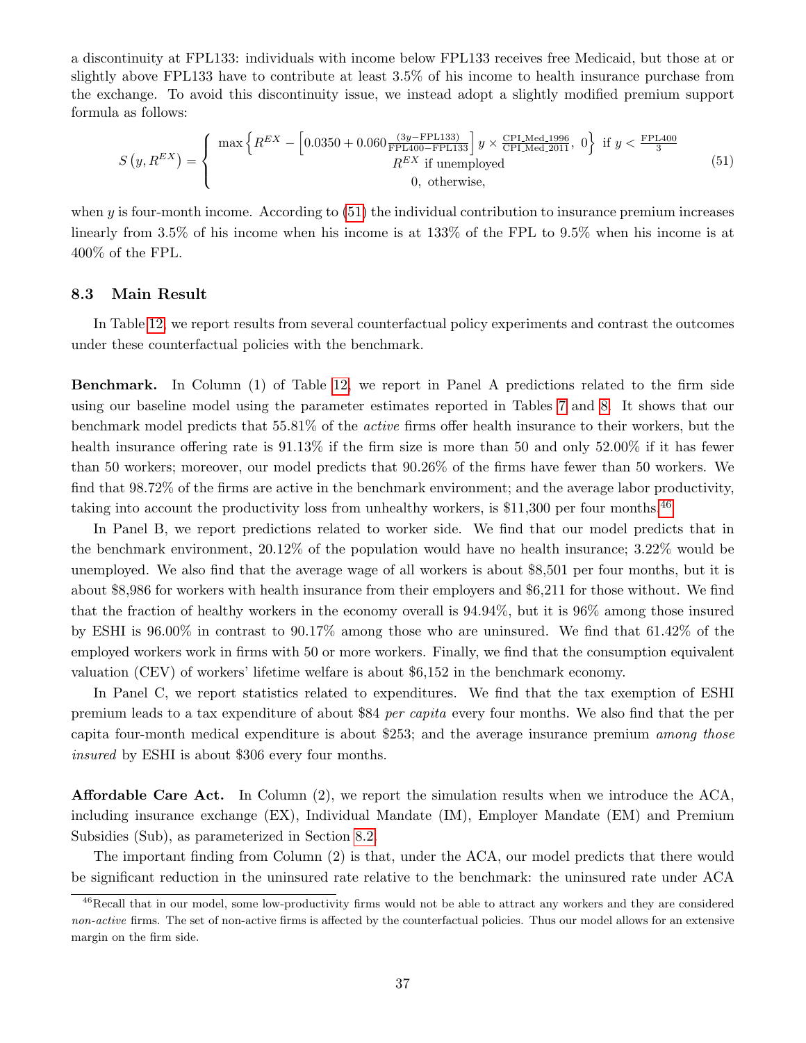a discontinuity at FPL133: individuals with income below FPL133 receives free Medicaid, but those at or slightly above FPL133 have to contribute at least 3.5% of his income to health insurance purchase from the exchange. To avoid this discontinuity issue, we instead adopt a slightly modified premium support formula as follows:

<span id="page-37-0"></span>
$$
S(y, R^{EX}) = \begin{cases} \max \left\{ R^{EX} - \left[ 0.0350 + 0.060 \frac{(3y - \text{FPL133})}{\text{FPL400} - \text{FPL133}} \right] y \times \frac{\text{CPLMed\_1996}}{\text{CPLMed\_2011}}, 0 \right\} \text{ if } y < \frac{\text{FPL400}}{3} \\ R^{EX} \text{ if unemployed} \\ 0, \text{ otherwise,} \end{cases}
$$
(51)

when  $\gamma$  is four-month income. According to [\(51\)](#page-37-0) the individual contribution to insurance premium increases linearly from 3.5% of his income when his income is at 133% of the FPL to 9.5% when his income is at 400% of the FPL.

#### 8.3 Main Result

In Table [12,](#page-38-0) we report results from several counterfactual policy experiments and contrast the outcomes under these counterfactual policies with the benchmark.

Benchmark. In Column (1) of Table [12,](#page-38-0) we report in Panel A predictions related to the firm side using our baseline model using the parameter estimates reported in Tables [7](#page-28-0) and [8.](#page-29-0) It shows that our benchmark model predicts that 55.81% of the active firms offer health insurance to their workers, but the health insurance offering rate is 91.13% if the firm size is more than 50 and only 52.00% if it has fewer than 50 workers; moreover, our model predicts that 90.26% of the firms have fewer than 50 workers. We find that 98.72% of the firms are active in the benchmark environment; and the average labor productivity, taking into account the productivity loss from unhealthy workers, is  $$11,300$  per four months.<sup>[46](#page-37-1)</sup>

In Panel B, we report predictions related to worker side. We find that our model predicts that in the benchmark environment, 20.12% of the population would have no health insurance; 3.22% would be unemployed. We also find that the average wage of all workers is about \$8,501 per four months, but it is about \$8,986 for workers with health insurance from their employers and \$6,211 for those without. We find that the fraction of healthy workers in the economy overall is 94.94%, but it is 96% among those insured by ESHI is 96.00% in contrast to 90.17% among those who are uninsured. We find that 61.42% of the employed workers work in firms with 50 or more workers. Finally, we find that the consumption equivalent valuation (CEV) of workers' lifetime welfare is about \$6,152 in the benchmark economy.

In Panel C, we report statistics related to expenditures. We find that the tax exemption of ESHI premium leads to a tax expenditure of about \$84 per capita every four months. We also find that the per capita four-month medical expenditure is about \$253; and the average insurance premium among those insured by ESHI is about \$306 every four months.

Affordable Care Act. In Column (2), we report the simulation results when we introduce the ACA, including insurance exchange (EX), Individual Mandate (IM), Employer Mandate (EM) and Premium Subsidies (Sub), as parameterized in Section [8.2.](#page-35-0)

The important finding from Column (2) is that, under the ACA, our model predicts that there would be significant reduction in the uninsured rate relative to the benchmark: the uninsured rate under ACA

<span id="page-37-1"></span><sup>&</sup>lt;sup>46</sup>Recall that in our model, some low-productivity firms would not be able to attract any workers and they are considered non-active firms. The set of non-active firms is affected by the counterfactual policies. Thus our model allows for an extensive margin on the firm side.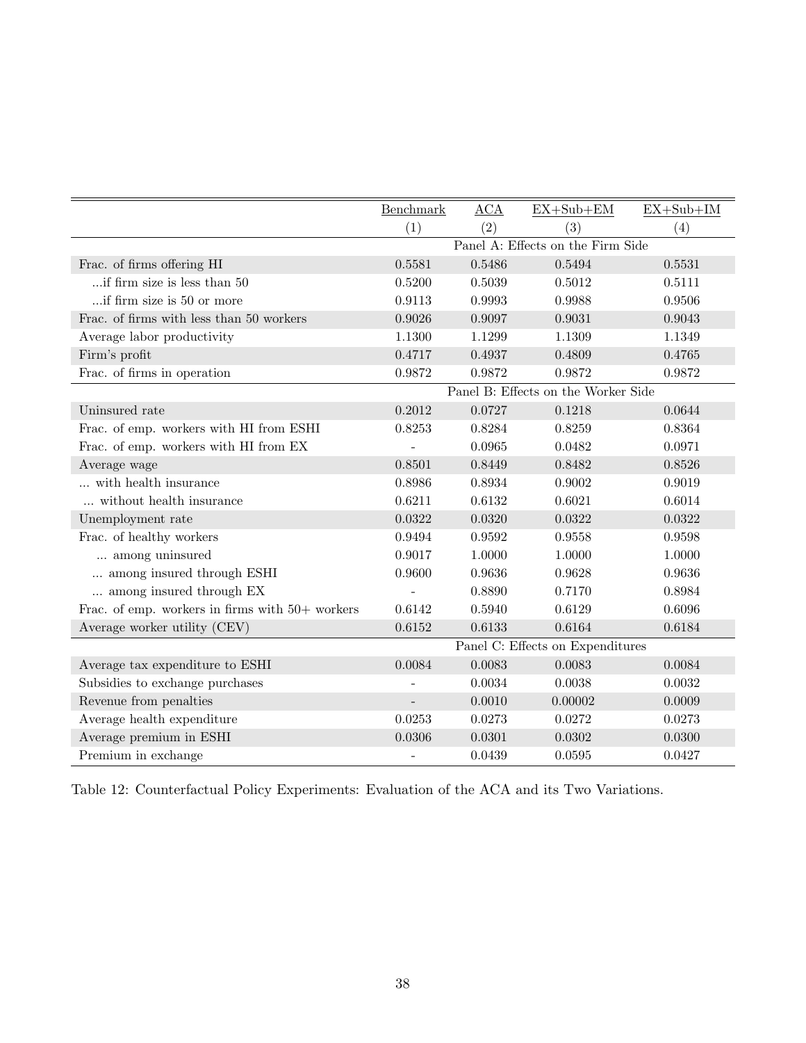|                                                   | Benchmark                         | ACA    | $EX+Sub+EM$                         | $EX+Sub+IM$ |
|---------------------------------------------------|-----------------------------------|--------|-------------------------------------|-------------|
|                                                   | (1)                               | (2)    | (3)                                 | (4)         |
|                                                   | Panel A: Effects on the Firm Side |        |                                     |             |
| Frac. of firms offering HI                        | 0.5581                            | 0.5486 | 0.5494                              | 0.5531      |
| if firm size is less than 50                      | 0.5200                            | 0.5039 | 0.5012                              | 0.5111      |
| if firm size is 50 or more                        | 0.9113                            | 0.9993 | 0.9988                              | 0.9506      |
| Frac. of firms with less than 50 workers          | 0.9026                            | 0.9097 | 0.9031                              | 0.9043      |
| Average labor productivity                        | 1.1300                            | 1.1299 | 1.1309                              | 1.1349      |
| Firm's profit                                     | 0.4717                            | 0.4937 | 0.4809                              | 0.4765      |
| Frac. of firms in operation                       | 0.9872                            | 0.9872 | 0.9872                              | 0.9872      |
|                                                   |                                   |        | Panel B: Effects on the Worker Side |             |
| Uninsured rate                                    | 0.2012                            | 0.0727 | 0.1218                              | 0.0644      |
| Frac. of emp. workers with HI from ESHI           | 0.8253                            | 0.8284 | 0.8259                              | 0.8364      |
| Frac. of emp. workers with HI from EX             |                                   | 0.0965 | 0.0482                              | 0.0971      |
| Average wage                                      | 0.8501                            | 0.8449 | 0.8482                              | 0.8526      |
| with health insurance                             | 0.8986                            | 0.8934 | 0.9002                              | 0.9019      |
| without health insurance                          | 0.6211                            | 0.6132 | 0.6021                              | 0.6014      |
| Unemployment rate                                 | 0.0322                            | 0.0320 | 0.0322                              | 0.0322      |
| Frac. of healthy workers                          | 0.9494                            | 0.9592 | 0.9558                              | 0.9598      |
| among uninsured                                   | 0.9017                            | 1.0000 | 1.0000                              | 1.0000      |
| among insured through ESHI                        | 0.9600                            | 0.9636 | 0.9628                              | 0.9636      |
| among insured through EX                          |                                   | 0.8890 | 0.7170                              | 0.8984      |
| Frac. of emp. workers in firms with $50+$ workers | 0.6142                            | 0.5940 | 0.6129                              | 0.6096      |
| Average worker utility (CEV)                      | 0.6152                            | 0.6133 | 0.6164                              | 0.6184      |
|                                                   |                                   |        | Panel C: Effects on Expenditures    |             |
| Average tax expenditure to ESHI                   | 0.0084                            | 0.0083 | 0.0083                              | 0.0084      |
| Subsidies to exchange purchases                   |                                   | 0.0034 | 0.0038                              | 0.0032      |
| Revenue from penalties                            | $\overline{\phantom{a}}$          | 0.0010 | 0.00002                             | 0.0009      |
| Average health expenditure                        | 0.0253                            | 0.0273 | 0.0272                              | 0.0273      |
| Average premium in ESHI                           | 0.0306                            | 0.0301 | 0.0302                              | 0.0300      |
| Premium in exchange                               |                                   | 0.0439 | 0.0595                              | 0.0427      |

<span id="page-38-0"></span>Table 12: Counterfactual Policy Experiments: Evaluation of the ACA and its Two Variations.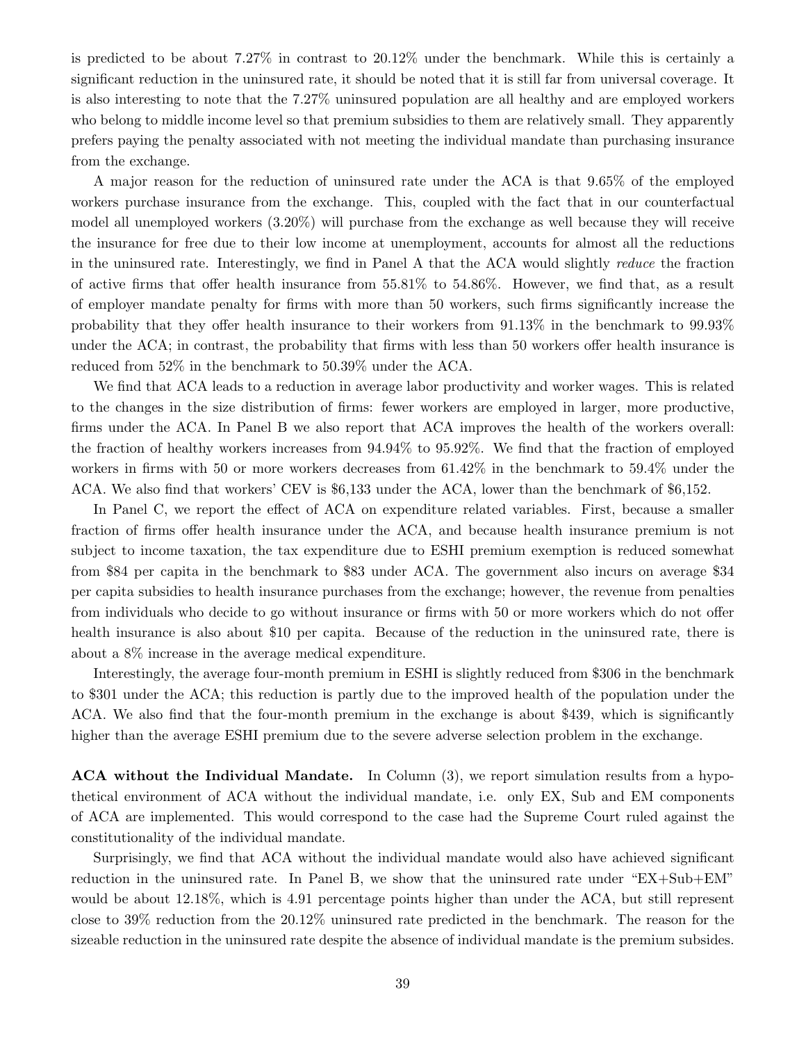is predicted to be about 7.27% in contrast to 20.12% under the benchmark. While this is certainly a significant reduction in the uninsured rate, it should be noted that it is still far from universal coverage. It is also interesting to note that the 7.27% uninsured population are all healthy and are employed workers who belong to middle income level so that premium subsidies to them are relatively small. They apparently prefers paying the penalty associated with not meeting the individual mandate than purchasing insurance from the exchange.

A major reason for the reduction of uninsured rate under the ACA is that 9.65% of the employed workers purchase insurance from the exchange. This, coupled with the fact that in our counterfactual model all unemployed workers (3.20%) will purchase from the exchange as well because they will receive the insurance for free due to their low income at unemployment, accounts for almost all the reductions in the uninsured rate. Interestingly, we find in Panel A that the ACA would slightly reduce the fraction of active firms that offer health insurance from 55.81% to 54.86%. However, we find that, as a result of employer mandate penalty for firms with more than 50 workers, such firms significantly increase the probability that they offer health insurance to their workers from 91.13% in the benchmark to 99.93% under the ACA; in contrast, the probability that firms with less than 50 workers offer health insurance is reduced from 52% in the benchmark to 50.39% under the ACA.

We find that ACA leads to a reduction in average labor productivity and worker wages. This is related to the changes in the size distribution of firms: fewer workers are employed in larger, more productive, firms under the ACA. In Panel B we also report that ACA improves the health of the workers overall: the fraction of healthy workers increases from 94.94% to 95.92%. We find that the fraction of employed workers in firms with 50 or more workers decreases from 61.42% in the benchmark to 59.4% under the ACA. We also find that workers' CEV is \$6,133 under the ACA, lower than the benchmark of \$6,152.

In Panel C, we report the effect of ACA on expenditure related variables. First, because a smaller fraction of firms offer health insurance under the ACA, and because health insurance premium is not subject to income taxation, the tax expenditure due to ESHI premium exemption is reduced somewhat from \$84 per capita in the benchmark to \$83 under ACA. The government also incurs on average \$34 per capita subsidies to health insurance purchases from the exchange; however, the revenue from penalties from individuals who decide to go without insurance or firms with 50 or more workers which do not offer health insurance is also about \$10 per capita. Because of the reduction in the uninsured rate, there is about a 8% increase in the average medical expenditure.

Interestingly, the average four-month premium in ESHI is slightly reduced from \$306 in the benchmark to \$301 under the ACA; this reduction is partly due to the improved health of the population under the ACA. We also find that the four-month premium in the exchange is about \$439, which is significantly higher than the average ESHI premium due to the severe adverse selection problem in the exchange.

ACA without the Individual Mandate. In Column (3), we report simulation results from a hypothetical environment of ACA without the individual mandate, i.e. only EX, Sub and EM components of ACA are implemented. This would correspond to the case had the Supreme Court ruled against the constitutionality of the individual mandate.

Surprisingly, we find that ACA without the individual mandate would also have achieved significant reduction in the uninsured rate. In Panel B, we show that the uninsured rate under "EX+Sub+EM" would be about 12.18%, which is 4.91 percentage points higher than under the ACA, but still represent close to 39% reduction from the 20.12% uninsured rate predicted in the benchmark. The reason for the sizeable reduction in the uninsured rate despite the absence of individual mandate is the premium subsides.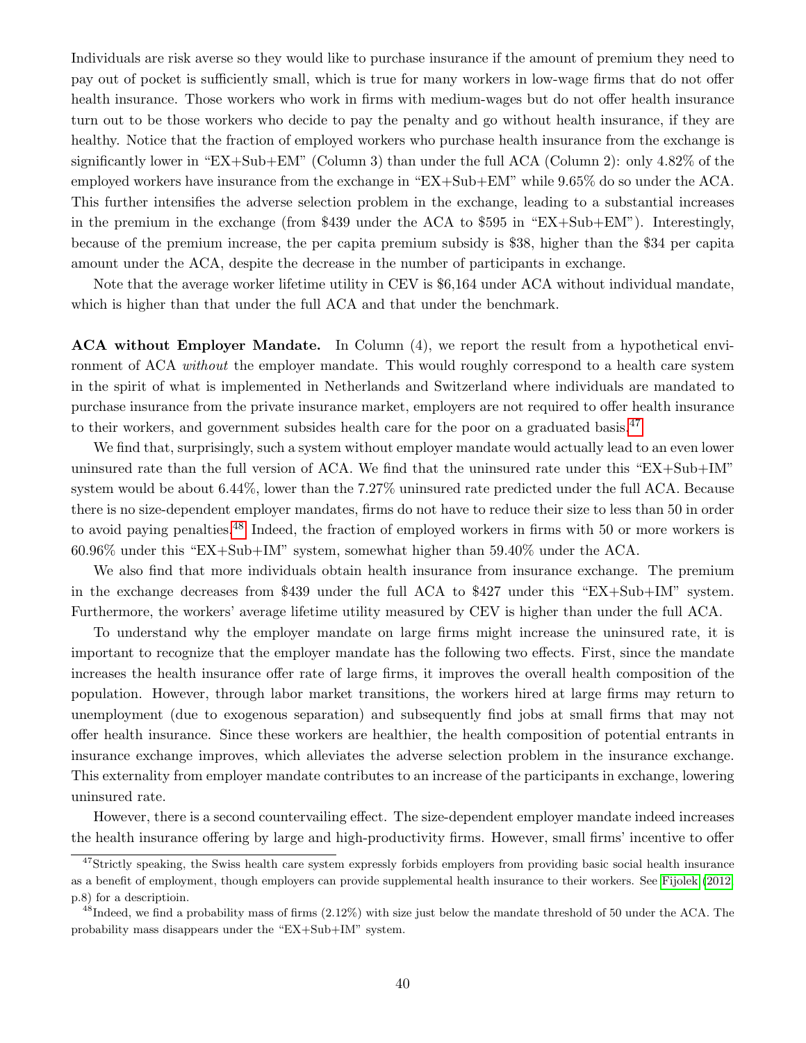Individuals are risk averse so they would like to purchase insurance if the amount of premium they need to pay out of pocket is sufficiently small, which is true for many workers in low-wage firms that do not offer health insurance. Those workers who work in firms with medium-wages but do not offer health insurance turn out to be those workers who decide to pay the penalty and go without health insurance, if they are healthy. Notice that the fraction of employed workers who purchase health insurance from the exchange is significantly lower in "EX+Sub+EM" (Column 3) than under the full ACA (Column 2): only 4.82% of the employed workers have insurance from the exchange in "EX+Sub+EM" while 9.65% do so under the ACA. This further intensifies the adverse selection problem in the exchange, leading to a substantial increases in the premium in the exchange (from \$439 under the ACA to \$595 in "EX+Sub+EM"). Interestingly, because of the premium increase, the per capita premium subsidy is \$38, higher than the \$34 per capita amount under the ACA, despite the decrease in the number of participants in exchange.

Note that the average worker lifetime utility in CEV is \$6,164 under ACA without individual mandate, which is higher than that under the full ACA and that under the benchmark.

ACA without Employer Mandate. In Column (4), we report the result from a hypothetical environment of ACA without the employer mandate. This would roughly correspond to a health care system in the spirit of what is implemented in Netherlands and Switzerland where individuals are mandated to purchase insurance from the private insurance market, employers are not required to offer health insurance to their workers, and government subsides health care for the poor on a graduated basis. $47$ 

We find that, surprisingly, such a system without employer mandate would actually lead to an even lower uninsured rate than the full version of ACA. We find that the uninsured rate under this "EX+Sub+IM" system would be about 6.44%, lower than the 7.27% uninsured rate predicted under the full ACA. Because there is no size-dependent employer mandates, firms do not have to reduce their size to less than 50 in order to avoid paying penalties.[48](#page-40-1) Indeed, the fraction of employed workers in firms with 50 or more workers is 60.96% under this "EX+Sub+IM" system, somewhat higher than 59.40% under the ACA.

We also find that more individuals obtain health insurance from insurance exchange. The premium in the exchange decreases from \$439 under the full ACA to \$427 under this "EX+Sub+IM" system. Furthermore, the workers' average lifetime utility measured by CEV is higher than under the full ACA.

To understand why the employer mandate on large firms might increase the uninsured rate, it is important to recognize that the employer mandate has the following two effects. First, since the mandate increases the health insurance offer rate of large firms, it improves the overall health composition of the population. However, through labor market transitions, the workers hired at large firms may return to unemployment (due to exogenous separation) and subsequently find jobs at small firms that may not offer health insurance. Since these workers are healthier, the health composition of potential entrants in insurance exchange improves, which alleviates the adverse selection problem in the insurance exchange. This externality from employer mandate contributes to an increase of the participants in exchange, lowering uninsured rate.

However, there is a second countervailing effect. The size-dependent employer mandate indeed increases the health insurance offering by large and high-productivity firms. However, small firms' incentive to offer

<span id="page-40-0"></span> $47\text{Strictly speaking, the Swiss health care system expressly forbids employers from providing basic social health insurance.}$ as a benefit of employment, though employers can provide supplemental health insurance to their workers. See [Fijolek](#page-50-14) [\(2012,](#page-50-14) p.8) for a descriptioin.

<span id="page-40-1"></span> $^{48}$ Indeed, we find a probability mass of firms  $(2.12\%)$  with size just below the mandate threshold of 50 under the ACA. The probability mass disappears under the "EX+Sub+IM" system.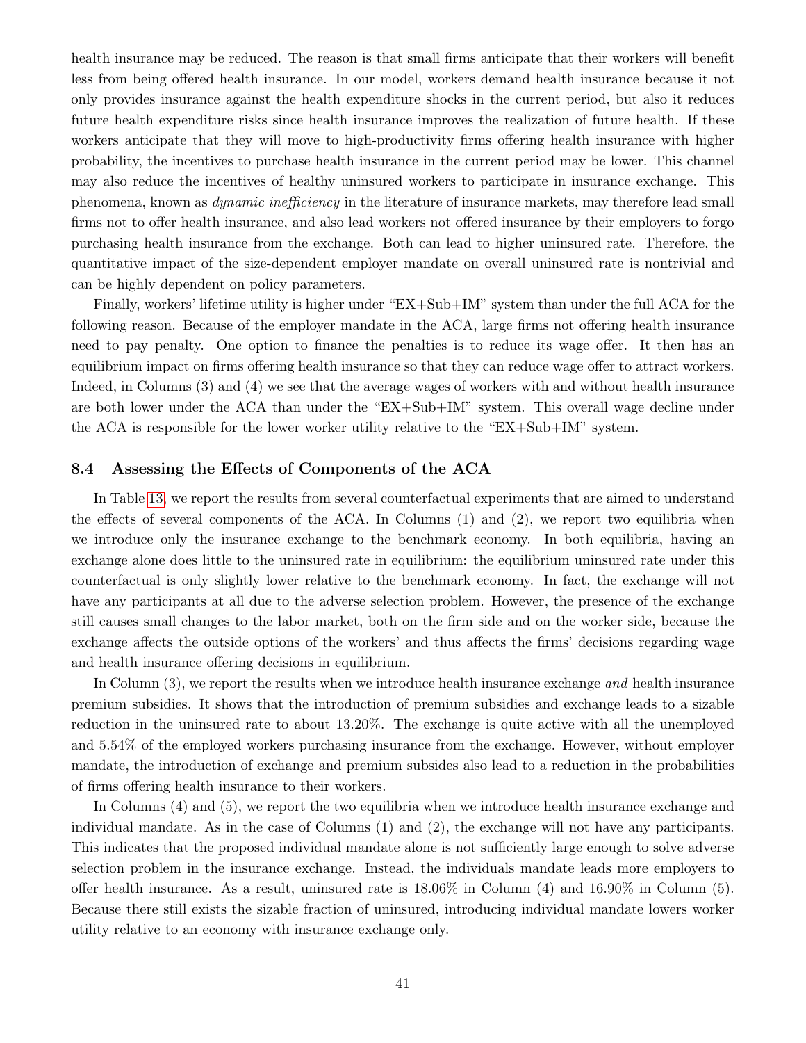health insurance may be reduced. The reason is that small firms anticipate that their workers will benefit less from being offered health insurance. In our model, workers demand health insurance because it not only provides insurance against the health expenditure shocks in the current period, but also it reduces future health expenditure risks since health insurance improves the realization of future health. If these workers anticipate that they will move to high-productivity firms offering health insurance with higher probability, the incentives to purchase health insurance in the current period may be lower. This channel may also reduce the incentives of healthy uninsured workers to participate in insurance exchange. This phenomena, known as dynamic inefficiency in the literature of insurance markets, may therefore lead small firms not to offer health insurance, and also lead workers not offered insurance by their employers to forgo purchasing health insurance from the exchange. Both can lead to higher uninsured rate. Therefore, the quantitative impact of the size-dependent employer mandate on overall uninsured rate is nontrivial and can be highly dependent on policy parameters.

Finally, workers' lifetime utility is higher under "EX+Sub+IM" system than under the full ACA for the following reason. Because of the employer mandate in the ACA, large firms not offering health insurance need to pay penalty. One option to finance the penalties is to reduce its wage offer. It then has an equilibrium impact on firms offering health insurance so that they can reduce wage offer to attract workers. Indeed, in Columns (3) and (4) we see that the average wages of workers with and without health insurance are both lower under the ACA than under the "EX+Sub+IM" system. This overall wage decline under the ACA is responsible for the lower worker utility relative to the "EX+Sub+IM" system.

### 8.4 Assessing the Effects of Components of the ACA

In Table [13,](#page-42-0) we report the results from several counterfactual experiments that are aimed to understand the effects of several components of the ACA. In Columns (1) and (2), we report two equilibria when we introduce only the insurance exchange to the benchmark economy. In both equilibria, having an exchange alone does little to the uninsured rate in equilibrium: the equilibrium uninsured rate under this counterfactual is only slightly lower relative to the benchmark economy. In fact, the exchange will not have any participants at all due to the adverse selection problem. However, the presence of the exchange still causes small changes to the labor market, both on the firm side and on the worker side, because the exchange affects the outside options of the workers' and thus affects the firms' decisions regarding wage and health insurance offering decisions in equilibrium.

In Column (3), we report the results when we introduce health insurance exchange and health insurance premium subsidies. It shows that the introduction of premium subsidies and exchange leads to a sizable reduction in the uninsured rate to about 13.20%. The exchange is quite active with all the unemployed and 5.54% of the employed workers purchasing insurance from the exchange. However, without employer mandate, the introduction of exchange and premium subsides also lead to a reduction in the probabilities of firms offering health insurance to their workers.

In Columns (4) and (5), we report the two equilibria when we introduce health insurance exchange and individual mandate. As in the case of Columns (1) and (2), the exchange will not have any participants. This indicates that the proposed individual mandate alone is not sufficiently large enough to solve adverse selection problem in the insurance exchange. Instead, the individuals mandate leads more employers to offer health insurance. As a result, uninsured rate is  $18.06\%$  in Column (4) and  $16.90\%$  in Column (5). Because there still exists the sizable fraction of uninsured, introducing individual mandate lowers worker utility relative to an economy with insurance exchange only.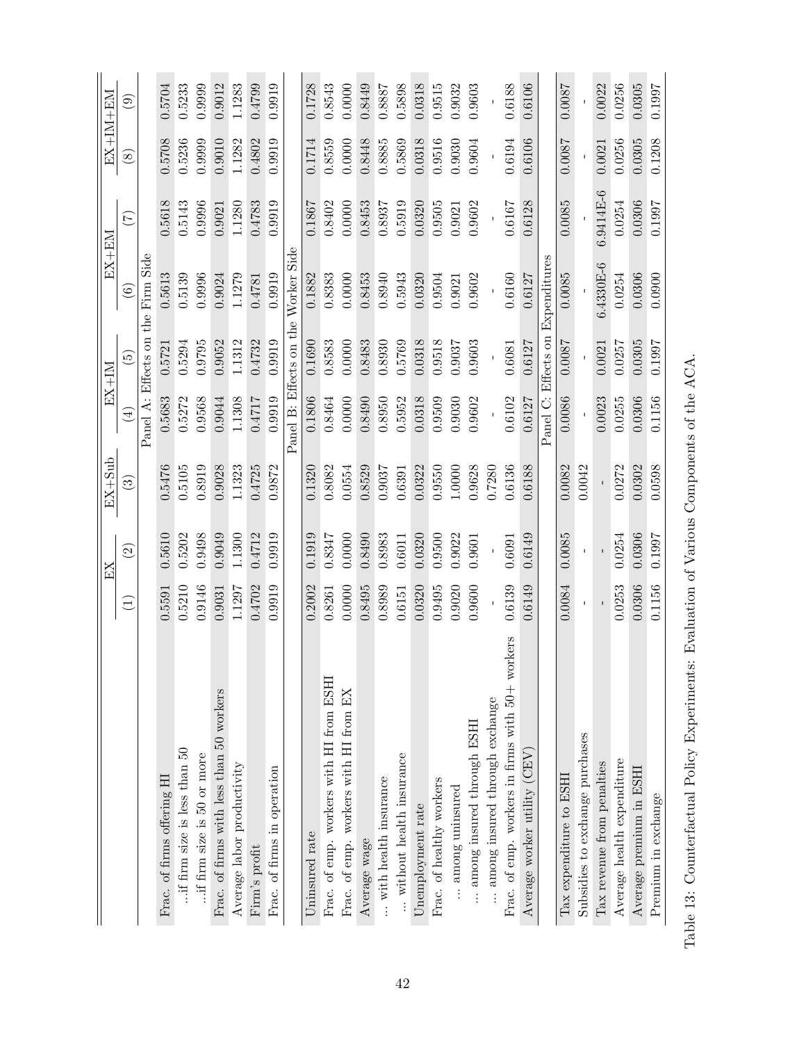|                                                 |                 | EX                 | $EX+Sub$                 |                         | $EX+IM$                    | $EX+EM$      |                  |               | EX+IM+EM               |
|-------------------------------------------------|-----------------|--------------------|--------------------------|-------------------------|----------------------------|--------------|------------------|---------------|------------------------|
|                                                 | $\widehat{\Xi}$ | $\widehat{\Omega}$ | $\widetilde{\mathbb{C}}$ | $\widehat{\Xi}$         | $\widetilde{\mathfrak{G}}$ | ම            | $(\overline{z})$ | $\circledast$ | $\widehat{\mathbf{e}}$ |
|                                                 |                 |                    |                          | Panel                   | A: Effects on the          | Firm Side    |                  |               |                        |
| Frac. of firms offering HI                      | 0.5591          | 0.5610             | 0.5476                   | 0.5683                  | 0.5721                     | 0.5613       | 0.5618           | 0.5708        | 0.5704                 |
| $\therefore$ if firm size is less than $50$     | 0.5210          | 0.5202             | 0.5105                   | 0.5272                  | 0.5294                     | 0.5139       | 0.5143           | 0.5236        | 0.5233                 |
| if firm size is 50 or more                      | 0.9146          | 0.9498             | 0.8919                   | 0.9568                  | 0.9795                     | 0.9996       | 0.9996           | 0.9999        | 0.9999                 |
| Frac. of firms with less than 50 workers        | 0.9031          | 0.9049             | 0.9028                   | 0.9044                  | 0.9052                     | 0.9024       | 0.9021           | 0.9010        | 0.9012                 |
| Average labor productivity                      | 1.1297          | 1.1300             | 1.1323                   | 1.1308                  | 1.1312                     | 1.1279       | 1.1280           | 1.1282        | 1.1283                 |
| Firm's profit                                   | 0.4702          | 0.4712             | 0.4725                   | 0.4717                  | 0.4732                     | 0.4781       | 0.4783           | 0.4802        | 0.4799                 |
| Frac. of firms in operation                     | 0.9919          | 0.9919             | 0.9872                   | 0.9919                  | 0.9919                     | 0.9919       | 0.9919           | 0.9919        | 0.9919                 |
|                                                 |                 |                    |                          | Panel B: Effects on the |                            | Worker Side  |                  |               |                        |
| Uninsured rate                                  | 0.2002          | 0.1919             | 0.1320                   | 0.1806                  | 0.1690                     | 0.1882       | 0.1867           | 0.1714        | 0.1728                 |
| Frac. of emp. workers with HI from ESHI         | 0.8261          | 0.8347             | 0.8082                   | 0.8464                  | 0.8583                     | 0.8383       | 0.8402           | 0.8559        | 0.8543                 |
| Frac. of emp. workers with HI from EX           | 0.0000          | 0.0000             | 0.0554                   | 0.0000                  | 0.0000                     | 0.0000       | 0.0000           | 0.0000        | 0.0000                 |
| Average wage                                    | 0.8495          | 0.8490             | 0.8529                   | 0.8490                  | 0.8483                     | 0.8453       | 0.8453           | 0.8448        | 0.8449                 |
| $\ldots$ with health insurance                  | 0.8989          | 0.8983             | 0.9037                   | 0.8950                  | 0.8930                     | 0.8940       | 0.8937           | 0.8885        | 0.8887                 |
| without health insurance                        | 0.6151          | 0.6011             | 0.6391                   | 0.5952                  | 0.5769                     | 0.5943       | 0.5919           | 0.5869        | 0.5898                 |
| Unemployment rate                               | 0.0320          | 0.0320             | 0.0322                   | 0.0318                  | 0.0318                     | 0.0320       | 0.0320           | 0.0318        | 0.0318                 |
| Frac. of healthy workers                        | 0.9495          | 0.9500             | 0.9550                   | 0.9509                  | 0.9518                     | 0.9504       | 0.9505           | 0.9516        | 0.9515                 |
| among uninsured                                 | 0.9020          | 0.9022             | 1.0000                   | 0.9030                  | 0.9037                     | 0.9021       | 0.9021           | 0.9030        | 0.9032                 |
| among insured through ESHI                      | 0.9600          | 0.9601             | 0.9628                   | 0.9602                  | 0.9603                     | 0.9602       | 0.9602           | 0.9604        | 0.9603                 |
| among insured through exchange                  |                 |                    | 0.7280                   |                         |                            |              |                  |               |                        |
| Frac. of emp. workers in firms with 50+ workers | 0.6139          | 0.6091             | 0.6136                   | 0.6102                  | 0.6081                     | 0.6160       | 0.6167           | 0.6194        | 0.6188                 |
| Average worker utility (CEV)                    | 0.6149          | 0.6149             | 0.6188                   | 0.6127                  | 0.6127                     | 0.6127       | 0.6128           | 0.6106        | 0.6106                 |
|                                                 |                 |                    |                          | Panel C: Effects on     |                            | Expenditures |                  |               |                        |
| Tax expenditure to ESHI                         | 0.0084          | 0.0085             | 0.0082                   | 0.0086                  | 0.0087                     | 0.0085       | 0.0085           | 0.0087        | 0.0087                 |
| Subsidies to exchange purchases                 |                 |                    | 0.0042                   |                         |                            |              |                  |               |                        |
| Tax revenue from penalties                      |                 |                    |                          | 0.0023                  | 0.0021                     | $6.4330E-6$  | 6.9414E-6        | 0.0021        | 0.0022                 |
| Average health expenditure                      | 0.0253          | 0.0254             | 0.0272                   | 0.0255                  | 0.0257                     | 0.0254       | 0.0254           | 0.0256        | 0.0256                 |
| Average premium in ESHI                         | 0.0306          | 0.0306             | 0.0302                   | 0.0306                  | 0.0305                     | 0.0306       | 0.0306           | 0.0305        | 0.0305                 |
| Premium in exchange                             | 0.1156          | 0.1997             | 0.0598                   | 0.1156                  | 0.1997                     | 0.0900       | 0.1997           | 0.1208        | 0.1997                 |

<span id="page-42-0"></span>Table 13: Counterfactual Policy Experiments: Evaluation of Various Components of the ACA. Table 13: Counterfactual Policy Experiments: Evaluation of Various Components of the ACA.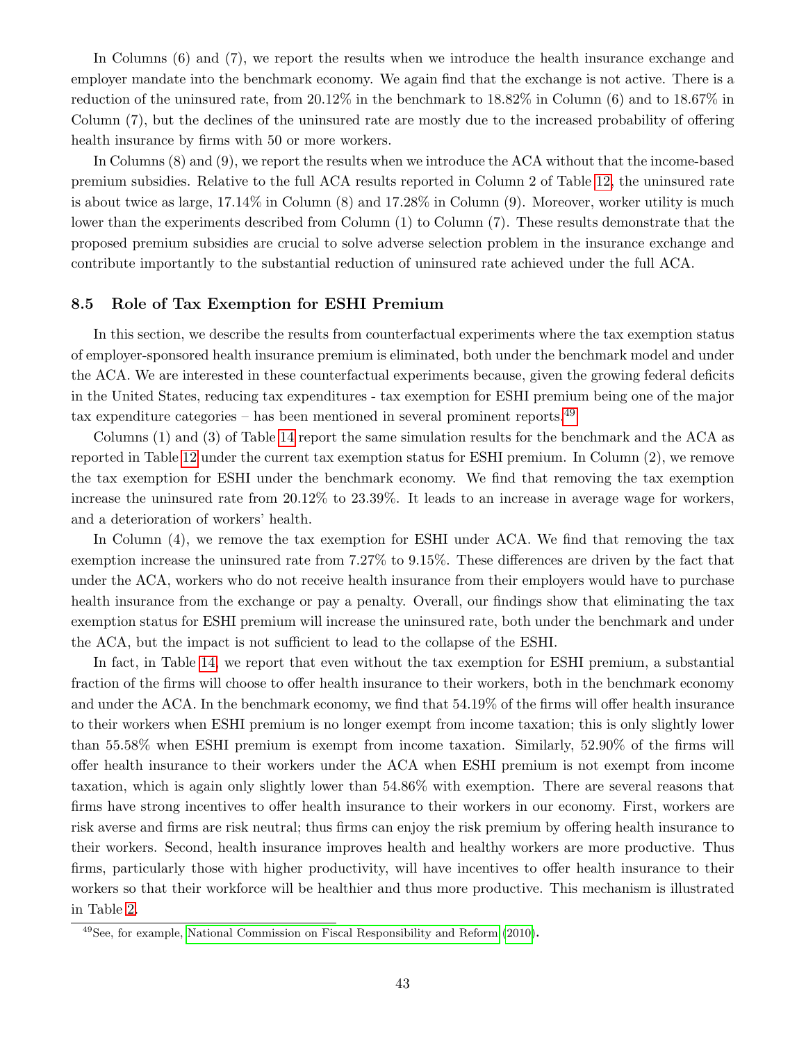In Columns (6) and (7), we report the results when we introduce the health insurance exchange and employer mandate into the benchmark economy. We again find that the exchange is not active. There is a reduction of the uninsured rate, from 20.12% in the benchmark to 18.82% in Column (6) and to 18.67% in Column (7), but the declines of the uninsured rate are mostly due to the increased probability of offering health insurance by firms with 50 or more workers.

In Columns (8) and (9), we report the results when we introduce the ACA without that the income-based premium subsidies. Relative to the full ACA results reported in Column 2 of Table [12,](#page-38-0) the uninsured rate is about twice as large, 17.14% in Column (8) and 17.28% in Column (9). Moreover, worker utility is much lower than the experiments described from Column (1) to Column (7). These results demonstrate that the proposed premium subsidies are crucial to solve adverse selection problem in the insurance exchange and contribute importantly to the substantial reduction of uninsured rate achieved under the full ACA.

### 8.5 Role of Tax Exemption for ESHI Premium

In this section, we describe the results from counterfactual experiments where the tax exemption status of employer-sponsored health insurance premium is eliminated, both under the benchmark model and under the ACA. We are interested in these counterfactual experiments because, given the growing federal deficits in the United States, reducing tax expenditures - tax exemption for ESHI premium being one of the major tax expenditure categories – has been mentioned in several prominent reports.<sup>[49](#page-43-0)</sup>

Columns (1) and (3) of Table [14](#page-44-0) report the same simulation results for the benchmark and the ACA as reported in Table [12](#page-38-0) under the current tax exemption status for ESHI premium. In Column (2), we remove the tax exemption for ESHI under the benchmark economy. We find that removing the tax exemption increase the uninsured rate from 20.12% to 23.39%. It leads to an increase in average wage for workers, and a deterioration of workers' health.

In Column  $(4)$ , we remove the tax exemption for ESHI under ACA. We find that removing the tax exemption increase the uninsured rate from 7.27% to 9.15%. These differences are driven by the fact that under the ACA, workers who do not receive health insurance from their employers would have to purchase health insurance from the exchange or pay a penalty. Overall, our findings show that eliminating the tax exemption status for ESHI premium will increase the uninsured rate, both under the benchmark and under the ACA, but the impact is not sufficient to lead to the collapse of the ESHI.

In fact, in Table [14,](#page-44-0) we report that even without the tax exemption for ESHI premium, a substantial fraction of the firms will choose to offer health insurance to their workers, both in the benchmark economy and under the ACA. In the benchmark economy, we find that 54.19% of the firms will offer health insurance to their workers when ESHI premium is no longer exempt from income taxation; this is only slightly lower than 55.58% when ESHI premium is exempt from income taxation. Similarly, 52.90% of the firms will offer health insurance to their workers under the ACA when ESHI premium is not exempt from income taxation, which is again only slightly lower than 54.86% with exemption. There are several reasons that firms have strong incentives to offer health insurance to their workers in our economy. First, workers are risk averse and firms are risk neutral; thus firms can enjoy the risk premium by offering health insurance to their workers. Second, health insurance improves health and healthy workers are more productive. Thus firms, particularly those with higher productivity, will have incentives to offer health insurance to their workers so that their workforce will be healthier and thus more productive. This mechanism is illustrated in Table [2.](#page-18-0)

<span id="page-43-0"></span><sup>49</sup>See, for example, [National Commission on Fiscal Responsibility and Reform](#page-50-15) [\(2010\)](#page-50-15).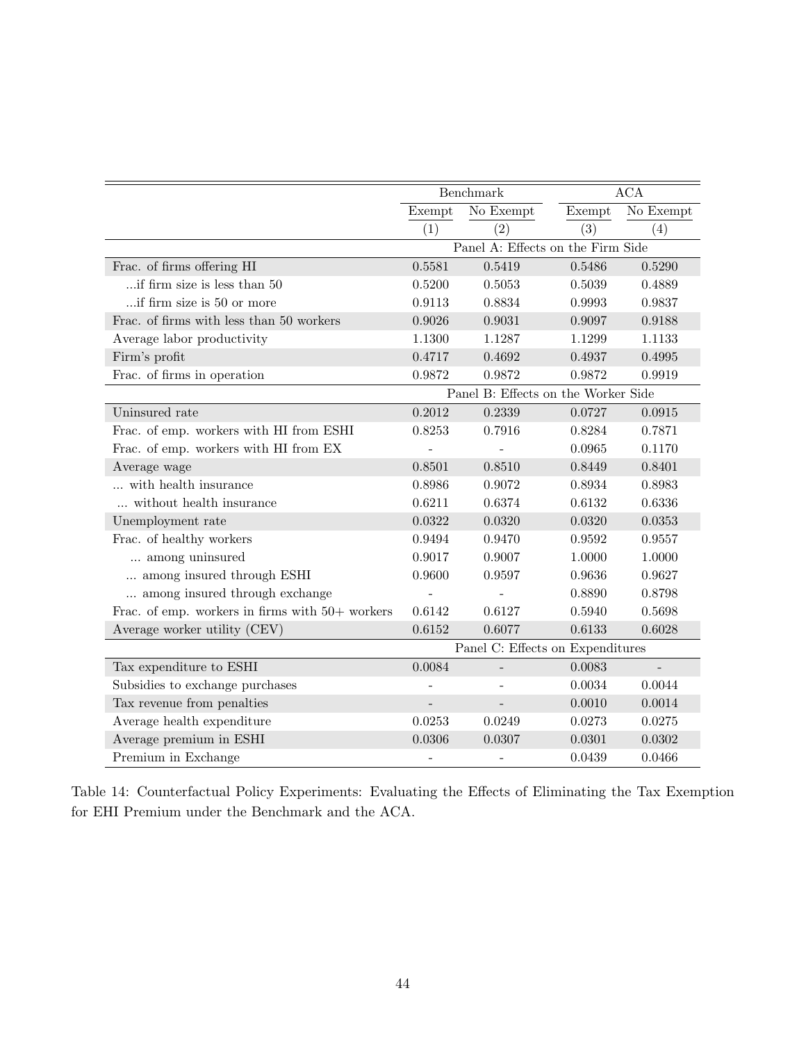|                                                   |                                   | Benchmark                           | $\rm{ACA}$ |                          |  |  |  |
|---------------------------------------------------|-----------------------------------|-------------------------------------|------------|--------------------------|--|--|--|
|                                                   | Exempt<br>No Exempt               |                                     | Exempt     | No Exempt                |  |  |  |
|                                                   | (1)                               | (2)                                 | (3)        | (4)                      |  |  |  |
|                                                   | Panel A: Effects on the Firm Side |                                     |            |                          |  |  |  |
| Frac. of firms offering HI                        | 0.5581                            | 0.5419                              | 0.5486     | 0.5290                   |  |  |  |
| if firm size is less than 50                      | 0.5200                            | 0.5053                              | 0.5039     | 0.4889                   |  |  |  |
| if firm size is 50 or more                        | 0.9113                            | 0.8834                              | 0.9993     | 0.9837                   |  |  |  |
| Frac. of firms with less than 50 workers          | 0.9026                            | 0.9031                              | 0.9097     | 0.9188                   |  |  |  |
| Average labor productivity                        | 1.1300                            | 1.1287                              | 1.1299     | 1.1133                   |  |  |  |
| Firm's profit                                     | 0.4717                            | 0.4692                              | 0.4937     | 0.4995                   |  |  |  |
| Frac. of firms in operation                       | 0.9872                            | 0.9872                              | 0.9872     | 0.9919                   |  |  |  |
|                                                   |                                   | Panel B: Effects on the Worker Side |            |                          |  |  |  |
| Uninsured rate                                    | 0.2012                            | 0.2339                              | 0.0727     | 0.0915                   |  |  |  |
| Frac. of emp. workers with HI from ESHI           | 0.8253                            | 0.7916                              | 0.8284     | 0.7871                   |  |  |  |
| Frac. of emp. workers with HI from EX             |                                   |                                     | 0.0965     | 0.1170                   |  |  |  |
| Average wage                                      | 0.8501                            | 0.8510                              | 0.8449     | 0.8401                   |  |  |  |
| with health insurance                             | 0.8986                            | 0.9072                              | 0.8934     | 0.8983                   |  |  |  |
| $\ldots$ without health insurance                 | 0.6211                            | 0.6374                              | $0.6132\,$ | 0.6336                   |  |  |  |
| Unemployment rate                                 | 0.0322                            | 0.0320                              | 0.0320     | 0.0353                   |  |  |  |
| Frac. of healthy workers                          | 0.9494                            | 0.9470                              | 0.9592     | 0.9557                   |  |  |  |
| among uninsured                                   | 0.9017                            | 0.9007                              | 1.0000     | 1.0000                   |  |  |  |
| among insured through ESHI                        | 0.9600                            | 0.9597                              | 0.9636     | 0.9627                   |  |  |  |
| among insured through exchange                    |                                   |                                     | 0.8890     | 0.8798                   |  |  |  |
| Frac. of emp. workers in firms with $50+$ workers | 0.6142                            | 0.6127                              | 0.5940     | 0.5698                   |  |  |  |
| Average worker utility (CEV)                      | 0.6152                            | 0.6077                              | 0.6133     | 0.6028                   |  |  |  |
|                                                   | Panel C: Effects on Expenditures  |                                     |            |                          |  |  |  |
| Tax expenditure to ESHI                           | 0.0084                            | $\overline{\phantom{a}}$            | 0.0083     | $\overline{\phantom{a}}$ |  |  |  |
| Subsidies to exchange purchases                   |                                   |                                     | 0.0034     | 0.0044                   |  |  |  |
| Tax revenue from penalties                        |                                   |                                     | 0.0010     | 0.0014                   |  |  |  |
| Average health expenditure                        | 0.0253                            | 0.0249                              | 0.0273     | 0.0275                   |  |  |  |
| Average premium in ESHI                           | 0.0306                            | 0.0307                              | 0.0301     | 0.0302                   |  |  |  |
| Premium in Exchange                               | $\overline{\phantom{0}}$          | $\overline{\phantom{0}}$            | 0.0439     | 0.0466                   |  |  |  |

<span id="page-44-0"></span>Table 14: Counterfactual Policy Experiments: Evaluating the Effects of Eliminating the Tax Exemption for EHI Premium under the Benchmark and the ACA.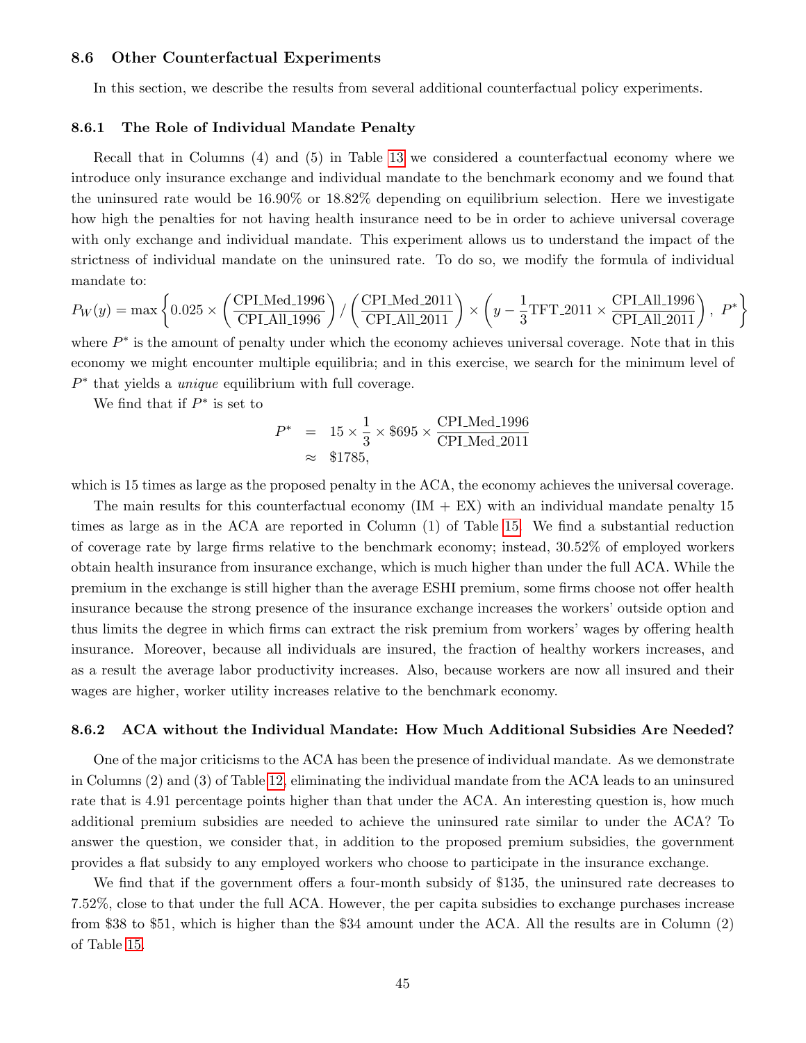### 8.6 Other Counterfactual Experiments

In this section, we describe the results from several additional counterfactual policy experiments.

#### 8.6.1 The Role of Individual Mandate Penalty

Recall that in Columns (4) and (5) in Table [13](#page-42-0) we considered a counterfactual economy where we introduce only insurance exchange and individual mandate to the benchmark economy and we found that the uninsured rate would be 16.90% or 18.82% depending on equilibrium selection. Here we investigate how high the penalties for not having health insurance need to be in order to achieve universal coverage with only exchange and individual mandate. This experiment allows us to understand the impact of the strictness of individual mandate on the uninsured rate. To do so, we modify the formula of individual mandate to:

$$
P_W(y) = \max\left\{0.025 \times \left(\frac{\text{CPLMed}\_1996}{\text{CPLAll}\_1996}\right) / \left(\frac{\text{CPLMed}\_2011}{\text{CPLAll}\_2011}\right) \times \left(y - \frac{1}{3}\text{TFT}\_2011 \times \frac{\text{CPLAll}\_1996}{\text{CPLAll}\_2011}\right), P^*\right\}
$$

where  $P^*$  is the amount of penalty under which the economy achieves universal coverage. Note that in this economy we might encounter multiple equilibria; and in this exercise, we search for the minimum level of  $P^*$  that yields a *unique* equilibrium with full coverage.

We find that if  $P^*$  is set to

$$
P^* = 15 \times \frac{1}{3} \times $695 \times \frac{\text{CPI\_Med}\_1996}{\text{CPI\_Med}\_2011} \approx $1785,
$$

which is 15 times as large as the proposed penalty in the ACA, the economy achieves the universal coverage.

The main results for this counterfactual economy  $(IM + EX)$  with an individual mandate penalty 15 times as large as in the ACA are reported in Column (1) of Table [15.](#page-46-0) We find a substantial reduction of coverage rate by large firms relative to the benchmark economy; instead, 30.52% of employed workers obtain health insurance from insurance exchange, which is much higher than under the full ACA. While the premium in the exchange is still higher than the average ESHI premium, some firms choose not offer health insurance because the strong presence of the insurance exchange increases the workers' outside option and thus limits the degree in which firms can extract the risk premium from workers' wages by offering health insurance. Moreover, because all individuals are insured, the fraction of healthy workers increases, and as a result the average labor productivity increases. Also, because workers are now all insured and their wages are higher, worker utility increases relative to the benchmark economy.

#### 8.6.2 ACA without the Individual Mandate: How Much Additional Subsidies Are Needed?

One of the major criticisms to the ACA has been the presence of individual mandate. As we demonstrate in Columns (2) and (3) of Table [12,](#page-38-0) eliminating the individual mandate from the ACA leads to an uninsured rate that is 4.91 percentage points higher than that under the ACA. An interesting question is, how much additional premium subsidies are needed to achieve the uninsured rate similar to under the ACA? To answer the question, we consider that, in addition to the proposed premium subsidies, the government provides a flat subsidy to any employed workers who choose to participate in the insurance exchange.

We find that if the government offers a four-month subsidy of \$135, the uninsured rate decreases to 7.52%, close to that under the full ACA. However, the per capita subsidies to exchange purchases increase from \$38 to \$51, which is higher than the \$34 amount under the ACA. All the results are in Column (2) of Table [15.](#page-46-0)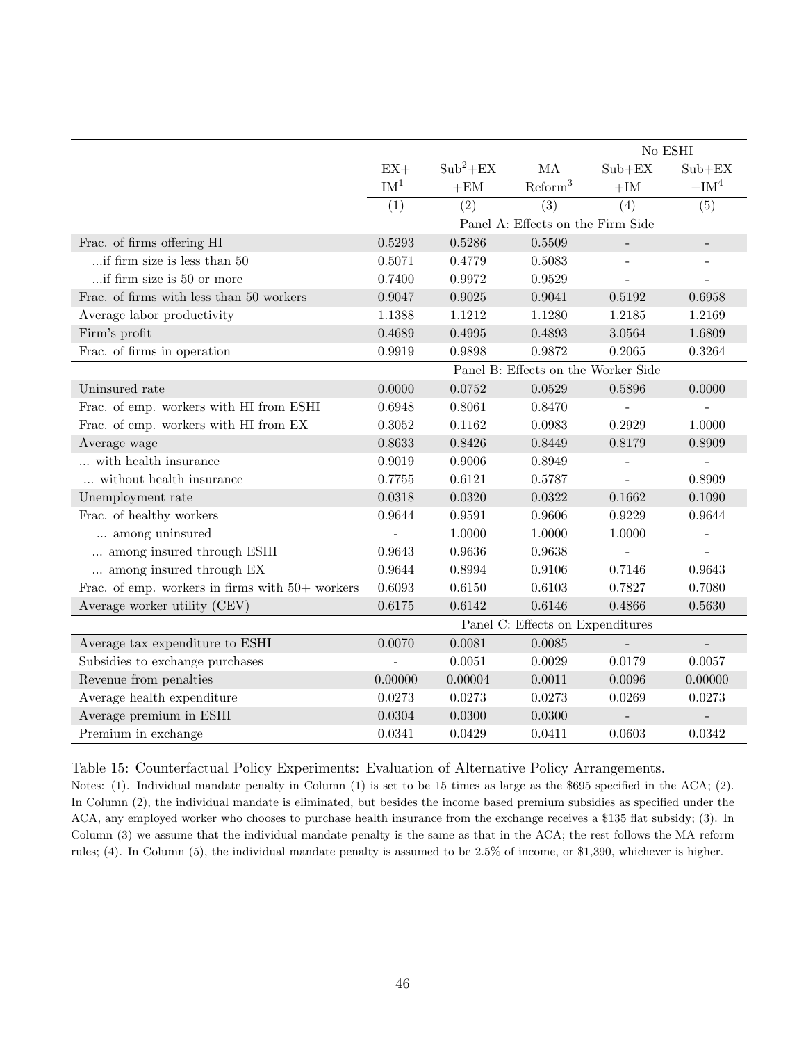|                                                   |                                  |            |                                     | $\rm No$ ESHI |                          |  |  |
|---------------------------------------------------|----------------------------------|------------|-------------------------------------|---------------|--------------------------|--|--|
|                                                   | $EX+$                            | $Sub^2+EX$ | MA                                  | $Sub+EX$      | $Sub+EX$                 |  |  |
|                                                   | IM <sup>1</sup>                  | $+EM$      | Reform <sup>3</sup>                 | $+{\rm IM}$   | $+IM4$                   |  |  |
|                                                   | (1)                              | (2)        | (3)                                 | (4)           | (5)                      |  |  |
|                                                   |                                  |            | Panel A: Effects on the Firm Side   |               |                          |  |  |
| Frac. of firms offering HI                        | 0.5293                           | 0.5286     | 0.5509                              |               |                          |  |  |
| $\ldots$ if firm size is less than 50             | 0.5071                           | 0.4779     | 0.5083                              |               | $\overline{\phantom{a}}$ |  |  |
| if firm size is 50 or more                        | 0.7400                           | 0.9972     | 0.9529                              |               |                          |  |  |
| Frac. of firms with less than 50 workers          | 0.9047                           | 0.9025     | 0.9041                              | 0.5192        | 0.6958                   |  |  |
| Average labor productivity                        | 1.1388                           | 1.1212     | 1.1280                              | 1.2185        | 1.2169                   |  |  |
| Firm's profit                                     | 0.4689                           | 0.4995     | 0.4893                              | 3.0564        | 1.6809                   |  |  |
| Frac. of firms in operation                       | 0.9919                           | 0.9898     | 0.9872                              | 0.2065        | 0.3264                   |  |  |
|                                                   |                                  |            | Panel B: Effects on the Worker Side |               |                          |  |  |
| Uninsured rate                                    | 0.0000                           | 0.0752     | 0.0529                              | 0.5896        | 0.0000                   |  |  |
| Frac. of emp. workers with HI from ESHI           | 0.6948                           | 0.8061     | 0.8470                              |               |                          |  |  |
| Frac. of emp. workers with HI from EX             | 0.3052                           | 0.1162     | 0.0983                              | 0.2929        | 1.0000                   |  |  |
| Average wage                                      | 0.8633                           | 0.8426     | 0.8449                              | 0.8179        | 0.8909                   |  |  |
| with health insurance                             | 0.9019                           | 0.9006     | 0.8949                              |               | $\overline{\phantom{a}}$ |  |  |
| without health insurance                          | 0.7755                           | 0.6121     | 0.5787                              |               | 0.8909                   |  |  |
| Unemployment rate                                 | 0.0318                           | 0.0320     | 0.0322                              | 0.1662        | 0.1090                   |  |  |
| Frac. of healthy workers                          | 0.9644                           | 0.9591     | 0.9606                              | 0.9229        | 0.9644                   |  |  |
| among uninsured                                   |                                  | 1.0000     | 1.0000                              | 1.0000        |                          |  |  |
| among insured through ESHI                        | 0.9643                           | 0.9636     | 0.9638                              |               |                          |  |  |
| among insured through EX                          | 0.9644                           | 0.8994     | 0.9106                              | 0.7146        | 0.9643                   |  |  |
| Frac. of emp. workers in firms with $50+$ workers | 0.6093                           | 0.6150     | 0.6103                              | 0.7827        | 0.7080                   |  |  |
| Average worker utility (CEV)                      | 0.6175                           | 0.6142     | 0.6146                              | 0.4866        | 0.5630                   |  |  |
|                                                   | Panel C: Effects on Expenditures |            |                                     |               |                          |  |  |
| Average tax expenditure to ESHI                   | 0.0070                           | 0.0081     | 0.0085                              |               | $\overline{\phantom{a}}$ |  |  |
| Subsidies to exchange purchases                   |                                  | 0.0051     | 0.0029                              | 0.0179        | 0.0057                   |  |  |
| Revenue from penalties                            | 0.00000                          | 0.00004    | 0.0011                              | 0.0096        | 0.00000                  |  |  |
| Average health expenditure                        | 0.0273                           | 0.0273     | 0.0273                              | 0.0269        | 0.0273                   |  |  |
| Average premium in ESHI                           | 0.0304                           | 0.0300     | 0.0300                              |               |                          |  |  |
| Premium in exchange                               | 0.0341                           | 0.0429     | 0.0411                              | 0.0603        | 0.0342                   |  |  |

<span id="page-46-0"></span>Table 15: Counterfactual Policy Experiments: Evaluation of Alternative Policy Arrangements.

Notes: (1). Individual mandate penalty in Column (1) is set to be 15 times as large as the \$695 specified in the ACA; (2). In Column (2), the individual mandate is eliminated, but besides the income based premium subsidies as specified under the ACA, any employed worker who chooses to purchase health insurance from the exchange receives a \$135 flat subsidy; (3). In Column (3) we assume that the individual mandate penalty is the same as that in the ACA; the rest follows the MA reform rules; (4). In Column (5), the individual mandate penalty is assumed to be 2.5% of income, or \$1,390, whichever is higher.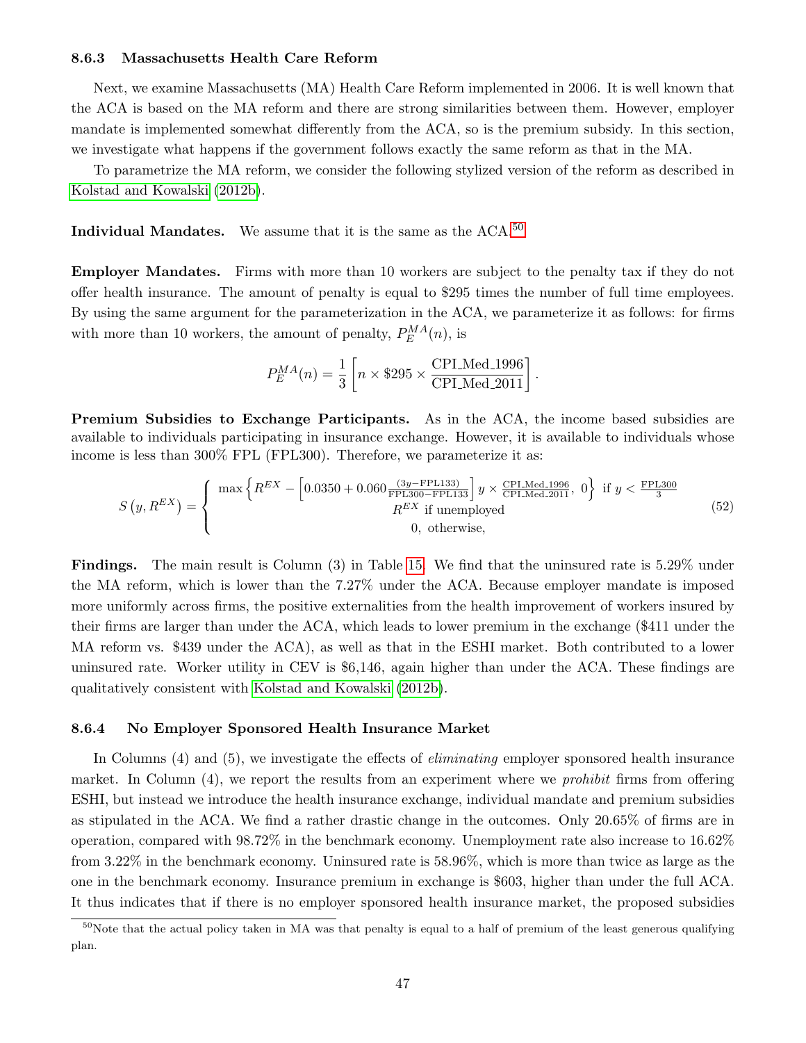#### 8.6.3 Massachusetts Health Care Reform

Next, we examine Massachusetts (MA) Health Care Reform implemented in 2006. It is well known that the ACA is based on the MA reform and there are strong similarities between them. However, employer mandate is implemented somewhat differently from the ACA, so is the premium subsidy. In this section, we investigate what happens if the government follows exactly the same reform as that in the MA.

To parametrize the MA reform, we consider the following stylized version of the reform as described in [Kolstad and Kowalski \(2012b\)](#page-50-7).

Individual Mandates. We assume that it is the same as the  $ACA$ .<sup>[50](#page-47-0)</sup>

Employer Mandates. Firms with more than 10 workers are subject to the penalty tax if they do not offer health insurance. The amount of penalty is equal to \$295 times the number of full time employees. By using the same argument for the parameterization in the ACA, we parameterize it as follows: for firms with more than 10 workers, the amount of penalty,  $P_E^{MA}(n)$ , is

$$
P_E^{MA}(n) = \frac{1}{3} \left[ n \times $295 \times \frac{\text{CPI\_Med}\_1996}{\text{CPI\_Med}\_2011} \right]
$$

.

Premium Subsidies to Exchange Participants. As in the ACA, the income based subsidies are available to individuals participating in insurance exchange. However, it is available to individuals whose income is less than 300% FPL (FPL300). Therefore, we parameterize it as:

$$
S(y, R^{EX}) = \begin{cases} \max \left\{ R^{EX} - \left[ 0.0350 + 0.060 \frac{(3y - \text{FPL133})}{\text{FPL300} - \text{FPL133}} \right] y \times \frac{\text{CPLMed\_1996}}{\text{CPLMed\_2011}}, 0 \right\} \text{ if } y < \frac{\text{FPL300}}{3} \\ R^{EX} \text{ if unemployed} \\ 0, \text{ otherwise,} \end{cases}
$$
(52)

Findings. The main result is Column (3) in Table [15.](#page-46-0) We find that the uninsured rate is 5.29% under the MA reform, which is lower than the 7.27% under the ACA. Because employer mandate is imposed more uniformly across firms, the positive externalities from the health improvement of workers insured by their firms are larger than under the ACA, which leads to lower premium in the exchange (\$411 under the MA reform vs. \$439 under the ACA), as well as that in the ESHI market. Both contributed to a lower uninsured rate. Worker utility in CEV is \$6,146, again higher than under the ACA. These findings are qualitatively consistent with [Kolstad and Kowalski \(2012b\)](#page-50-7).

#### 8.6.4 No Employer Sponsored Health Insurance Market

In Columns (4) and (5), we investigate the effects of *eliminating* employer sponsored health insurance market. In Column (4), we report the results from an experiment where we *prohibit* firms from offering ESHI, but instead we introduce the health insurance exchange, individual mandate and premium subsidies as stipulated in the ACA. We find a rather drastic change in the outcomes. Only 20.65% of firms are in operation, compared with 98.72% in the benchmark economy. Unemployment rate also increase to 16.62% from 3.22% in the benchmark economy. Uninsured rate is 58.96%, which is more than twice as large as the one in the benchmark economy. Insurance premium in exchange is \$603, higher than under the full ACA. It thus indicates that if there is no employer sponsored health insurance market, the proposed subsidies

<span id="page-47-0"></span> $50$ Note that the actual policy taken in MA was that penalty is equal to a half of premium of the least generous qualifying plan.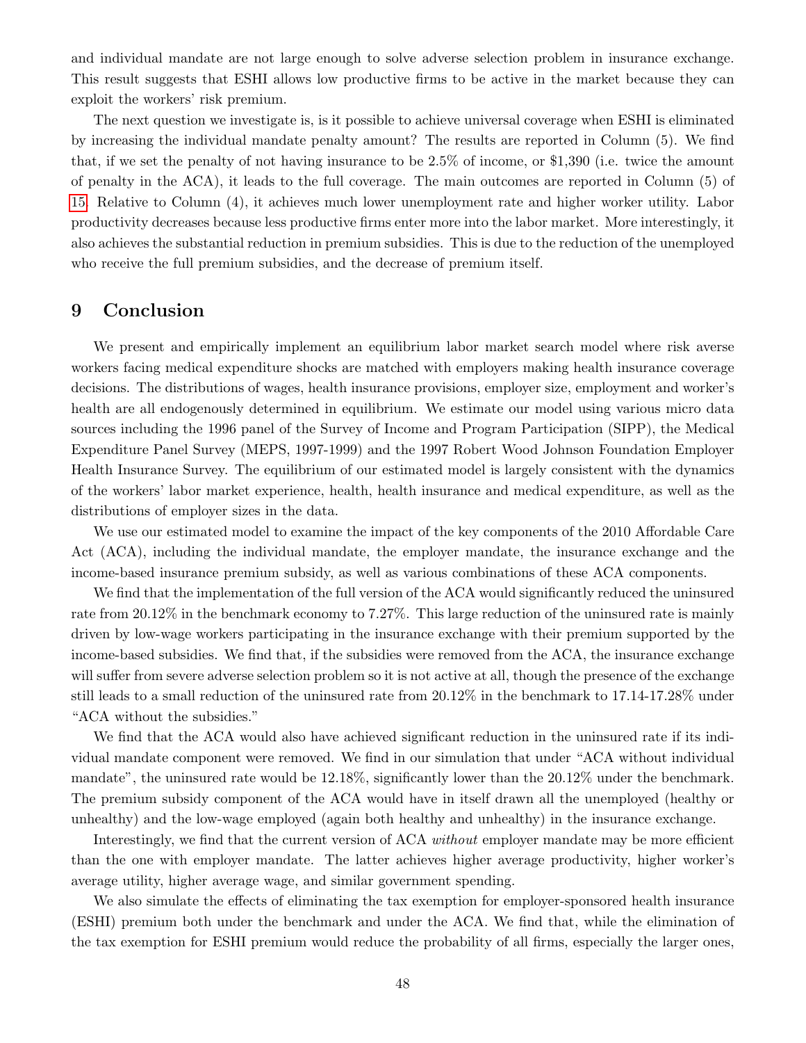and individual mandate are not large enough to solve adverse selection problem in insurance exchange. This result suggests that ESHI allows low productive firms to be active in the market because they can exploit the workers' risk premium.

The next question we investigate is, is it possible to achieve universal coverage when ESHI is eliminated by increasing the individual mandate penalty amount? The results are reported in Column (5). We find that, if we set the penalty of not having insurance to be 2.5% of income, or \$1,390 (i.e. twice the amount of penalty in the ACA), it leads to the full coverage. The main outcomes are reported in Column (5) of [15.](#page-46-0) Relative to Column (4), it achieves much lower unemployment rate and higher worker utility. Labor productivity decreases because less productive firms enter more into the labor market. More interestingly, it also achieves the substantial reduction in premium subsidies. This is due to the reduction of the unemployed who receive the full premium subsidies, and the decrease of premium itself.

### <span id="page-48-0"></span>9 Conclusion

We present and empirically implement an equilibrium labor market search model where risk averse workers facing medical expenditure shocks are matched with employers making health insurance coverage decisions. The distributions of wages, health insurance provisions, employer size, employment and worker's health are all endogenously determined in equilibrium. We estimate our model using various micro data sources including the 1996 panel of the Survey of Income and Program Participation (SIPP), the Medical Expenditure Panel Survey (MEPS, 1997-1999) and the 1997 Robert Wood Johnson Foundation Employer Health Insurance Survey. The equilibrium of our estimated model is largely consistent with the dynamics of the workers' labor market experience, health, health insurance and medical expenditure, as well as the distributions of employer sizes in the data.

We use our estimated model to examine the impact of the key components of the 2010 Affordable Care Act (ACA), including the individual mandate, the employer mandate, the insurance exchange and the income-based insurance premium subsidy, as well as various combinations of these ACA components.

We find that the implementation of the full version of the ACA would significantly reduced the uninsured rate from 20.12% in the benchmark economy to 7.27%. This large reduction of the uninsured rate is mainly driven by low-wage workers participating in the insurance exchange with their premium supported by the income-based subsidies. We find that, if the subsidies were removed from the ACA, the insurance exchange will suffer from severe adverse selection problem so it is not active at all, though the presence of the exchange still leads to a small reduction of the uninsured rate from 20.12% in the benchmark to 17.14-17.28% under "ACA without the subsidies."

We find that the ACA would also have achieved significant reduction in the uninsured rate if its individual mandate component were removed. We find in our simulation that under "ACA without individual mandate", the uninsured rate would be 12.18%, significantly lower than the 20.12% under the benchmark. The premium subsidy component of the ACA would have in itself drawn all the unemployed (healthy or unhealthy) and the low-wage employed (again both healthy and unhealthy) in the insurance exchange.

Interestingly, we find that the current version of ACA without employer mandate may be more efficient than the one with employer mandate. The latter achieves higher average productivity, higher worker's average utility, higher average wage, and similar government spending.

We also simulate the effects of eliminating the tax exemption for employer-sponsored health insurance (ESHI) premium both under the benchmark and under the ACA. We find that, while the elimination of the tax exemption for ESHI premium would reduce the probability of all firms, especially the larger ones,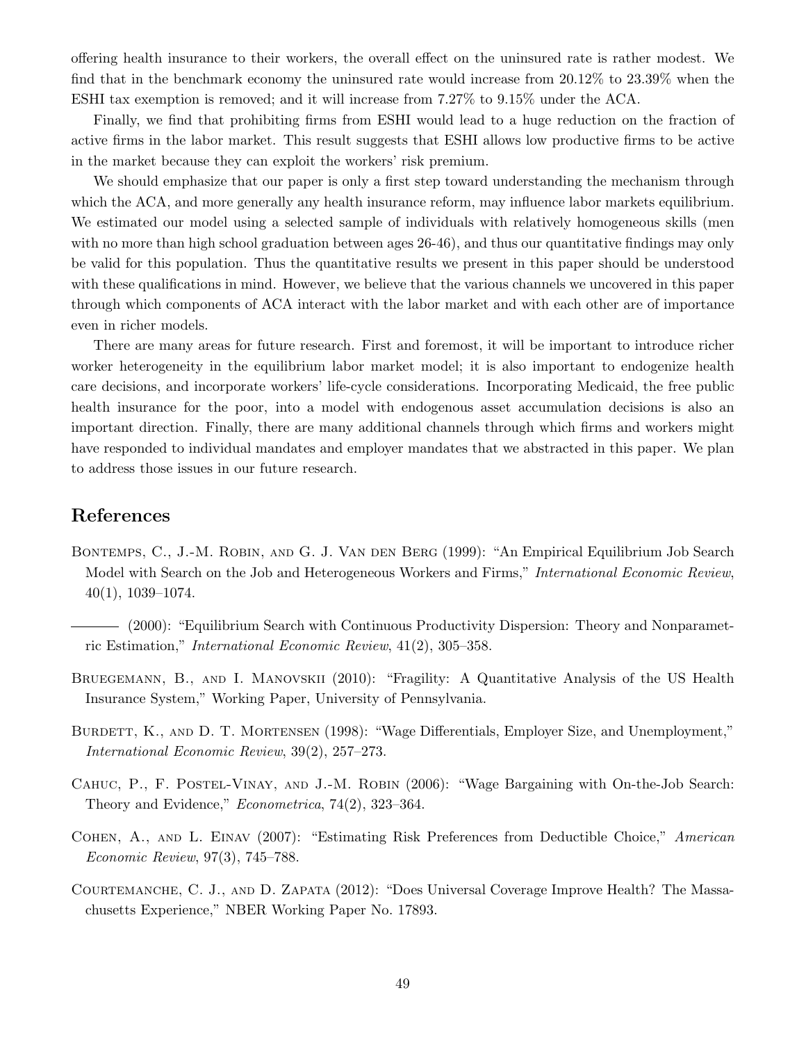offering health insurance to their workers, the overall effect on the uninsured rate is rather modest. We find that in the benchmark economy the uninsured rate would increase from 20.12% to 23.39% when the ESHI tax exemption is removed; and it will increase from 7.27% to 9.15% under the ACA.

Finally, we find that prohibiting firms from ESHI would lead to a huge reduction on the fraction of active firms in the labor market. This result suggests that ESHI allows low productive firms to be active in the market because they can exploit the workers' risk premium.

We should emphasize that our paper is only a first step toward understanding the mechanism through which the ACA, and more generally any health insurance reform, may influence labor markets equilibrium. We estimated our model using a selected sample of individuals with relatively homogeneous skills (men with no more than high school graduation between ages 26-46), and thus our quantitative findings may only be valid for this population. Thus the quantitative results we present in this paper should be understood with these qualifications in mind. However, we believe that the various channels we uncovered in this paper through which components of ACA interact with the labor market and with each other are of importance even in richer models.

There are many areas for future research. First and foremost, it will be important to introduce richer worker heterogeneity in the equilibrium labor market model; it is also important to endogenize health care decisions, and incorporate workers' life-cycle considerations. Incorporating Medicaid, the free public health insurance for the poor, into a model with endogenous asset accumulation decisions is also an important direction. Finally, there are many additional channels through which firms and workers might have responded to individual mandates and employer mandates that we abstracted in this paper. We plan to address those issues in our future research.

# References

- <span id="page-49-1"></span>BONTEMPS, C., J.-M. ROBIN, AND G. J. VAN DEN BERG (1999): "An Empirical Equilibrium Job Search Model with Search on the Job and Heterogeneous Workers and Firms," International Economic Review, 40(1), 1039–1074.
- <span id="page-49-2"></span>(2000): "Equilibrium Search with Continuous Productivity Dispersion: Theory and Nonparametric Estimation," International Economic Review, 41(2), 305–358.
- <span id="page-49-3"></span>BRUEGEMANN, B., AND I. MANOVSKII (2010): "Fragility: A Quantitative Analysis of the US Health Insurance System," Working Paper, University of Pennsylvania.
- <span id="page-49-0"></span>BURDETT, K., AND D. T. MORTENSEN (1998): "Wage Differentials, Employer Size, and Unemployment," International Economic Review, 39(2), 257–273.
- <span id="page-49-5"></span>Cahuc, P., F. Postel-Vinay, and J.-M. Robin (2006): "Wage Bargaining with On-the-Job Search: Theory and Evidence," Econometrica, 74(2), 323–364.
- <span id="page-49-6"></span>Cohen, A., and L. Einav (2007): "Estimating Risk Preferences from Deductible Choice," American Economic Review, 97(3), 745–788.
- <span id="page-49-4"></span>Courtemanche, C. J., and D. Zapata (2012): "Does Universal Coverage Improve Health? The Massachusetts Experience," NBER Working Paper No. 17893.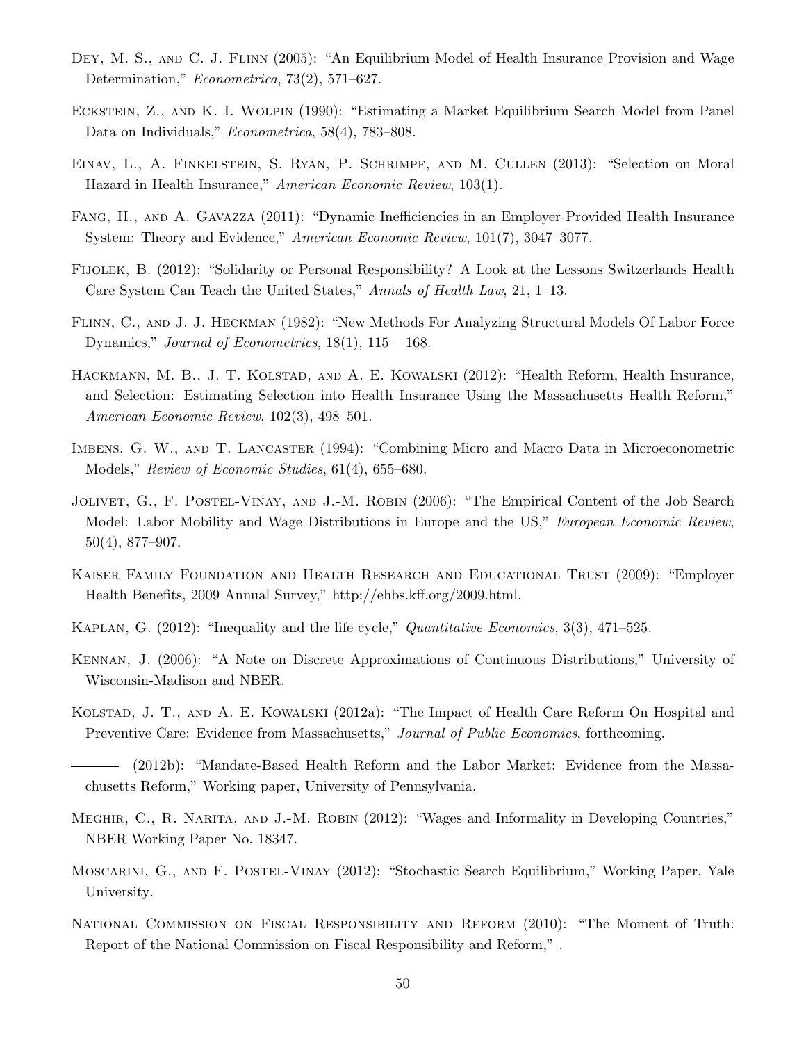- <span id="page-50-4"></span>DEY, M. S., AND C. J. FLINN (2005): "An Equilibrium Model of Health Insurance Provision and Wage Determination," Econometrica, 73(2), 571–627.
- <span id="page-50-9"></span>Eckstein, Z., and K. I. Wolpin (1990): "Estimating a Market Equilibrium Search Model from Panel Data on Individuals," Econometrica, 58(4), 783–808.
- <span id="page-50-10"></span>Einav, L., A. Finkelstein, S. Ryan, P. Schrimpf, and M. Cullen (2013): "Selection on Moral Hazard in Health Insurance," American Economic Review, 103(1).
- <span id="page-50-3"></span>Fang, H., and A. Gavazza (2011): "Dynamic Inefficiencies in an Employer-Provided Health Insurance System: Theory and Evidence," American Economic Review, 101(7), 3047–3077.
- <span id="page-50-14"></span>Fijolek, B. (2012): "Solidarity or Personal Responsibility? A Look at the Lessons Switzerlands Health Care System Can Teach the United States," Annals of Health Law, 21, 1–13.
- <span id="page-50-13"></span>Flinn, C., and J. J. Heckman (1982): "New Methods For Analyzing Structural Models Of Labor Force Dynamics," Journal of Econometrics,  $18(1)$ ,  $115 - 168$ .
- <span id="page-50-6"></span>HACKMANN, M. B., J. T. KOLSTAD, AND A. E. KOWALSKI (2012): "Health Reform, Health Insurance, and Selection: Estimating Selection into Health Insurance Using the Massachusetts Health Reform," American Economic Review, 102(3), 498–501.
- <span id="page-50-2"></span>Imbens, G. W., and T. Lancaster (1994): "Combining Micro and Macro Data in Microeconometric Models," Review of Economic Studies, 61(4), 655–680.
- <span id="page-50-11"></span>JOLIVET, G., F. POSTEL-VINAY, AND J.-M. ROBIN (2006): "The Empirical Content of the Job Search Model: Labor Mobility and Wage Distributions in Europe and the US," European Economic Review, 50(4), 877–907.
- <span id="page-50-0"></span>Kaiser Family Foundation and Health Research and Educational Trust (2009): "Employer Health Benefits, 2009 Annual Survey," http://ehbs.kff.org/2009.html.
- <span id="page-50-12"></span>KAPLAN, G. (2012): "Inequality and the life cycle," Quantitative Economics, 3(3), 471–525.
- <span id="page-50-16"></span>Kennan, J. (2006): "A Note on Discrete Approximations of Continuous Distributions," University of Wisconsin-Madison and NBER.
- <span id="page-50-5"></span>Kolstad, J. T., and A. E. Kowalski (2012a): "The Impact of Health Care Reform On Hospital and Preventive Care: Evidence from Massachusetts," Journal of Public Economics, forthcoming.
- <span id="page-50-7"></span>(2012b): "Mandate-Based Health Reform and the Labor Market: Evidence from the Massachusetts Reform," Working paper, University of Pennsylvania.
- <span id="page-50-8"></span>MEGHIR, C., R. NARITA, AND J.-M. ROBIN (2012): "Wages and Informality in Developing Countries," NBER Working Paper No. 18347.
- <span id="page-50-1"></span>Moscarini, G., and F. Postel-Vinay (2012): "Stochastic Search Equilibrium," Working Paper, Yale University.
- <span id="page-50-15"></span>National Commission on Fiscal Responsibility and Reform (2010): "The Moment of Truth: Report of the National Commission on Fiscal Responsibility and Reform," .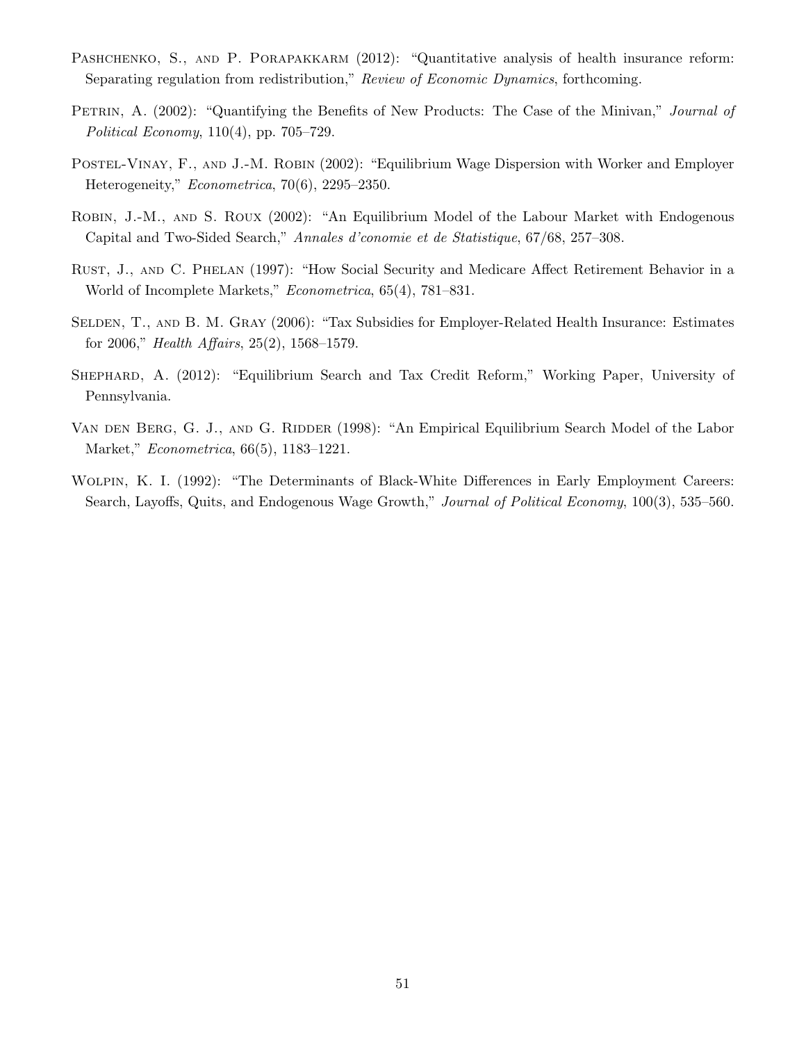- <span id="page-51-2"></span>PASHCHENKO, S., AND P. PORAPAKKARM (2012): "Quantitative analysis of health insurance reform: Separating regulation from redistribution," Review of Economic Dynamics, forthcoming.
- <span id="page-51-1"></span>PETRIN, A. (2002): "Quantifying the Benefits of New Products: The Case of the Minivan," *Journal of* Political Economy, 110(4), pp. 705–729.
- <span id="page-51-8"></span>POSTEL-VINAY, F., AND J.-M. ROBIN (2002): "Equilibrium Wage Dispersion with Worker and Employer Heterogeneity," Econometrica, 70(6), 2295–2350.
- <span id="page-51-7"></span>Robin, J.-M., and S. Roux (2002): "An Equilibrium Model of the Labour Market with Endogenous Capital and Two-Sided Search," Annales d'conomie et de Statistique, 67/68, 257–308.
- <span id="page-51-5"></span>Rust, J., and C. Phelan (1997): "How Social Security and Medicare Affect Retirement Behavior in a World of Incomplete Markets," Econometrica, 65(4), 781–831.
- <span id="page-51-0"></span>SELDEN, T., AND B. M. GRAY (2006): "Tax Subsidies for Employer-Related Health Insurance: Estimates for 2006," Health Affairs, 25(2), 1568–1579.
- <span id="page-51-4"></span>Shephard, A. (2012): "Equilibrium Search and Tax Credit Reform," Working Paper, University of Pennsylvania.
- <span id="page-51-3"></span>VAN DEN BERG, G. J., AND G. RIDDER (1998): "An Empirical Equilibrium Search Model of the Labor Market," Econometrica, 66(5), 1183–1221.
- <span id="page-51-6"></span>Wolpin, K. I. (1992): "The Determinants of Black-White Differences in Early Employment Careers: Search, Layoffs, Quits, and Endogenous Wage Growth," Journal of Political Economy, 100(3), 535–560.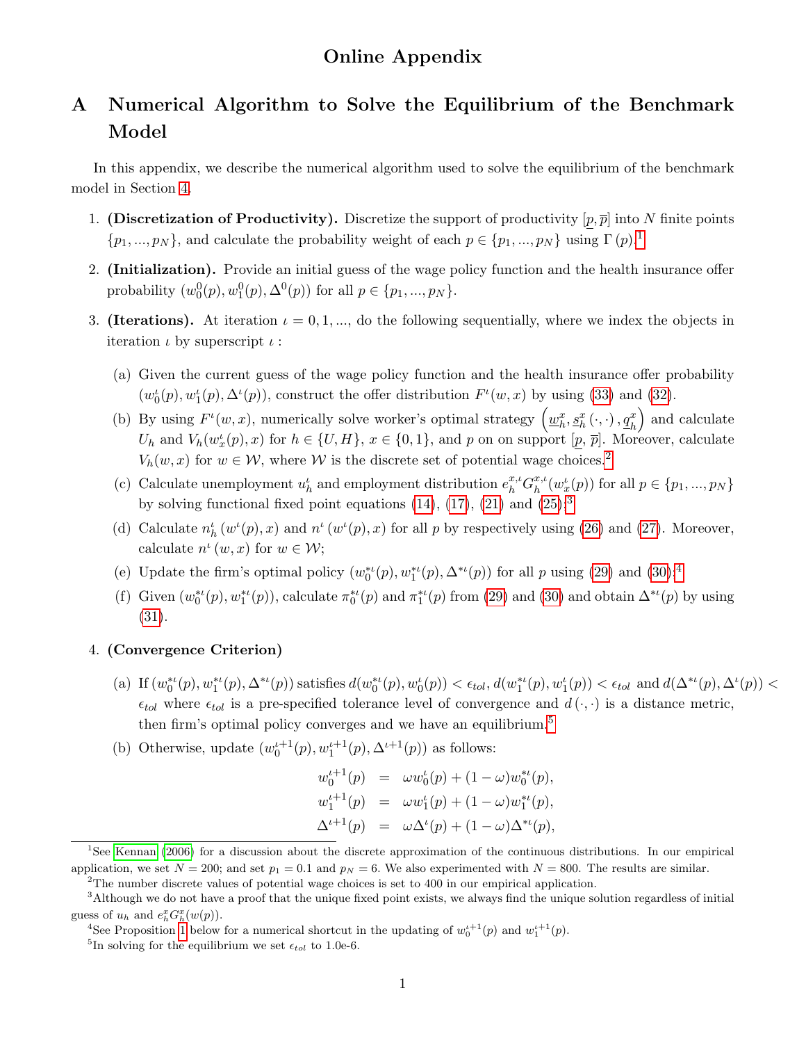# A Numerical Algorithm to Solve the Equilibrium of the Benchmark Model

In this appendix, we describe the numerical algorithm used to solve the equilibrium of the benchmark model in Section [4.](#page-16-1)

- 1. (Discretization of Productivity). Discretize the support of productivity  $[p, \overline{p}]$  into N finite points  $\{p_1, ..., p_N\}$  $\{p_1, ..., p_N\}$  $\{p_1, ..., p_N\}$ , and calculate the probability weight of each  $p \in \{p_1, ..., p_N\}$  using  $\Gamma(p)$ .<sup>1</sup>
- 2. (Initialization). Provide an initial guess of the wage policy function and the health insurance offer probability  $(w_0^0(p), w_1^0(p), \Delta^0(p))$  for all  $p \in \{p_1, ..., p_N\}$ .
- <span id="page-52-5"></span>3. (Iterations). At iteration  $\iota = 0, 1, \dots$ , do the following sequentially, where we index the objects in iteration  $\iota$  by superscript  $\iota$ :
	- (a) Given the current guess of the wage policy function and the health insurance offer probability  $(w_0^{\iota}(p), w_1^{\iota}(p), \Delta^{\iota}(p))$ , construct the offer distribution  $F^{\iota}(w, x)$  by using [\(33\)](#page-16-3) and [\(32\)](#page-16-3).
	- (b) By using  $F^{\iota}(w, x)$ , numerically solve worker's optimal strategy  $(\underline{w}_h^x, \underline{s}_h^x(\cdot, \cdot), \underline{q}_h^x)$ ) and calculate  $U_h$  and  $V_h(w_x^{\iota}(p), x)$  for  $h \in \{U, H\}, x \in \{0, 1\},$  and p on on support  $[\underline{p}, \overline{p}]$ . Moreover, calculate  $V_h(w, x)$  for  $w \in \mathcal{W}$ , where  $\mathcal W$  is the discrete set of potential wage choices.<sup>[2](#page-52-1)</sup>
	- (c) Calculate unemployment  $u_h^{\iota}$  and employment distribution  $e_h^{x,\iota} G_h^{x,\iota}$  $_{h}^{x,\iota}(w_{x}^{\iota}(p))$  for all  $p \in \{p_{1},...,p_{N}\}$ by solving functional fixed point equations  $(14)$ ,  $(17)$ ,  $(21)$  and  $(25)$ ;<sup>[3](#page-52-2)</sup>
	- (d) Calculate  $n_h^{\ell}(w^{\ell}(p),x)$  and  $n^{\ell}(w^{\ell}(p),x)$  for all p by respectively using [\(26\)](#page-14-0) and [\(27\)](#page-14-1). Moreover, calculate  $n^{\iota}(w, x)$  for  $w \in \mathcal{W}$ ;
	- (e) Update the firm's optimal policy  $(w_0^{*t}(p), w_1^{*t}(p), \Delta^{*t}(p))$  for all p using [\(29\)](#page-15-1) and [\(30\)](#page-15-1);<sup>[4](#page-52-3)</sup>
	- (f) Given  $(w_0^{*}(p), w_1^{*}(p))$ , calculate  $\pi_0^{*}(p)$  and  $\pi_1^{*}(p)$  from [\(29\)](#page-15-1) and [\(30\)](#page-15-1) and obtain  $\Delta^{*}(p)$  by using [\(31\)](#page-15-3).

### 4. (Convergence Criterion)

- (a) If  $(w_0^{*t}(p), w_1^{*t}(p), \Delta^{*t}(p))$  satisfies  $d(w_0^{*t}(p), w_0^{t}(p)) < \epsilon_{tol}$ ,  $d(w_1^{*t}(p), w_1^{t}(p)) < \epsilon_{tol}$  and  $d(\Delta^{*t}(p), \Delta^{t}(p)) <$  $\epsilon_{tol}$  where  $\epsilon_{tol}$  is a pre-specified tolerance level of convergence and  $d(\cdot,\cdot)$  is a distance metric, then firm's optimal policy converges and we have an equilibrium.<sup>[5](#page-52-4)</sup>
- (b) Otherwise, update  $(w_0^{t+1}(p), w_1^{t+1}(p), \Delta^{t+1}(p))$  as follows:

$$
w_0^{t+1}(p) = \omega w_0^t(p) + (1 - \omega) w_0^{*t}(p),
$$
  
\n
$$
w_1^{t+1}(p) = \omega w_1^t(p) + (1 - \omega) w_1^{*t}(p),
$$
  
\n
$$
\Delta^{t+1}(p) = \omega \Delta^t(p) + (1 - \omega) \Delta^{*t}(p),
$$

<span id="page-52-0"></span><sup>1</sup>See [Kennan](#page-50-16) [\(2006\)](#page-50-16) for a discussion about the discrete approximation of the continuous distributions. In our empirical application, we set  $N = 200$ ; and set  $p_1 = 0.1$  and  $p_N = 6$ . We also experimented with  $N = 800$ . The results are similar.

<span id="page-52-2"></span><span id="page-52-1"></span><sup>&</sup>lt;sup>2</sup>The number discrete values of potential wage choices is set to 400 in our empirical application.

<sup>&</sup>lt;sup>3</sup>Although we do not have a proof that the unique fixed point exists, we always find the unique solution regardless of initial guess of  $u_h$  and  $e_h^x G_h^x(w(p))$ .

<span id="page-52-3"></span><sup>&</sup>lt;sup>4</sup>See Proposition [1](#page-53-0) below for a numerical shortcut in the updating of  $w_0^{t+1}(p)$  and  $w_1^{t+1}(p)$ .

<span id="page-52-4"></span><sup>&</sup>lt;sup>5</sup>In solving for the equilibrium we set  $\epsilon_{tol}$  to 1.0e-6.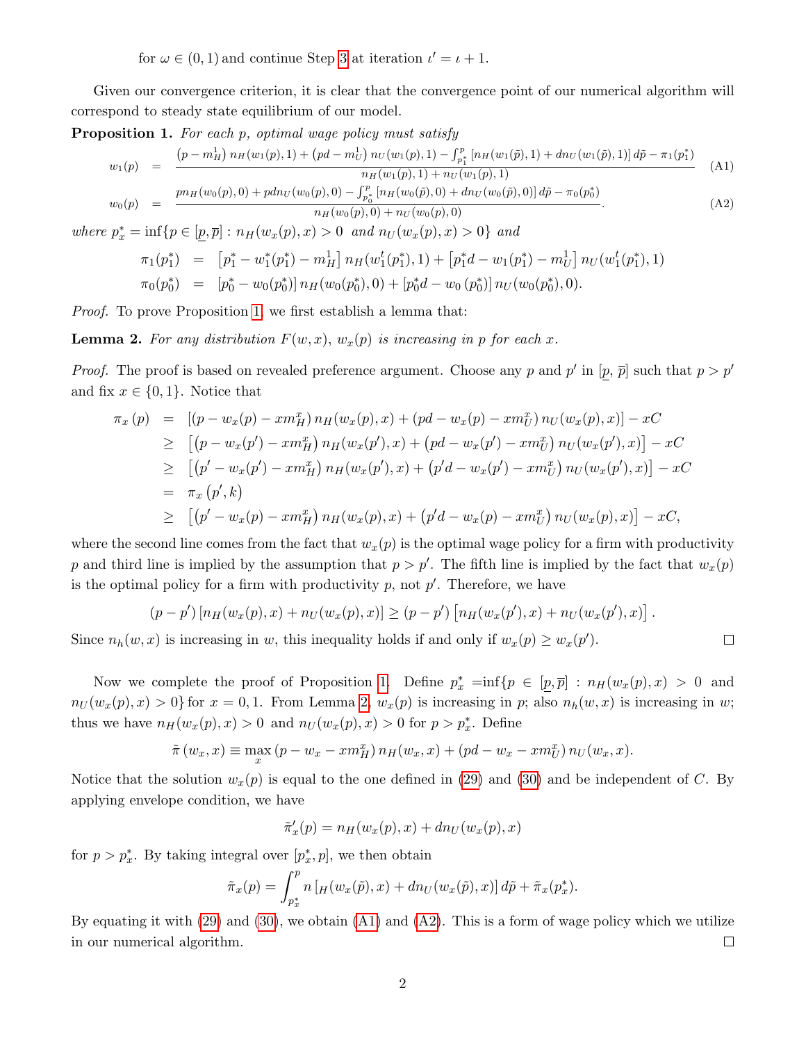for  $\omega \in (0, 1)$  and continue Step [3](#page-52-5) at iteration  $\iota' = \iota + 1$ .

Given our convergence criterion, it is clear that the convergence point of our numerical algorithm will correspond to steady state equilibrium of our model.

<span id="page-53-0"></span>Proposition 1. For each p, optimal wage policy must satisfy

<span id="page-53-2"></span>
$$
w_1(p) = \frac{(p - m_H^1) n_H(w_1(p), 1) + (pd - m_U^1) n_U(w_1(p), 1) - \int_{p_1^*}^p [n_H(w_1(\tilde{p}), 1) + dn_U(w_1(\tilde{p}), 1)] d\tilde{p} - \pi_1(p_1^*)}{n_H(w_1(p), 1) + n_U(w_1(p), 1)}
$$
(A1)  

$$
w_0(p) = \frac{p n_H(w_0(p), 0) + p dn_U(w_0(p), 0) - \int_{p_0^*}^p [n_H(w_0(\tilde{p}), 0) + dn_U(w_0(\tilde{p}), 0)] d\tilde{p} - \pi_0(p_0^*)}{n_H(w_0(p), 0) + n_U(w_0(p), 0)}.
$$
 (A2)

where  $p_x^* = \inf \{ p \in [p, \bar{p}] : n_H(w_x(p), x) > 0 \text{ and } n_U(w_x(p), x) > 0 \}$  and

$$
\pi_1(p_1^*) = [p_1^* - w_1^*(p_1^*) - m_H^1] n_H(w_1^t(p_1^*), 1) + [p_1^*d - w_1(p_1^*) - m_U^1] n_U(w_1^t(p_1^*), 1) \n\pi_0(p_0^*) = [p_0^* - w_0(p_0^*)] n_H(w_0(p_0^*), 0) + [p_0^*d - w_0(p_0^*)] n_U(w_0(p_0^*), 0).
$$

<span id="page-53-1"></span>Proof. To prove Proposition [1,](#page-53-0) we first establish a lemma that:

**Lemma 2.** For any distribution  $F(w, x)$ ,  $w_x(p)$  is increasing in p for each x.

*Proof.* The proof is based on revealed preference argument. Choose any p and p' in  $[p, \bar{p}]$  such that  $p > p'$ and fix  $x \in \{0,1\}$ . Notice that

$$
\pi_x(p) = [(p - w_x(p) - xm_H^x) n_H(w_x(p), x) + (pd - w_x(p) - xm_U^x) n_U(w_x(p), x)] - xC
$$
  
\n
$$
\geq [(p - w_x(p') - xm_H^x) n_H(w_x(p'), x) + (pd - w_x(p') - xm_U^x) n_U(w_x(p'), x)] - xC
$$
  
\n
$$
\geq [(p' - w_x(p') - xm_H^x) n_H(w_x(p'), x) + (p'd - w_x(p') - zm_U^x) n_U(w_x(p'), x)] - xC
$$
  
\n
$$
= \pi_x(p', k)
$$
  
\n
$$
\geq [(p' - w_x(p) - xm_H^x) n_H(w_x(p), x) + (p'd - w_x(p) - xm_U^x) n_U(w_x(p), x)] - xC,
$$

where the second line comes from the fact that  $w_x(p)$  is the optimal wage policy for a firm with productivity p and third line is implied by the assumption that  $p > p'$ . The fifth line is implied by the fact that  $w_x(p)$ is the optimal policy for a firm with productivity  $p$ , not  $p'$ . Therefore, we have

$$
(p-p')\left[n_H(w_x(p),x)+n_U(w_x(p),x)\right]\geq (p-p')\left[n_H(w_x(p'),x)+n_U(w_x(p'),x)\right].
$$

 $\Box$ 

Since  $n_h(w, x)$  is increasing in w, this inequality holds if and only if  $w_x(p) \geq w_x(p')$ .

Now we complete the proof of Proposition [1.](#page-53-0) Define  $p_x^* = inf\{p \in [p, \overline{p}] : n_H(w_x(p), x) > 0 \text{ and }$  $n_U(w_x(p), x) > 0$  for  $x = 0, 1$ . From Lemma [2,](#page-53-1)  $w_x(p)$  is increasing in p; also  $n_h(w, x)$  is increasing in w; thus we have  $n_H(w_x(p), x) > 0$  and  $n_U(w_x(p), x) > 0$  for  $p > p_x^*$ . Define

$$
\tilde{\pi}(w_x, x) \equiv \max_x (p - w_x - x m_H^x) n_H(w_x, x) + (pd - w_x - x m_U^x) n_U(w_x, x).
$$

Notice that the solution  $w_x(p)$  is equal to the one defined in [\(29\)](#page-15-1) and [\(30\)](#page-15-1) and be independent of C. By applying envelope condition, we have

$$
\tilde{\pi}'_x(p) = n_H(w_x(p), x) + dn_U(w_x(p), x)
$$

for  $p > p_x^*$ . By taking integral over  $[p_x^*, p]$ , we then obtain

$$
\tilde{\pi}_x(p) = \int_{p_x^*}^p n \left[ H(w_x(\tilde{p}), x) + dn_U(w_x(\tilde{p}), x) \right] d\tilde{p} + \tilde{\pi}_x(p_x^*).
$$

By equating it with  $(29)$  and  $(30)$ , we obtain  $(A1)$  and  $(A2)$ . This is a form of wage policy which we utilize in our numerical algorithm.  $\Box$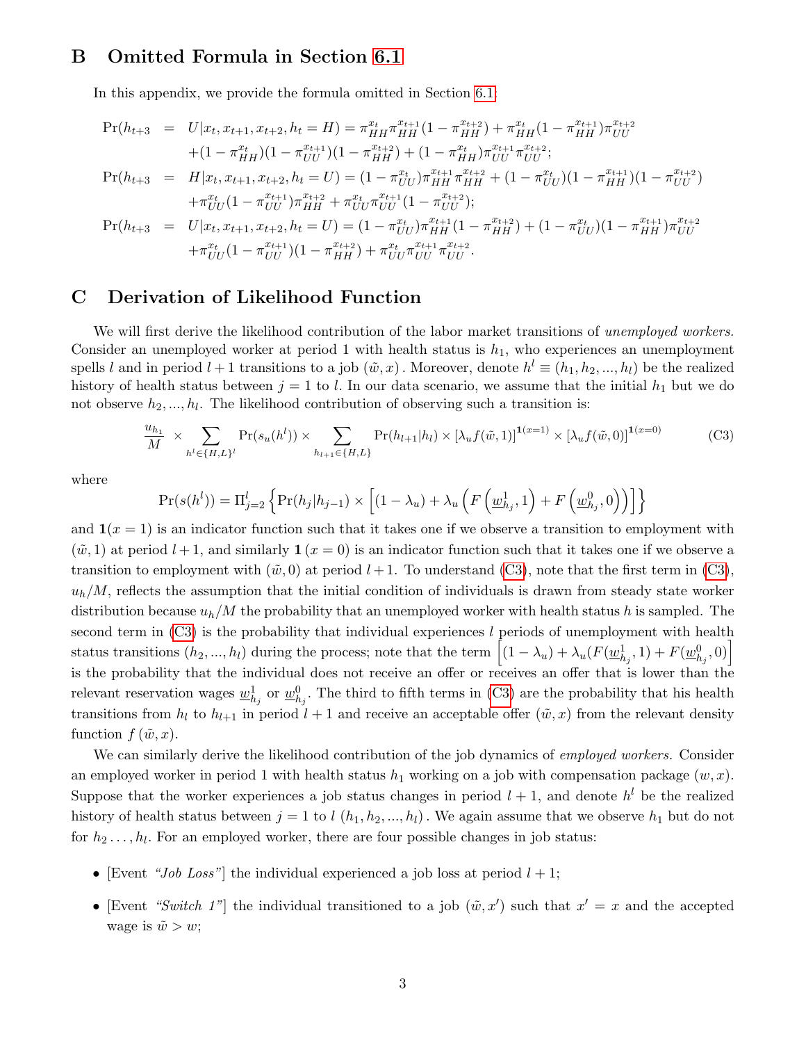# B Omitted Formula in Section [6.1](#page-23-0)

In this appendix, we provide the formula omitted in Section [6.1:](#page-23-0)

$$
\Pr(h_{t+3} = U|x_t, x_{t+1}, x_{t+2}, h_t = H) = \pi_{HH}^{x_t} \pi_{HH}^{x_{t+1}} (1 - \pi_{HH}^{x_{t+2}}) + \pi_{HH}^{x_t} (1 - \pi_{HH}^{x_{t+1}}) \pi_{UU}^{x_{t+2}} \n+ (1 - \pi_{HH}^{x_t}) (1 - \pi_{UU}^{x_{t+1}}) (1 - \pi_{HH}^{x_{t+2}}) + (1 - \pi_{HH}^{x_t}) \pi_{UU}^{x_{t+1}} \pi_{UU}^{x_{t+2}}; \n\Pr(h_{t+3} = H|x_t, x_{t+1}, x_{t+2}, h_t = U) = (1 - \pi_{UU}^{x_t}) \pi_{HH}^{x_{t+1}} \pi_{HH}^{x_{t+2}} + (1 - \pi_{UU}^{x_t}) (1 - \pi_{HH}^{x_{t+2}}) (1 - \pi_{UU}^{x_{t+2}}) \n+ \pi_{UU}^{x_t} (1 - \pi_{UU}^{x_{t+1}}) \pi_{HH}^{x_{t+2}} + \pi_{UU}^{x_t} \pi_{UU}^{x_{t+1}} (1 - \pi_{UU}^{x_{t+2}}); \n\Pr(h_{t+3} = U|x_t, x_{t+1}, x_{t+2}, h_t = U) = (1 - \pi_{UU}^{x_t}) \pi_{HH}^{x_{t+1}} (1 - \pi_{HH}^{x_{t+2}}) + (1 - \pi_{UU}^{x_t}) (1 - \pi_{HH}^{x_{t+1}}) \pi_{UU}^{x_{t+2}} \n+ \pi_{UU}^{x_t} (1 - \pi_{UU}^{x_{t+1}}) (1 - \pi_{HH}^{x_{t+2}}) + \pi_{UU}^{x_t} \pi_{UU}^{x_{t+1}} \pi_{UU}^{x_{t+2}}.
$$

## C Derivation of Likelihood Function

We will first derive the likelihood contribution of the labor market transitions of unemployed workers. Consider an unemployed worker at period 1 with health status is  $h_1$ , who experiences an unemployment spells l and in period  $l + 1$  transitions to a job  $(\tilde{w}, x)$ . Moreover, denote  $h^l \equiv (h_1, h_2, ..., h_l)$  be the realized history of health status between  $j = 1$  to l. In our data scenario, we assume that the initial  $h_1$  but we do not observe  $h_2, ..., h_l$ . The likelihood contribution of observing such a transition is:

<span id="page-54-0"></span>
$$
\frac{u_{h_1}}{M} \times \sum_{h^l \in \{H, L\}^l} \Pr(s_u(h^l)) \times \sum_{h_{l+1} \in \{H, L\}} \Pr(h_{l+1}|h_l) \times [\lambda_u f(\tilde{w}, 1)]^{1(x=1)} \times [\lambda_u f(\tilde{w}, 0)]^{1(x=0)}
$$
(C3)

where

$$
Pr(s(h^{l})) = \Pi_{j=2}^{l} \left\{ Pr(h_{j}|h_{j-1}) \times \left[ (1 - \lambda_{u}) + \lambda_{u} \left( F\left(\underline{w}_{h_{j}}^{1}, 1\right) + F\left(\underline{w}_{h_{j}}^{0}, 0\right) \right) \right] \right\}
$$

and  $\mathbf{1}(x=1)$  is an indicator function such that it takes one if we observe a transition to employment with  $(\tilde{w}, 1)$  at period  $l + 1$ , and similarly  $\mathbf{1}(x = 0)$  is an indicator function such that it takes one if we observe a transition to employment with  $(\tilde{w}, 0)$  at period  $l + 1$ . To understand [\(C3\)](#page-54-0), note that the first term in (C3),  $u_h/M$ , reflects the assumption that the initial condition of individuals is drawn from steady state worker distribution because  $u_h/M$  the probability that an unemployed worker with health status h is sampled. The second term in  $(C3)$  is the probability that individual experiences l periods of unemployment with health status transitions  $(h_2, ..., h_l)$  during the process; note that the term  $\left[ (1 - \lambda_u) + \lambda_u (F(\underline{w}_{h_j}^1, 1) + F(\underline{w}_{h_j}^0, 0) \right]$ is the probability that the individual does not receive an offer or receives an offer that is lower than the relevant reservation wages  $\underline{w}_{h_j}^1$  or  $\underline{w}_{h_j}^0$ . The third to fifth terms in [\(C3\)](#page-54-0) are the probability that his health transitions from  $h_l$  to  $h_{l+1}$  in period  $l+1$  and receive an acceptable offer  $(\tilde{w},x)$  from the relevant density function  $f(\tilde{w},x)$ .

We can similarly derive the likelihood contribution of the job dynamics of *employed workers*. Consider an employed worker in period 1 with health status  $h_1$  working on a job with compensation package  $(w, x)$ . Suppose that the worker experiences a job status changes in period  $l + 1$ , and denote  $h^{l}$  be the realized history of health status between  $j = 1$  to  $l$   $(h_1, h_2, ..., h_l)$ . We again assume that we observe  $h_1$  but do not for  $h_2 \ldots, h_l$ . For an employed worker, there are four possible changes in job status:

- [Event "Job Loss"] the individual experienced a job loss at period  $l + 1$ ;
- [Event "Switch 1"] the individual transitioned to a job  $(\tilde{w}, x')$  such that  $x' = x$  and the accepted wage is  $\tilde{w} > w$ ;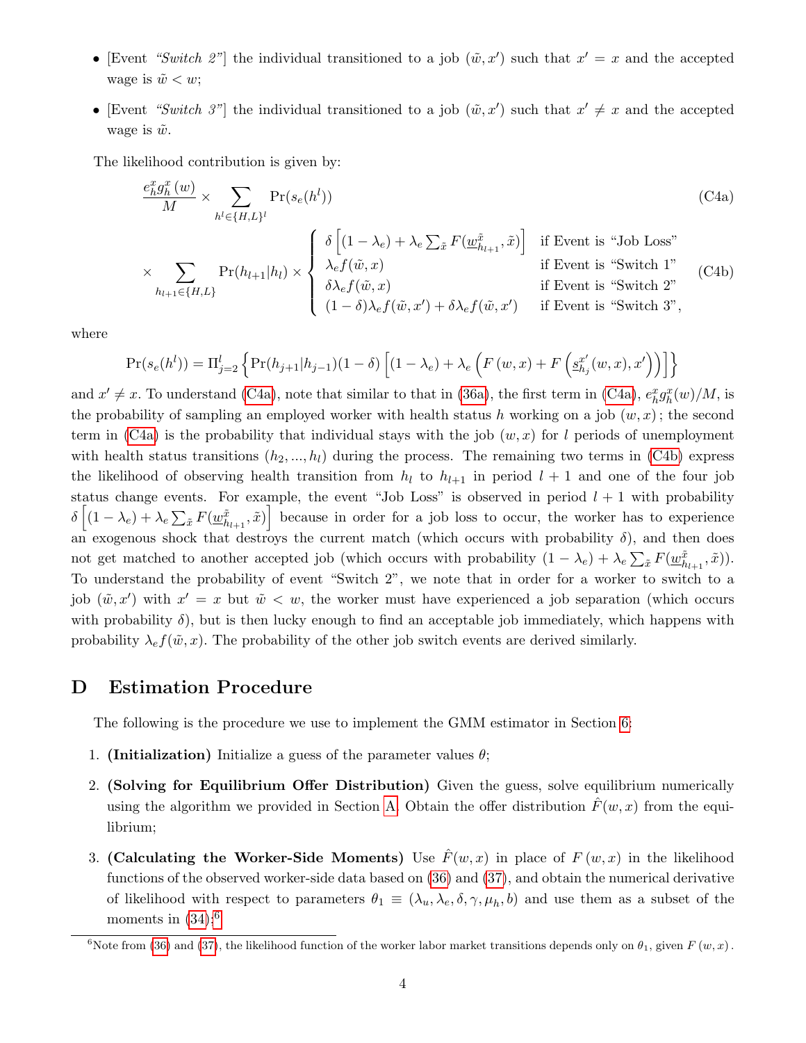- [Event "Switch 2"] the individual transitioned to a job  $(\tilde{w}, x')$  such that  $x' = x$  and the accepted wage is  $\tilde{w} < w$ ;
- [Event "Switch 3"] the individual transitioned to a job  $(\tilde{w}, x')$  such that  $x' \neq x$  and the accepted wage is  $\tilde{w}$ .

The likelihood contribution is given by:

<span id="page-55-0"></span>
$$
\frac{e_h^x g_h^x(w)}{M} \times \sum_{h^l \in \{H, L\}^l} \Pr(s_e(h^l))
$$
\n
$$
\times \sum_{h_{l+1} \in \{H, L\}} \Pr(h_{l+1}|h_l) \times \begin{cases}\n\delta \left[ (1 - \lambda_e) + \lambda_e \sum_{\tilde{x}} F(\underline{w}_{h_{l+1}}^{\tilde{x}}, \tilde{x}) \right] & \text{if Event is "Job Loss"} \\
\lambda_e f(\tilde{w}, x) & \text{if Event is "Switch 1"} \\
\delta \lambda_e f(\tilde{w}, x) & \text{if Event is "Switch 2"} \\
(1 - \delta) \lambda_e f(\tilde{w}, x') + \delta \lambda_e f(\tilde{w}, x') & \text{if Event is "Switch 2"}\n\end{cases}
$$
\n(C4a)

where

$$
Pr(s_e(h^l)) = \Pi_{j=2}^l \left\{ Pr(h_{j+1}|h_{j-1})(1-\delta) \left[ (1-\lambda_e) + \lambda_e \left( F(w,x) + F\left( \underline{s}_{h_j}^{x'}(w,x), x' \right) \right) \right] \right\}
$$

and  $x' \neq x$ . To understand [\(C4a\)](#page-55-0), note that similar to that in [\(36a\)](#page-25-2), the first term in (C4a),  $e_h^x g_h^x(w)/M$ , is the probability of sampling an employed worker with health status h working on a job  $(w, x)$ ; the second term in [\(C4a\)](#page-55-0) is the probability that individual stays with the job  $(w, x)$  for l periods of unemployment with health status transitions  $(h_2, ..., h_l)$  during the process. The remaining two terms in [\(C4b\)](#page-55-0) express the likelihood of observing health transition from  $h_l$  to  $h_{l+1}$  in period  $l + 1$  and one of the four job status change events. For example, the event "Job Loss" is observed in period  $l + 1$  with probability  $\delta\left[(1-\lambda_e)+\lambda_e\sum_{\tilde{x}}F(\underline{w}_{h_{l+1}}^{\tilde{x}},\tilde{x})\right]$  because in order for a job loss to occur, the worker has to experience an exogenous shock that destroys the current match (which occurs with probability  $\delta$ ), and then does not get matched to another accepted job (which occurs with probability  $(1 - \lambda_e) + \lambda_e \sum_{\tilde{x}} F(\underline{w}_{h_{l+1}}^{\tilde{x}}, \tilde{x})$ ). To understand the probability of event "Switch 2", we note that in order for a worker to switch to a job  $(\tilde{w}, x')$  with  $x' = x$  but  $\tilde{w} < w$ , the worker must have experienced a job separation (which occurs with probability  $\delta$ ), but is then lucky enough to find an acceptable job immediately, which happens with probability  $\lambda_e f(\tilde{w}, x)$ . The probability of the other job switch events are derived similarly.

# D Estimation Procedure

The following is the procedure we use to implement the GMM estimator in Section [6:](#page-22-0)

- 1. (Initialization) Initialize a guess of the parameter values  $\theta$ ;
- 2. (Solving for Equilibrium Offer Distribution) Given the guess, solve equilibrium numerically using the algorithm we provided in Section [A.](#page-1-7) Obtain the offer distribution  $\tilde{F}(w, x)$  from the equilibrium;
- 3. (Calculating the Worker-Side Moments) Use  $\hat{F}(w, x)$  in place of  $F(w, x)$  in the likelihood functions of the observed worker-side data based on [\(36\)](#page-25-1) and [\(37\)](#page-26-1), and obtain the numerical derivative of likelihood with respect to parameters  $\theta_1 \equiv (\lambda_u, \lambda_e, \delta, \gamma, \mu_h, b)$  and use them as a subset of the moments in  $(34)$ ;<sup>[6](#page-55-1)</sup>

<span id="page-55-1"></span><sup>&</sup>lt;sup>6</sup>Note from [\(36\)](#page-25-1) and [\(37\)](#page-26-1), the likelihood function of the worker labor market transitions depends only on  $\theta_1$ , given  $F(w, x)$ .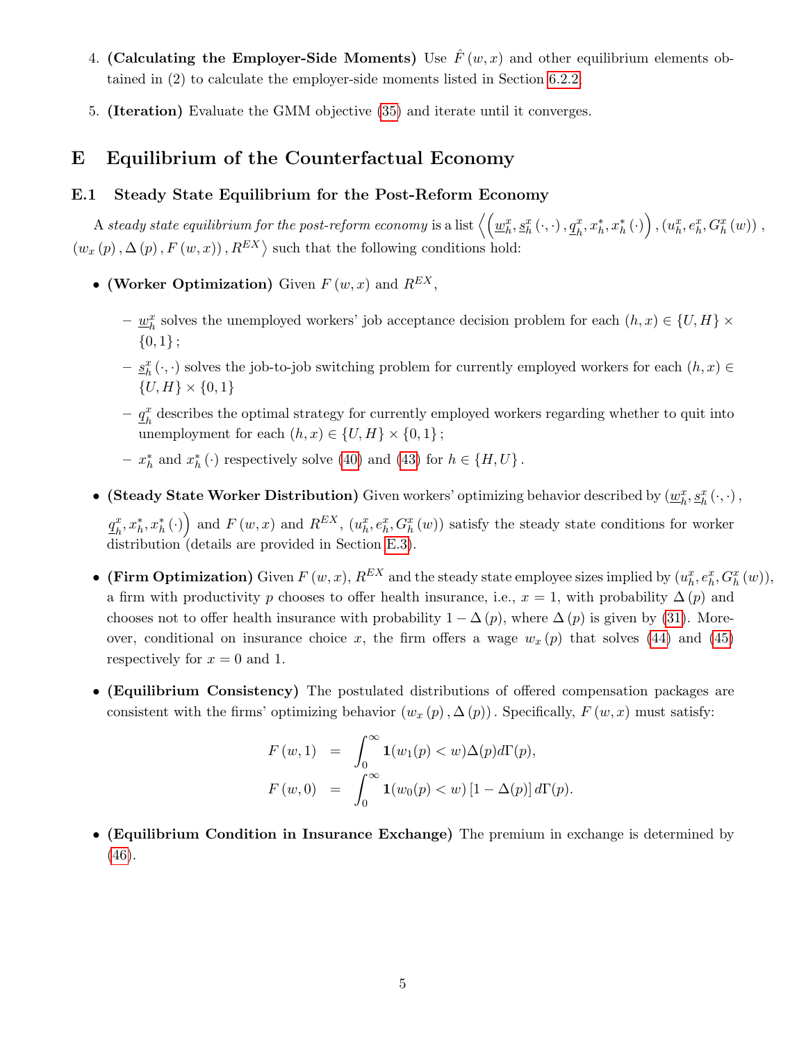- 4. (Calculating the Employer-Side Moments) Use  $\hat{F}(w, x)$  and other equilibrium elements obtained in (2) to calculate the employer-side moments listed in Section [6.2.2;](#page-27-1)
- 5. (Iteration) Evaluate the GMM objective [\(35\)](#page-25-4) and iterate until it converges.

# E Equilibrium of the Counterfactual Economy

### E.1 Steady State Equilibrium for the Post-Reform Economy

 $\Delta$  steady state equilibrium for the post-reform economy is a list  $\left\langle \left( \underline{w}_h^x, \underline{s}_h^x\left(\cdot, \cdot\right), \underline{q}_h^x, x_h^*, x_h^*\left(\cdot\right) \right), (u_h^x, e_h^x, G_h^x\left(w\right))\right\rangle,$  $(w_x(p), \Delta(p), F(w, x)), R^{EX}$  such that the following conditions hold:

- (Worker Optimization) Given  $F(w, x)$  and  $R^{EX}$ ,
	- $-\underline{w}_h^x$  solves the unemployed workers' job acceptance decision problem for each  $(h, x) \in \{U, H\} \times$  ${0,1}$ ;
	- $-\underline{s}_h^x(\cdot, \cdot)$  solves the job-to-job switching problem for currently employed workers for each  $(h, x) \in$  $\{U, H\} \times \{0, 1\}$
	- $q_k^x$  $\frac{x}{h}$  describes the optimal strategy for currently employed workers regarding whether to quit into unemployment for each  $(h, x) \in \{U, H\} \times \{0, 1\}$ ;
	- −  $x_h^*$  and  $x_h^*$  (⋅) respectively solve [\(40\)](#page-33-2) and [\(43\)](#page-34-3) for  $h \in \{H, U\}$ .
- (Steady State Worker Distribution) Given workers' optimizing behavior described by  $(\underline{w}_h^x, \underline{s}_h^x(\cdot, \cdot),$

 $q_{\scriptscriptstyle L}^x$  $\left(x_h^x, x_h^*, x_h^*(\cdot)\right)$  and  $F(w, x)$  and  $R^{EX}$ ,  $(u_h^x, e_h^x, G_h^x(w))$  satisfy the steady state conditions for worker distribution (details are provided in Section [E.3\)](#page-21-3).

- (Firm Optimization) Given  $F(w, x)$ ,  $R^{EX}$  and the steady state employee sizes implied by  $(u_h^x, e_h^x, G_h^x(w))$ , a firm with productivity p chooses to offer health insurance, i.e.,  $x = 1$ , with probability  $\Delta(p)$  and chooses not to offer health insurance with probability  $1 - \Delta(p)$ , where  $\Delta(p)$  is given by [\(31\)](#page-15-3). Moreover, conditional on insurance choice x, the firm offers a wage  $w_x(p)$  that solves [\(44\)](#page-34-4) and [\(45\)](#page-34-4) respectively for  $x = 0$  and 1.
- (Equilibrium Consistency) The postulated distributions of offered compensation packages are consistent with the firms' optimizing behavior  $(w_x (p), \Delta (p))$ . Specifically,  $F(w, x)$  must satisfy:

$$
F(w,1) = \int_0^\infty \mathbf{1}(w_1(p) < w) \Delta(p) d\Gamma(p),
$$
  

$$
F(w,0) = \int_0^\infty \mathbf{1}(w_0(p) < w) \left[1 - \Delta(p)\right] d\Gamma(p).
$$

• (Equilibrium Condition in Insurance Exchange) The premium in exchange is determined by [\(46\)](#page-34-2).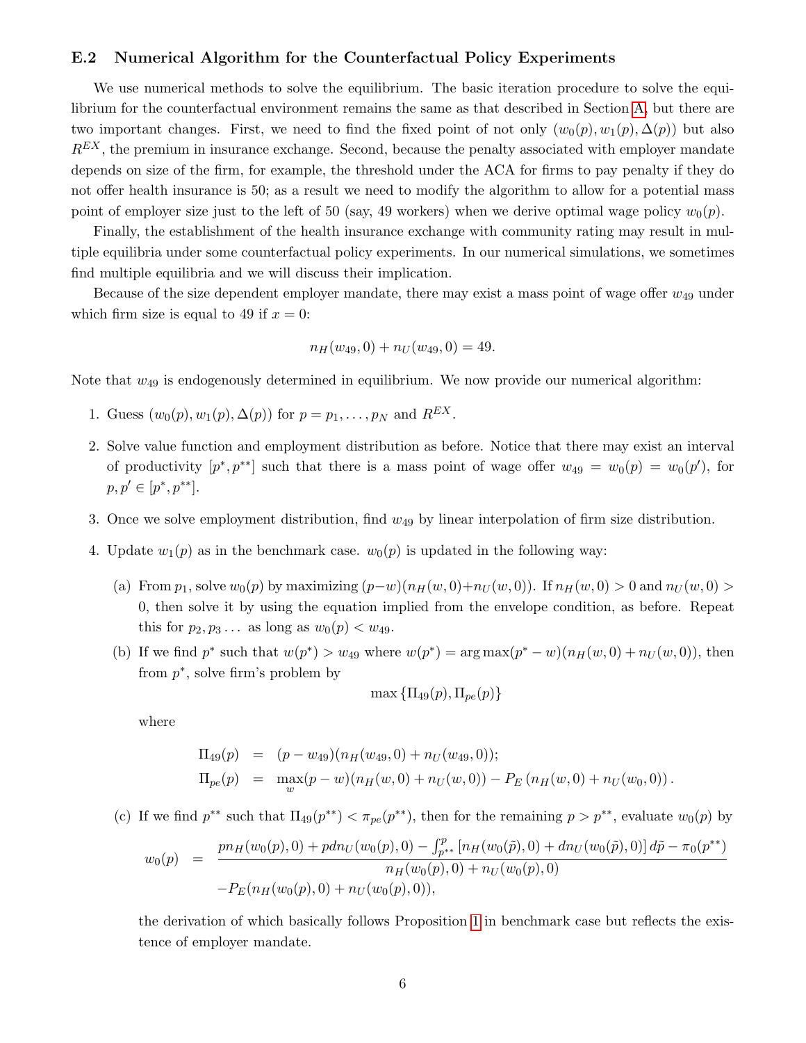### E.2 Numerical Algorithm for the Counterfactual Policy Experiments

We use numerical methods to solve the equilibrium. The basic iteration procedure to solve the equilibrium for the counterfactual environment remains the same as that described in Section [A,](#page-1-7) but there are two important changes. First, we need to find the fixed point of not only  $(w_0(p), w_1(p), \Delta(p))$  but also  $R<sup>EX</sup>$ , the premium in insurance exchange. Second, because the penalty associated with employer mandate depends on size of the firm, for example, the threshold under the ACA for firms to pay penalty if they do not offer health insurance is 50; as a result we need to modify the algorithm to allow for a potential mass point of employer size just to the left of 50 (say, 49 workers) when we derive optimal wage policy  $w_0(p)$ .

Finally, the establishment of the health insurance exchange with community rating may result in multiple equilibria under some counterfactual policy experiments. In our numerical simulations, we sometimes find multiple equilibria and we will discuss their implication.

Because of the size dependent employer mandate, there may exist a mass point of wage offer  $w_{49}$  under which firm size is equal to 49 if  $x = 0$ :

$$
n_H(w_{49},0) + n_U(w_{49},0) = 49.
$$

Note that  $w_{49}$  is endogenously determined in equilibrium. We now provide our numerical algorithm:

- 1. Guess  $(w_0(p), w_1(p), \Delta(p))$  for  $p = p_1, \ldots, p_N$  and  $R^{EX}$ .
- 2. Solve value function and employment distribution as before. Notice that there may exist an interval of productivity  $[p^*, p^{**}]$  such that there is a mass point of wage offer  $w_{49} = w_0(p) = w_0(p')$ , for  $p, p' \in [p^*, p^{**}].$
- 3. Once we solve employment distribution, find  $w_{49}$  by linear interpolation of firm size distribution.
- 4. Update  $w_1(p)$  as in the benchmark case.  $w_0(p)$  is updated in the following way:
	- (a) From  $p_1$ , solve  $w_0(p)$  by maximizing  $(p-w)(n_H(w, 0)+n_U(w, 0))$ . If  $n_H(w, 0) > 0$  and  $n_U(w, 0) >$ 0, then solve it by using the equation implied from the envelope condition, as before. Repeat this for  $p_2, p_3...$  as long as  $w_0(p) < w_{49}.$
	- (b) If we find  $p^*$  such that  $w(p^*) > w_{49}$  where  $w(p^*) = \arg \max (p^* w)(n_H(w, 0) + n_U(w, 0))$ , then from  $p^*$ , solve firm's problem by

$$
\max\left\{\Pi_{49}(p), \Pi_{pe}(p)\right\}
$$

where

$$
\Pi_{49}(p) = (p - w_{49})(n_H(w_{49}, 0) + n_U(w_{49}, 0));
$$
  
\n
$$
\Pi_{pe}(p) = \max_{w}(p - w)(n_H(w, 0) + n_U(w, 0)) - P_E(n_H(w, 0) + n_U(w_0, 0)).
$$

(c) If we find  $p^{**}$  such that  $\Pi_{49}(p^{**}) < \pi_{pe}(p^{**})$ , then for the remaining  $p > p^{**}$ , evaluate  $w_0(p)$  by

$$
w_0(p) = \frac{p n_H(w_0(p), 0) + p d n_U(w_0(p), 0) - \int_{p^{**}}^p \left[n_H(w_0(\tilde{p}), 0) + d n_U(w_0(\tilde{p}), 0)\right] d\tilde{p} - \pi_0(p^{**})}{n_H(w_0(p), 0) + n_U(w_0(p), 0)}
$$
  
-  $P_E(n_H(w_0(p), 0) + n_U(w_0(p), 0)),$ 

the derivation of which basically follows Proposition [1](#page-53-0) in benchmark case but reflects the existence of employer mandate.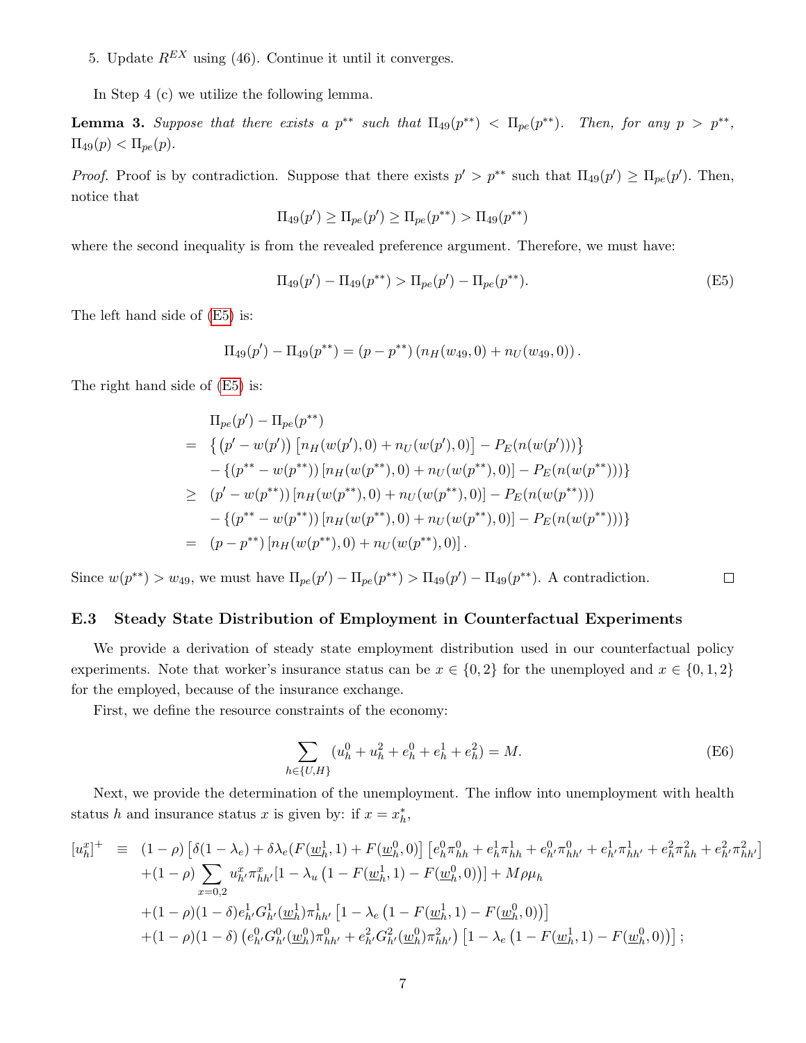5. Update  $R^{EX}$  using (46). Continue it until it converges.

In Step 4 (c) we utilize the following lemma.

**Lemma 3.** Suppose that there exists a  $p^{**}$  such that  $\Pi_{49}(p^{**}) < \Pi_{pe}(p^{**})$ . Then, for any  $p > p^{**}$ ,  $\Pi_{49}(p) < \Pi_{pe}(p).$ 

*Proof.* Proof is by contradiction. Suppose that there exists  $p' > p^{**}$  such that  $\Pi_{49}(p') \geq \Pi_{pe}(p')$ . Then, notice that

$$
\Pi_{49}(p') \geq \Pi_{pe}(p') \geq \Pi_{pe}(p^{**}) > \Pi_{49}(p^{**})
$$

where the second inequality is from the revealed preference argument. Therefore, we must have:

<span id="page-58-0"></span>
$$
\Pi_{49}(p') - \Pi_{49}(p^{**}) > \Pi_{pe}(p') - \Pi_{pe}(p^{**}).\tag{E5}
$$

The left hand side of [\(E5\)](#page-58-0) is:

$$
\Pi_{49}(p') - \Pi_{49}(p^{**}) = (p - p^{**}) (n_H(w_{49}, 0) + n_U(w_{49}, 0)).
$$

The right hand side of [\(E5\)](#page-58-0) is:

$$
\Pi_{pe}(p') - \Pi_{pe}(p^{**})
$$
\n
$$
= \left\{ (p' - w(p')) \left[ n_H(w(p'), 0) + n_U(w(p'), 0) \right] - P_E(n(w(p'))) \right\}
$$
\n
$$
- \left\{ (p^{**} - w(p^{**})) \left[ n_H(w(p^{**}), 0) + n_U(w(p^{**}), 0) \right] - P_E(n(w(p^{**}))) \right\}
$$
\n
$$
\geq (p' - w(p^{**})) \left[ n_H(w(p^{**}), 0) + n_U(w(p^{**}), 0) \right] - P_E(n(w(p^{**})))
$$
\n
$$
- \left\{ (p^{**} - w(p^{**})) \left[ n_H(w(p^{**}), 0) + n_U(w(p^{**}), 0) \right] - P_E(n(w(p^{**}))) \right\}
$$
\n
$$
= (p - p^{**}) \left[ n_H(w(p^{**}), 0) + n_U(w(p^{**}), 0) \right].
$$

Since  $w(p^{**}) > w_{49}$ , we must have  $\Pi_{pe}(p') - \Pi_{pe}(p^{**}) > \Pi_{49}(p') - \Pi_{49}(p^{**})$ . A contradiction.  $\Box$ 

### E.3 Steady State Distribution of Employment in Counterfactual Experiments

We provide a derivation of steady state employment distribution used in our counterfactual policy experiments. Note that worker's insurance status can be  $x \in \{0,2\}$  for the unemployed and  $x \in \{0,1,2\}$ for the employed, because of the insurance exchange.

First, we define the resource constraints of the economy:

$$
\sum_{h \in \{U, H\}} (u_h^0 + u_h^2 + e_h^0 + e_h^1 + e_h^2) = M.
$$
 (E6)

Next, we provide the determination of the unemployment. The inflow into unemployment with health status h and insurance status x is given by: if  $x = x_h^*$ ,

$$
[u_h^x]^+ \equiv (1 - \rho) \left[ \delta(1 - \lambda_e) + \delta \lambda_e (F(\underline{w}_h^1, 1) + F(\underline{w}_h^0, 0) \right] \left[ e_h^0 \pi_{hh}^0 + e_h^1 \pi_{hh}^1 + e_h^0 \pi_{hh'}^0 + e_h^1 \pi_{hh'}^1 + e_h^2 \pi_{hh}^2 + e_h^2 \pi_{hh'}^2 \right] + (1 - \rho) \sum_{x=0,2} u_h^x \pi_{hh'}^x [1 - \lambda_u (1 - F(\underline{w}_h^1, 1) - F(\underline{w}_h^0, 0))] + M \rho \mu_h + (1 - \rho)(1 - \delta) e_h^1 G_{h'}^1 (\underline{w}_h^1) \pi_{hh'}^1 [1 - \lambda_e (1 - F(\underline{w}_h^1, 1) - F(\underline{w}_h^0, 0))] + (1 - \rho)(1 - \delta) (e_h^0 G_h^0 (\underline{w}_h^0) \pi_{hh'}^0 + e_h^2 G_h^2 (\underline{w}_h^0) \pi_{hh'}^2) [1 - \lambda_e (1 - F(\underline{w}_h^1, 1) - F(\underline{w}_h^0, 0))] ;
$$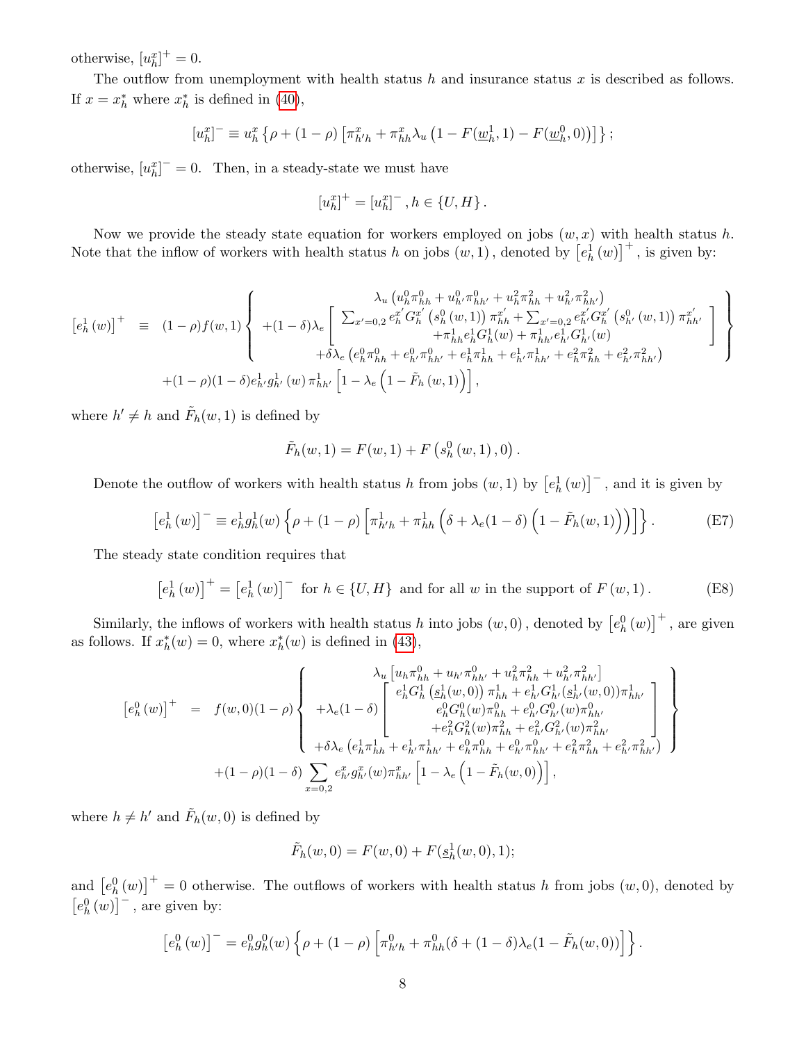otherwise,  $[u_h^x]^{+} = 0$ .

The outflow from unemployment with health status  $h$  and insurance status  $x$  is described as follows. If  $x = x_h^*$  where  $x_h^*$  is defined in [\(40\)](#page-33-2),

$$
[u_h^x]^- \equiv u_h^x \left\{ \rho + (1 - \rho) \left[ \pi_{h'h}^x + \pi_{hh}^x \lambda_u \left( 1 - F(\underline{w}_h^1, 1) - F(\underline{w}_h^0, 0) \right) \right] \right\};
$$

otherwise,  $[u_h^x]^- = 0$ . Then, in a steady-state we must have

$$
[u_h^x]^+ = [u_h^x]^- , h \in \{U, H\} .
$$

Now we provide the steady state equation for workers employed on jobs  $(w, x)$  with health status h. Note that the inflow of workers with health status h on jobs  $(w, 1)$ , denoted by  $\left[e_h^1(w)\right]^+$ , is given by:

$$
\begin{bmatrix} e_h^1(w) \end{bmatrix}^+ = (1 - \rho) f(w, 1) \begin{Bmatrix} \lambda_u \left( u_h^0 \pi_{hh}^0 + u_{h'}^0 \pi_{hh'}^0 + u_h^2 \pi_{hh}^2 + u_{h'}^2 \pi_{hh'}^2 \right) \\ + (1 - \delta) \lambda_e \begin{bmatrix} \sum_{x'=0,2} e_h^{x'} G_h^{x'} \left( s_h^0 \left( w, 1 \right) \right) \pi_{hh}^{x'} + \sum_{x'=0,2} e_h^{x'} G_h^{x'} \left( s_{h'}^0 \left( w, 1 \right) \right) \pi_{hh'}^{x'} \\ + \pi_{hh}^1 e_h^1 G_h^1(w) + \pi_{hh'}^1 e_h^1 G_h^1(w) \\ + \delta \lambda_e \left( e_h^0 \pi_{hh}^0 + e_h^0 \pi_{hh'}^0 + e_h^1 \pi_{hh}^1 + e_h^1 \pi_{hh'}^1 + e_h^2 \pi_{hh}^2 + e_h^2 \pi_{hh'}^2 \right) \end{Bmatrix} \\ + (1 - \rho) (1 - \delta) e_h^1 g_h^1(w) \pi_{hh'}^1 \left[ 1 - \lambda_e \left( 1 - \tilde{F}_h(w, 1) \right) \right],
$$

where  $h' \neq h$  and  $\tilde{F}_h(w, 1)$  is defined by

$$
\tilde{F}_h(w,1) = F(w,1) + F(s_h^0(w,1),0)
$$

Denote the outflow of workers with health status h from jobs  $(w, 1)$  by  $\left[e^1_h(w)\right]^-$ , and it is given by

$$
\left[e_h^1(w)\right]^- \equiv e_h^1 g_h^1(w) \left\{ \rho + (1 - \rho) \left[\pi_{h'h}^1 + \pi_{hh}^1\left(\delta + \lambda_e(1 - \delta)\left(1 - \tilde{F}_h(w, 1)\right)\right)\right] \right\}.
$$
 (E7)

.

The steady state condition requires that

$$
\left[e_h^1(w)\right]^+ = \left[e_h^1(w)\right]^- \text{ for } h \in \{U, H\} \text{ and for all } w \text{ in the support of } F(w, 1). \tag{E8}
$$

Similarly, the inflows of workers with health status h into jobs  $(w, 0)$ , denoted by  $\left[e_h^0(w)\right]^+$ , are given as follows. If  $x_h^*(w) = 0$ , where  $x_h^*(w)$  is defined in [\(43\)](#page-34-3),

$$
\begin{bmatrix} e_h^0(w) \end{bmatrix}^+ = f(w,0)(1-\rho) \begin{Bmatrix} \lambda_u \left[ u_h \pi_{hh}^0 + u_{h'} \pi_{hh'}^0 + u_h^2 \pi_{hh}^2 + u_{h'}^2 \pi_{hh'}^2 \right] \\ + \lambda_e (1-\delta) \begin{bmatrix} e_h^1 G_h^1 \left( \underline{s}_h^1(w,0) \right) \pi_{hh}^1 + e_h^1 G_h^1 (\underline{s}_h^1(w,0)) \pi_{hh'}^1 \\ e_h^0 G_h^0(w) \pi_{hh}^0 + e_h^0 G_h^0(w) \pi_{hh'}^0 \\ + e_h^2 G_h^2(w) \pi_{hh}^2 + e_h^2 G_h^2(w) \pi_{hh'}^2 + e_h^2 G_h^2(w) \pi_{hh'}^2 \end{bmatrix} \\ + (1-\rho)(1-\delta) \sum_{x=0,2} e_{h'}^x g_{h'}^x(w) \pi_{hh'}^x \left[ 1 - \lambda_e \left( 1 - \tilde{F}_h(w,0) \right) \right], \end{bmatrix},
$$

where  $h \neq h'$  and  $\tilde{F}_h(w, 0)$  is defined by

$$
\tilde{F}_h(w,0) = F(w,0) + F(\underline{s}_h^1(w,0),1);
$$

and  $[e_h^0(w)]^+ = 0$  otherwise. The outflows of workers with health status h from jobs  $(w, 0)$ , denoted by  $\left[e_h^0(w)\right]^-$ , are given by:

$$
[e_h^0(w)]^- = e_h^0 g_h^0(w) \left\{ \rho + (1 - \rho) \left[ \pi_{h'h}^0 + \pi_{hh}^0(\delta + (1 - \delta) \lambda_e(1 - \tilde{F}_h(w, 0)) \right] \right\}.
$$